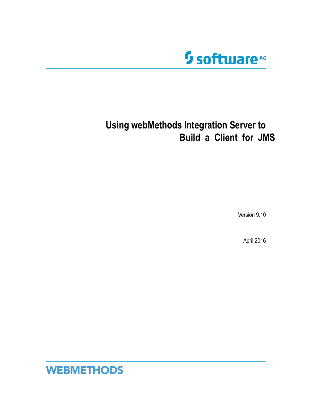

# **Using webMethods Integration Server to Build a Client for JMS**

Version 9.10

April 2016

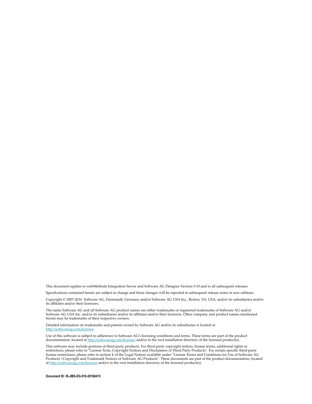This document applies to webMethods Integration Server and Software AG Designer Version 9.10 and to all subsequent releases.

Specifications contained herein are subject to change and these changes will be reported in subsequent release notes or new editions.

Copyright © 2007-2016 Software AG, Darmstadt, Germany and/or Software AG USA Inc., Reston, VA, USA, and/or its subsidiaries and/or its affiliates and/or their licensors.

The name Software AG and all Software AG product names are either trademarks or registered trademarks of Software AG and/or Software AG USA Inc. and/or its subsidiaries and/or its affiliates and/or their licensors. Other company and product names mentioned herein may be trademarks of their respective owners.

Detailed information on trademarks and patents owned by Software AG and/or its subsidiaries is located at http://softwareag.com/licenses.

Use of this software is subject to adherence to Software AG's licensing conditions and terms. These terms are part of the product documentation, located at http://softwareag.com/licenses and/or in the root installation directory of the licensed product(s).

This software may include portions of third-party products. For third-party copyright notices, license terms, additional rights or restrictions, please refer to "License Texts, Copyright Notices and Disclaimers of Third Party Products". For certain specific third-party license restrictions, please refer to section E of the Legal Notices available under "License Terms and Conditions for Use of Software AG Products / Copyright and Trademark Notices of Software AG Products". These documents are part of the product documentation, located at http://softwareag.com/licenses and/or in the root installation directory of the licensed product(s).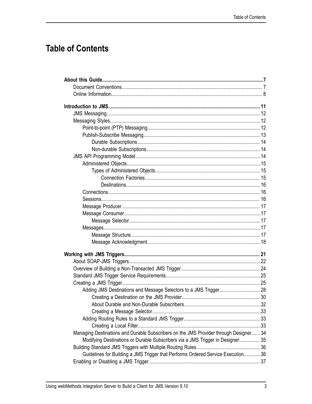# **Table of Contents**

| Managing Destinations and Durable Subscribers on the JMS Provider through Designer 34 |  |
|---------------------------------------------------------------------------------------|--|
| Modifying Destinations or Durable Subscribers via a JMS Trigger in Designer 35        |  |
|                                                                                       |  |
| Guidelines for Building a JMS Trigger that Performs Ordered Service Execution36       |  |
|                                                                                       |  |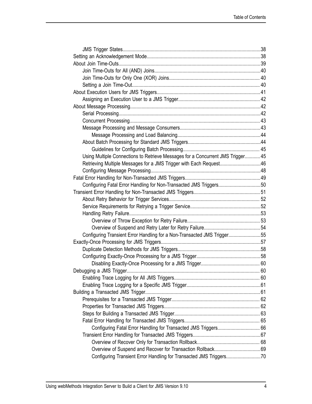| Using Multiple Connections to Retrieve Messages for a Concurrent JMS Trigger 45 |  |
|---------------------------------------------------------------------------------|--|
| Retrieving Multiple Messages for a JMS Trigger with Each Request46              |  |
|                                                                                 |  |
|                                                                                 |  |
| Configuring Fatal Error Handling for Non-Transacted JMS Triggers50              |  |
|                                                                                 |  |
|                                                                                 |  |
|                                                                                 |  |
|                                                                                 |  |
|                                                                                 |  |
|                                                                                 |  |
| Configuring Transient Error Handling for a Non-Transacted JMS Trigger55         |  |
|                                                                                 |  |
|                                                                                 |  |
|                                                                                 |  |
|                                                                                 |  |
|                                                                                 |  |
|                                                                                 |  |
|                                                                                 |  |
|                                                                                 |  |
|                                                                                 |  |
|                                                                                 |  |
|                                                                                 |  |
|                                                                                 |  |
| Configuring Fatal Error Handling for Transacted JMS Triggers 66                 |  |
|                                                                                 |  |
|                                                                                 |  |
|                                                                                 |  |
| Configuring Transient Error Handling for Transacted JMS Triggers70              |  |
|                                                                                 |  |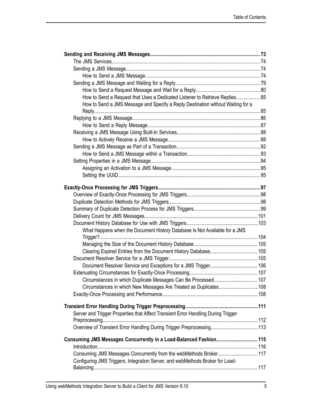| How to Send a Request that Uses a Dedicated Listener to Retrieve Replies85        |  |
|-----------------------------------------------------------------------------------|--|
| How to Send a JMS Message and Specify a Reply Destination without Waiting for a   |  |
|                                                                                   |  |
|                                                                                   |  |
|                                                                                   |  |
|                                                                                   |  |
|                                                                                   |  |
|                                                                                   |  |
|                                                                                   |  |
|                                                                                   |  |
|                                                                                   |  |
|                                                                                   |  |
|                                                                                   |  |
|                                                                                   |  |
|                                                                                   |  |
|                                                                                   |  |
|                                                                                   |  |
|                                                                                   |  |
|                                                                                   |  |
| What Happens when the Document History Database Is Not Available for a JMS        |  |
|                                                                                   |  |
|                                                                                   |  |
|                                                                                   |  |
|                                                                                   |  |
|                                                                                   |  |
|                                                                                   |  |
| Circumstances in which Duplicate Messages Can Be Processed 107                    |  |
| Circumstances in which New Messages Are Treated as Duplicates108                  |  |
|                                                                                   |  |
|                                                                                   |  |
|                                                                                   |  |
| Server and Trigger Properties that Affect Transient Error Handling During Trigger |  |
|                                                                                   |  |
|                                                                                   |  |
| Consuming JMS Messages Concurrently in a Load-Balanced Fashion 115                |  |
|                                                                                   |  |
| Consuming JMS Messages Concurrently from the webMethods Broker 117                |  |
| Configuring JMS Triggers, Integration Server, and webMethods Broker for Load-     |  |
|                                                                                   |  |
|                                                                                   |  |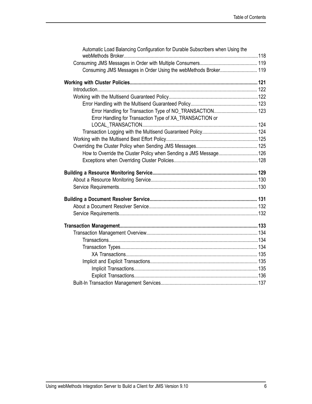| Automatic Load Balancing Configuration for Durable Subscribers when Using the |  |
|-------------------------------------------------------------------------------|--|
|                                                                               |  |
| Consuming JMS Messages in Order Using the webMethods Broker 119               |  |
|                                                                               |  |
|                                                                               |  |
|                                                                               |  |
|                                                                               |  |
| Error Handling for Transaction Type of NO_TRANSACTION 123                     |  |
| Error Handling for Transaction Type of XA_TRANSACTION or                      |  |
|                                                                               |  |
|                                                                               |  |
|                                                                               |  |
| How to Override the Cluster Policy when Sending a JMS Message126              |  |
|                                                                               |  |
|                                                                               |  |
|                                                                               |  |
|                                                                               |  |
|                                                                               |  |
|                                                                               |  |
|                                                                               |  |
|                                                                               |  |
|                                                                               |  |
|                                                                               |  |
|                                                                               |  |
|                                                                               |  |
|                                                                               |  |
|                                                                               |  |
|                                                                               |  |
|                                                                               |  |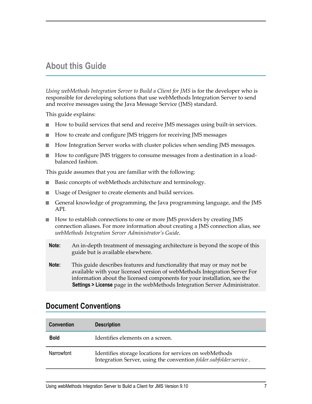## <span id="page-6-0"></span>**About this Guide**

*Using webMethods Integration Server to Build a Client for JMS* is for the developer who is responsible for developing solutions that use webMethods Integration Server to send and receive messages using the Java Message Service (JMS) standard.

This guide explains:

- How to build services that send and receive JMS messages using built-in services. П
- How to create and configure JMS triggers for receiving JMS messages n.
- n. How Integration Server works with cluster policies when sending JMS messages.
- How to configure JMS triggers to consume messages from a destination in a loadn. balanced fashion.

This guide assumes that you are familiar with the following:

- Basic concepts of webMethods architecture and terminology.  $\overline{\phantom{a}}$
- П Usage of Designer to create elements and build services.
- General knowledge of programming, the Java programming language, and the JMS API.
- How to establish connections to one or more JMS providers by creating JMS connection aliases. For more information about creating a JMS connection alias, see *webMethods Integration Server Administrator's Guide*.
- **Note:** An in-depth treatment of messaging architecture is beyond the scope of this guide but is available elsewhere.
- **Note:** This guide describes features and functionality that may or may not be available with your licensed version of webMethods Integration Server For information about the licensed components for your installation, see the **Settings > License** page in the webMethods Integration Server Administrator.

## <span id="page-6-1"></span>**Document Conventions**

| <b>Convention</b> | <b>Description</b>                                                                                                            |
|-------------------|-------------------------------------------------------------------------------------------------------------------------------|
| <b>Bold</b>       | Identifies elements on a screen.                                                                                              |
| Narrowfont        | Identifies storage locations for services on webMethods<br>Integration Server, using the convention folder.subfolder:service. |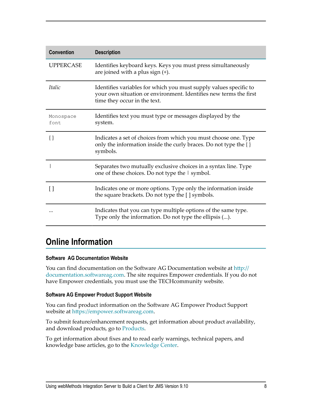| <b>Convention</b>  | <b>Description</b>                                                                                                                                                     |
|--------------------|------------------------------------------------------------------------------------------------------------------------------------------------------------------------|
| <b>UPPERCASE</b>   | Identifies keyboard keys. Keys you must press simultaneously<br>are joined with a plus sign (+).                                                                       |
| Italic             | Identifies variables for which you must supply values specific to<br>your own situation or environment. Identifies new terms the first<br>time they occur in the text. |
| Monospace<br>font. | Identifies text you must type or messages displayed by the<br>system.                                                                                                  |
| $\{\}$             | Indicates a set of choices from which you must choose one. Type<br>only the information inside the curly braces. Do not type the $\{\}$<br>symbols.                    |
|                    | Separates two mutually exclusive choices in a syntax line. Type<br>one of these choices. Do not type the I symbol.                                                     |
| l l                | Indicates one or more options. Type only the information inside<br>the square brackets. Do not type the [ ] symbols.                                                   |
|                    | Indicates that you can type multiple options of the same type.<br>Type only the information. Do not type the ellipsis ().                                              |

## <span id="page-7-0"></span>**Online Information**

#### **Software AG Documentation Website**

You can find documentation on the Software AG Documentation website at http:// [documentation.softwareag.com](http://documentation.softwareag.com). The site requires Empower credentials. If you do not have Empower credentials, you must use the TECHcommunity website.

#### **Software AG Empower Product Support Website**

You can find product information on the Software AG Empower Product Support website at https://empower.softwareag.com.

To submit feature/enhancement requests, get information about product availability, and download products, go to [Products](https://empower.softwareag.com/Products/default.asp).

To get information about fixes and to read early warnings, technical papers, and knowledge base articles, go to the [Knowledge](https://empower.softwareag.com/KnowledgeCenter/default.asp) Center.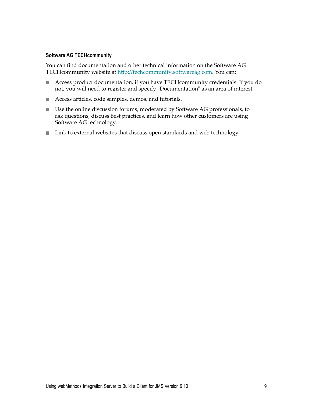#### **Software AG TECHcommunity**

You can find documentation and other technical information on the Software AG TECHcommunity website at http://techcommunity.softwareag.com. You can:

- Access product documentation, if you have TECHcommunity credentials. If you do not, you will need to register and specify "Documentation" as an area of interest.
- Access articles, code samples, demos, and tutorials. П
- Use the online discussion forums, moderated by Software AG professionals, to ask questions, discuss best practices, and learn how other customers are using Software AG technology.
- Link to external websites that discuss open standards and web technology. $\Box$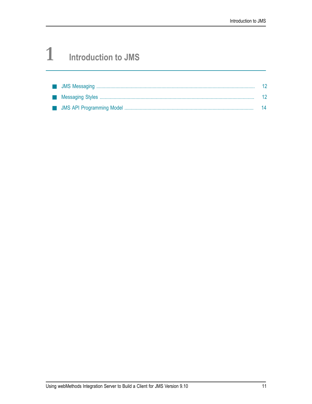# <span id="page-10-0"></span>**1 Introduction to JMS**

|  | $\overline{14}$ |
|--|-----------------|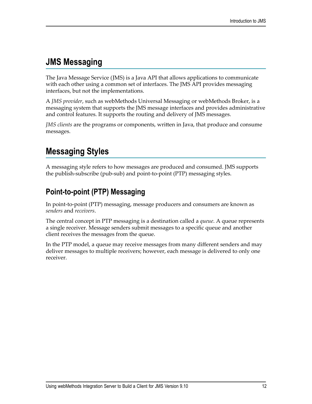# <span id="page-11-0"></span>**JMS Messaging**

The Java Message Service (JMS) is a Java API that allows applications to communicate with each other using a common set of interfaces. The JMS API provides messaging interfaces, but not the implementations.

A *JMS provider*, such as webMethods Universal Messaging or webMethods Broker, is a messaging system that supports the JMS message interfaces and provides administrative and control features. It supports the routing and delivery of JMS messages.

*JMS clients* are the programs or components, written in Java, that produce and consume messages.

# <span id="page-11-1"></span>**Messaging Styles**

A messaging style refers to how messages are produced and consumed. JMS supports the publish-subscribe (pub-sub) and point-to-point (PTP) messaging styles.

## <span id="page-11-2"></span>**Point-to-point (PTP) Messaging**

In point-to-point (PTP) messaging, message producers and consumers are known as *senders* and *receivers*.

The central concept in PTP messaging is a destination called a *queue*. A queue represents a single receiver. Message senders submit messages to a specific queue and another client receives the messages from the queue.

In the PTP model, a queue may receive messages from many different senders and may deliver messages to multiple receivers; however, each message is delivered to only one receiver.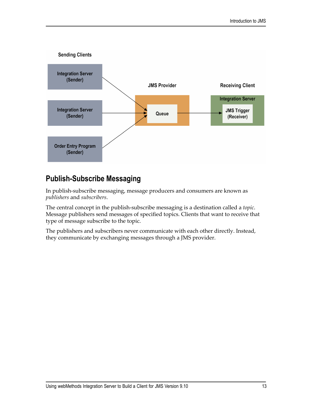

## <span id="page-12-0"></span>**Publish-Subscribe Messaging**

In publish-subscribe messaging, message producers and consumers are known as *publishers* and *subscribers*.

The central concept in the publish-subscribe messaging is a destination called a *topic*. Message publishers send messages of specified topics. Clients that want to receive that type of message subscribe to the topic.

The publishers and subscribers never communicate with each other directly. Instead, they communicate by exchanging messages through a JMS provider.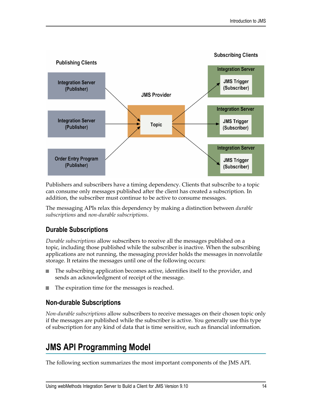

Publishers and subscribers have a timing dependency. Clients that subscribe to a topic can consume only messages published after the client has created a subscription. In addition, the subscriber must continue to be active to consume messages.

The messaging APIs relax this dependency by making a distinction between *durable subscriptions* and *non-durable subscriptions*.

## <span id="page-13-0"></span>**Durable Subscriptions**

*Durable subscriptions* allow subscribers to receive all the messages published on a topic, including those published while the subscriber is inactive. When the subscribing applications are not running, the messaging provider holds the messages in nonvolatile storage. It retains the messages until one of the following occurs:

- The subscribing application becomes active, identifies itself to the provider, and n. sends an acknowledgment of receipt of the message.
- The expiration time for the messages is reached.

#### <span id="page-13-1"></span>**Non-durable Subscriptions**

*Non-durable subscriptions* allow subscribers to receive messages on their chosen topic only if the messages are published while the subscriber is active. You generally use this type of subscription for any kind of data that is time sensitive, such as financial information.

# <span id="page-13-2"></span>**JMS API Programming Model**

The following section summarizes the most important components of the JMS API.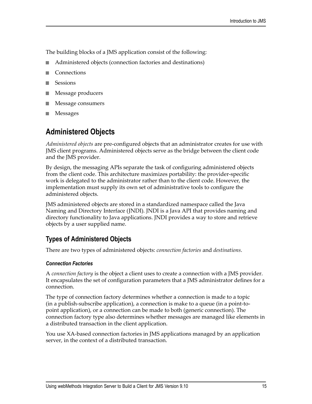The building blocks of a JMS application consist of the following:

- Administered objects (connection factories and destinations) П
- **Connections** m.
- Sessions n.
- Message producers n.
- Message consumers
- Messages

## <span id="page-14-0"></span>**Administered Objects**

*Administered objects* are pre-configured objects that an administrator creates for use with JMS client programs. Administered objects serve as the bridge between the client code and the JMS provider.

By design, the messaging APIs separate the task of configuring administered objects from the client code. This architecture maximizes portability: the provider-specific work is delegated to the administrator rather than to the client code. However, the implementation must supply its own set of administrative tools to configure the administered objects.

JMS administered objects are stored in a standardized namespace called the Java Naming and Directory Interface (JNDI). JNDI is a Java API that provides naming and directory functionality to Java applications. JNDI provides a way to store and retrieve objects by a user supplied name.

## <span id="page-14-1"></span>**Types of Administered Objects**

There are two types of administered objects: *connection factories* and *destinations*.

#### <span id="page-14-2"></span>*Connection Factories*

A *connection factory* is the object a client uses to create a connection with a JMS provider. It encapsulates the set of configuration parameters that a JMS administrator defines for a connection.

The type of connection factory determines whether a connection is made to a topic (in a publish-subscribe application), a connection is make to a queue (in a point-topoint application), or a connection can be made to both (generic connection). The connection factory type also determines whether messages are managed like elements in a distributed transaction in the client application.

You use XA-based connection factories in JMS applications managed by an application server, in the context of a distributed transaction.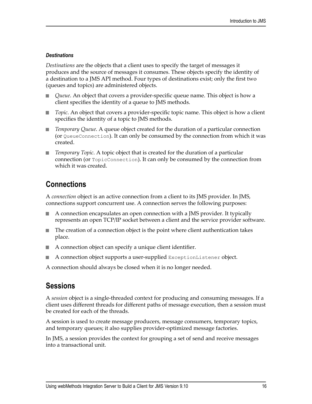#### <span id="page-15-0"></span>*Destinations*

*Destinations* are the objects that a client uses to specify the target of messages it produces and the source of messages it consumes. These objects specify the identity of a destination to a JMS API method. Four types of destinations exist; only the first two (queues and topics) are administered objects.

- *Queue*. An object that covers a provider-specific queue name. This object is how a client specifies the identity of a queue to JMS methods.
- n. *Topic*. An object that covers a provider-specific topic name. This object is how a client specifies the identity of a topic to JMS methods.
- *Temporary Queue*. A queue object created for the duration of a particular connection  $\overline{\phantom{a}}$ (or QueueConnection). It can only be consumed by the connection from which it was created.
- *Temporary Topic*. A topic object that is created for the duration of a particular connection (or TopicConnection). It can only be consumed by the connection from which it was created.

## <span id="page-15-1"></span>**Connections**

A *connection* object is an active connection from a client to its JMS provider. In JMS, connections support concurrent use. A connection serves the following purposes:

- A connection encapsulates an open connection with a JMS provider. It typically represents an open TCP/IP socket between a client and the service provider software.
- The creation of a connection object is the point where client authentication takes n. place.
- A connection object can specify a unique client identifier.  $\overline{\phantom{a}}$
- $\overline{\phantom{a}}$ A connection object supports a user-supplied ExceptionListener object.

A connection should always be closed when it is no longer needed.

## <span id="page-15-2"></span>**Sessions**

A *session* object is a single-threaded context for producing and consuming messages. If a client uses different threads for different paths of message execution, then a session must be created for each of the threads.

A session is used to create message producers, message consumers, temporary topics, and temporary queues; it also supplies provider-optimized message factories.

In JMS, a session provides the context for grouping a set of send and receive messages into a transactional unit.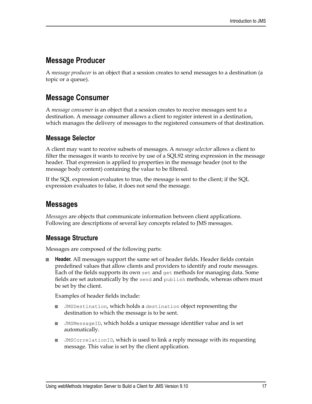## <span id="page-16-0"></span>**Message Producer**

A *message producer* is an object that a session creates to send messages to a destination (a topic or a queue).

## <span id="page-16-1"></span>**Message Consumer**

A *message consumer* is an object that a session creates to receive messages sent to a destination. A message consumer allows a client to register interest in a destination, which manages the delivery of messages to the registered consumers of that destination.

### <span id="page-16-2"></span>**Message Selector**

A client may want to receive subsets of messages. A *message selector* allows a client to filter the messages it wants to receive by use of a SQL92 string expression in the message header. That expression is applied to properties in the message header (not to the message body content) containing the value to be filtered.

If the SQL expression evaluates to true, the message is sent to the client; if the SQL expression evaluates to false, it does not send the message.

## <span id="page-16-3"></span>**Messages**

*Messages* are objects that communicate information between client applications. Following are descriptions of several key concepts related to JMS messages.

#### <span id="page-16-4"></span>**Message Structure**

Messages are composed of the following parts:

**Header.** All messages support the same set of header fields. Header fields contain predefined values that allow clients and providers to identify and route messages. Each of the fields supports its own set and get methods for managing data. Some fields are set automatically by the send and publish methods, whereas others must be set by the client.

Examples of header fields include:

- JMSDestination, which holds a destination object representing the П destination to which the message is to be sent.
- JMSMessageID, which holds a unique message identifier value and is set П automatically.
- JMSCorrelationID, which is used to link a reply message with its requesting П message. This value is set by the client application.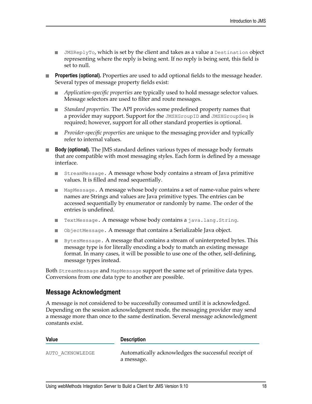- $\blacksquare$  JMSReplyTo, which is set by the client and takes as a value a Destination object representing where the reply is being sent. If no reply is being sent, this field is set to null.
- **Properties (optional).** Properties are used to add optional fields to the message header. Several types of message property fields exist:
	- *Application-specific properties* are typically used to hold message selector values. Message selectors are used to filter and route messages.
	- *Standard properties.* The API provides some predefined property names that a provider may support. Support for the JMSXGroupID and JMSXGroupSeq is required; however, support for all other standard properties is optional.
	- *Provider-specific properties* are unique to the messaging provider and typically refer to internal values.
- **Body (optional).** The JMS standard defines various types of message body formats n. that are compatible with most messaging styles. Each form is defined by a message interface.
	- StreamMessage. A message whose body contains a stream of Java primitive values. It is filled and read sequentially.
	- $\blacksquare$  MapMessage. A message whose body contains a set of name-value pairs where names are Strings and values are Java primitive types. The entries can be accessed sequentially by enumerator or randomly by name. The order of the entries is undefined.
	- TextMessage. A message whose body contains a java.lang.String.
	- ObjectMessage. A message that contains a Serializable Java object.
	- **BytesMessage. A message that contains a stream of uninterpreted bytes. This** message type is for literally encoding a body to match an existing message format. In many cases, it will be possible to use one of the other, self-defining, message types instead.

Both StreamMessage and MapMessage support the same set of primitive data types. Conversions from one data type to another are possible.

#### <span id="page-17-0"></span>**Message Acknowledgment**

A message is not considered to be successfully consumed until it is acknowledged. Depending on the session acknowledgment mode, the messaging provider may send a message more than once to the same destination. Several message acknowledgment constants exist.

| Value            | <b>Description</b>                                                 |
|------------------|--------------------------------------------------------------------|
| AUTO ACKNOWLEDGE | Automatically acknowledges the successful receipt of<br>a message. |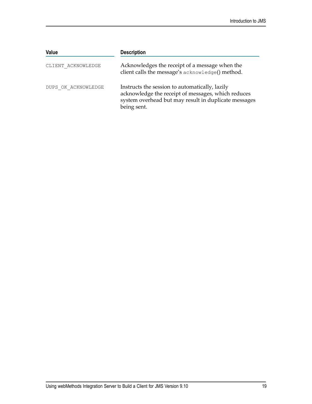| Value               | <b>Description</b>                                                                                                                                                          |
|---------------------|-----------------------------------------------------------------------------------------------------------------------------------------------------------------------------|
| CLIENT ACKNOWLEDGE  | Acknowledges the receipt of a message when the<br>client calls the message's acknowledge() method.                                                                          |
| DUPS OK ACKNOWLEDGE | Instructs the session to automatically, lazily<br>acknowledge the receipt of messages, which reduces<br>system overhead but may result in duplicate messages<br>being sent. |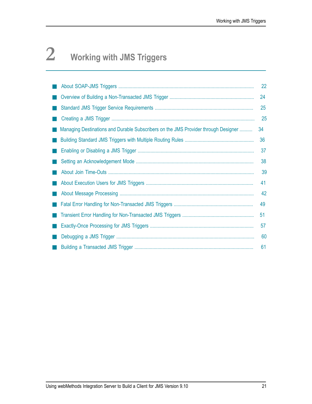# <span id="page-20-0"></span>**2 Working with JMS Triggers**

|                                                                                    | 22 |
|------------------------------------------------------------------------------------|----|
|                                                                                    | 24 |
|                                                                                    | 25 |
|                                                                                    | 25 |
| Managing Destinations and Durable Subscribers on the JMS Provider through Designer | 34 |
|                                                                                    | 36 |
|                                                                                    | 37 |
|                                                                                    | 38 |
|                                                                                    | 39 |
|                                                                                    | 41 |
|                                                                                    | 42 |
|                                                                                    | 49 |
|                                                                                    | 51 |
|                                                                                    | 57 |
|                                                                                    | 60 |
|                                                                                    | 61 |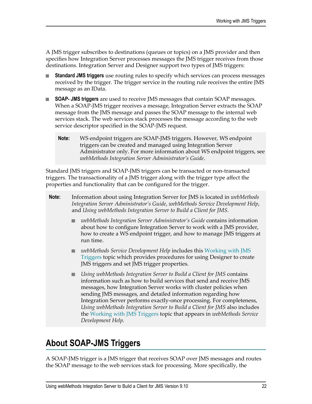A JMS trigger subscribes to destinations (queues or topics) on a JMS provider and then specifies how Integration Server processes messages the JMS trigger receives from those destinations. Integration Server and Designer support two types of JMS triggers:

- **Standard JMS triggers** use routing rules to specify which services can process messages n. received by the trigger. The trigger service in the routing rule receives the entire JMS message as an IData.
- **SOAP- JMS triggers** are used to receive JMS messages that contain SOAP messages. When a SOAP-JMS trigger receives a message, Integration Server extracts the SOAP message from the JMS message and passes the SOAP message to the internal web services stack. The web services stack processes the message according to the web service descriptor specified in the SOAP-JMS request.
	- **Note:** WS endpoint triggers are SOAP-JMS triggers. However, WS endpoint triggers can be created and managed using Integration Server Administrator only. For more information about WS endpoint triggers, see *webMethods Integration Server Administrator's Guide*.

Standard JMS triggers and SOAP-JMS triggers can be transacted or non-transacted triggers. The transactionality of a JMS trigger along with the trigger type affect the properties and functionality that can be configured for the trigger.

- **Note:** Information about using Integration Server for JMS is located in *webMethods Integration Server Administrator's Guide*, *webMethods Service Development Help*, and *Using webMethods Integration Server to Build a Client for JMS*.
	- *webMethods Integration Server Administrator's Guide* contains information about how to configure Integration Server to work with a JMS provider, how to create a WS endpoint trigger, and how to manage JMS triggers at run time.
	- *webMethods Service Development Help* includes this [Working with JMS](#page-20-0) [Triggers](#page-20-0) topic which provides procedures for using Designer to create JMS triggers and set JMS trigger properties.
	- *Using webMethods Integration Server to Build a Client for JMS* contains information such as how to build services that send and receive JMS messages, how Integration Server works with cluster policies when sending JMS messages, and detailed information regarding how Integration Server performs exactly-once processing. For completeness, *Using webMethods Integration Server to Build a Client for JMS* also includes the [Working with JMS Triggers](#page-20-0) topic that appears in *webMethods Service Development Help*.

# <span id="page-21-0"></span>**About SOAP-JMS Triggers**

A SOAP-JMS trigger is a JMS trigger that receives SOAP over JMS messages and routes the SOAP message to the web services stack for processing. More specifically, the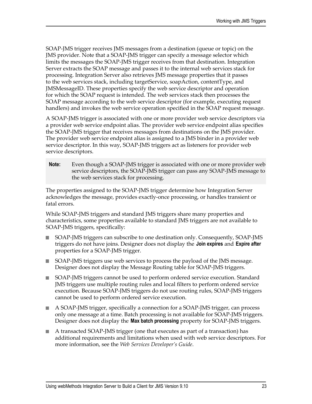SOAP-JMS trigger receives JMS messages from a destination (queue or topic) on the JMS provider. Note that a SOAP-JMS trigger can specify a message selector which limits the messages the SOAP-JMS trigger receives from that destination. Integration Server extracts the SOAP message and passes it to the internal web services stack for processing. Integration Server also retrieves JMS message properties that it passes to the web services stack, including targetService, soapAction, contentType, and JMSMessageID. These properties specify the web service descriptor and operation for which the SOAP request is intended. The web services stack then processes the SOAP message according to the web service descriptor (for example, executing request handlers) and invokes the web service operation specified in the SOAP request message.

A SOAP-JMS trigger is associated with one or more provider web service descriptors via a provider web service endpoint alias. The provider web service endpoint alias specifies the SOAP-JMS trigger that receives messages from destinations on the JMS provider. The provider web service endpoint alias is assigned to a JMS binder in a provider web service descriptor. In this way, SOAP-JMS triggers act as listeners for provider web service descriptors.

**Note:** Even though a SOAP-JMS trigger is associated with one or more provider web service descriptors, the SOAP-JMS trigger can pass any SOAP-JMS message to the web services stack for processing.

The properties assigned to the SOAP-JMS trigger determine how Integration Server acknowledges the message, provides exactly-once processing, or handles transient or fatal errors.

While SOAP-JMS triggers and standard JMS triggers share many properties and characteristics, some properties available to standard JMS triggers are not available to SOAP-JMS triggers, specifically:

- SOAP-JMS triggers can subscribe to one destination only. Consequently, SOAP-JMS n. triggers do not have joins. Designer does not display the **Join expires** and **Expire after** properties for a SOAP-JMS trigger.
- SOAP-JMS triggers use web services to process the payload of the JMS message. Designer does not display the Message Routing table for SOAP-JMS triggers.
- SOAP-JMS triggers cannot be used to perform ordered service execution. Standard JMS triggers use multiple routing rules and local filters to perform ordered service execution. Because SOAP-JMS triggers do not use routing rules, SOAP-JMS triggers cannot be used to perform ordered service execution.
- $\overline{\phantom{a}}$ A SOAP-JMS trigger, specifically a connection for a SOAP-JMS trigger, can process only one message at a time. Batch processing is not available for SOAP-JMS triggers. Designer does not display the **Max batch processing** property for SOAP-JMS triggers.
- A transacted SOAP-JMS trigger (one that executes as part of a transaction) has additional requirements and limitations when used with web service descriptors. For more information, see the *Web Services Developer's Guide*.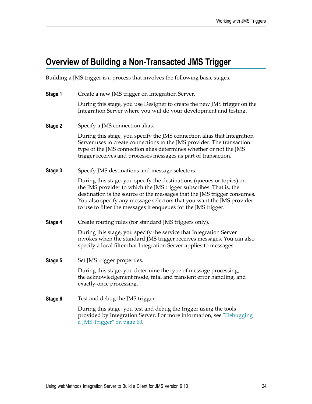# <span id="page-23-0"></span>**Overview of Building a Non-Transacted JMS Trigger**

Building a JMS trigger is a process that involves the following basic stages.

| Stage 1 | Create a new JMS trigger on Integration Server.                                                                                                                                                                                                                                                                                                                    |
|---------|--------------------------------------------------------------------------------------------------------------------------------------------------------------------------------------------------------------------------------------------------------------------------------------------------------------------------------------------------------------------|
|         | During this stage, you use Designer to create the new JMS trigger on the<br>Integration Server where you will do your development and testing.                                                                                                                                                                                                                     |
| Stage 2 | Specify a JMS connection alias.                                                                                                                                                                                                                                                                                                                                    |
|         | During this stage, you specify the JMS connection alias that Integration<br>Server uses to create connections to the JMS provider. The transaction<br>type of the JMS connection alias determines whether or not the JMS<br>trigger receives and processes messages as part of transaction.                                                                        |
| Stage 3 | Specify JMS destinations and message selectors.                                                                                                                                                                                                                                                                                                                    |
|         | During this stage, you specify the destinations (queues or topics) on<br>the JMS provider to which the JMS trigger subscribes. That is, the<br>destination is the source of the messages that the JMS trigger consumes.<br>You also specify any message selectors that you want the JMS provider<br>to use to filter the messages it enqueues for the JMS trigger. |
| Stage 4 | Create routing rules (for standard JMS triggers only).                                                                                                                                                                                                                                                                                                             |
|         | During this stage, you specify the service that Integration Server<br>invokes when the standard JMS trigger receives messages. You can also<br>specify a local filter that Integration Server applies to messages.                                                                                                                                                 |
| Stage 5 | Set JMS trigger properties.                                                                                                                                                                                                                                                                                                                                        |
|         | During this stage, you determine the type of message processing,<br>the acknowledgement mode, fatal and transient error handling, and<br>exactly-once processing.                                                                                                                                                                                                  |
| Stage 6 | Test and debug the JMS trigger.                                                                                                                                                                                                                                                                                                                                    |
|         | During this stage, you test and debug the trigger using the tools<br>provided by Integration Server. For more information, see "Debugging                                                                                                                                                                                                                          |

[a JMS Trigger" on page 60](#page-59-1).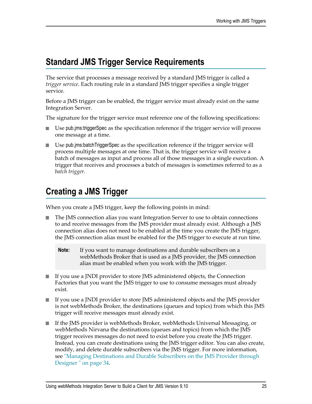## <span id="page-24-0"></span>**Standard JMS Trigger Service Requirements**

The service that processes a message received by a standard JMS trigger is called a *trigger service*. Each routing rule in a standard JMS trigger specifies a single trigger service.

Before a JMS trigger can be enabled, the trigger service must already exist on the same Integration Server.

The signature for the trigger service must reference one of the following specifications:

- Use pub.jms:triggerSpec as the specification reference if the trigger service will process n. one message at a time.
- n. Use pub.jms:batchTriggerSpec as the specification reference if the trigger service will process multiple messages at one time. That is, the trigger service will receive a batch of messages as input and process all of those messages in a single execution. A trigger that receives and processes a batch of messages is sometimes referred to as a *batch trigger*.

# <span id="page-24-1"></span>**Creating a JMS Trigger**

When you create a JMS trigger, keep the following points in mind:

- The JMS connection alias you want Integration Server to use to obtain connections to and receive messages from the JMS provider must already exist. Although a JMS connection alias does not need to be enabled at the time you create the JMS trigger, the JMS connection alias must be enabled for the JMS trigger to execute at run time.
	- **Note:** If you want to manage destinations and durable subscribers on a webMethods Broker that is used as a JMS provider, the JMS connection alias must be enabled when you work with the JMS trigger.
- If you use a JNDI provider to store JMS administered objects, the Connection Factories that you want the JMS trigger to use to consume messages must already exist.
- If you use a JNDI provider to store JMS administered objects and the JMS provider is not webMethods Broker, the destinations (queues and topics) from which this JMS trigger will receive messages must already exist.
- If the JMS provider is webMethods Broker, webMethods Universal Messaging, or webMethods Nirvana the destinations (queues and topics) from which the JMS trigger receives messages do not need to exist before you create the JMS trigger. Instead, you can create destinations using the JMS trigger editor. You can also create, modify, and delete durable subscribers via the JMS trigger. For more information, see ["Managing Destinations and Durable Subscribers on the JMS Provider through](#page-33-0) [Designer " on page 34.](#page-33-0)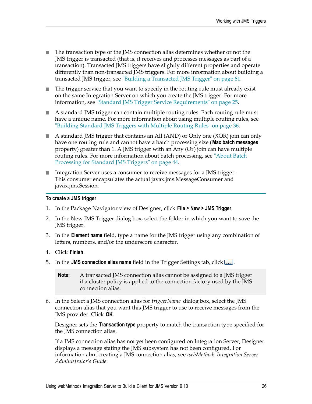- The transaction type of the JMS connection alias determines whether or not the JMS trigger is transacted (that is, it receives and processes messages as part of a transaction). Transacted JMS triggers have slightly different properties and operate differently than non-transacted JMS triggers. For more information about building a transacted JMS trigger, see ["Building a Transacted JMS Trigger" on page 61.](#page-60-1)
- The trigger service that you want to specify in the routing rule must already exist on the same Integration Server on which you create the JMS trigger. For more information, see ["Standard JMS Trigger Service Requirements" on page 25.](#page-24-0)
- A standard JMS trigger can contain multiple routing rules. Each routing rule must  $\overline{\phantom{a}}$ have a unique name. For more information about using multiple routing rules, see ["Building Standard JMS Triggers with Multiple Routing Rules" on page 36.](#page-35-0)
- A standard JMS trigger that contains an All (AND) or Only one (XOR) join can only have one routing rule and cannot have a batch processing size (**Max batch messages** property) greater than 1. A JMS trigger with an Any (Or) join can have multiple routing rules. For more information about batch processing, see ["About Batch](#page-43-1) [Processing for Standard JMS Triggers" on page 44](#page-43-1).
- Integration Server uses a consumer to receive messages for a JMS trigger. П This consumer encapsulates the actual javax.jms.MessageConsumer and javax.jms.Session.

#### **To create a JMS trigger**

- 1. In the Package Navigator view of Designer, click **File > New > JMS Trigger**.
- 2. In the New JMS Trigger dialog box, select the folder in which you want to save the JMS trigger.
- 3. In the **Element name** field, type a name for the JMS trigger using any combination of letters, numbers, and/or the underscore character.
- 4. Click **Finish**.
- 5. In the **JMS connection alias name** field in the Trigger Settings tab, click ...
	- **Note:** A transacted JMS connection alias cannot be assigned to a JMS trigger if a cluster policy is applied to the connection factory used by the JMS connection alias.
- 6. In the Select a JMS connection alias for *triggerName* dialog box, select the JMS connection alias that you want this JMS trigger to use to receive messages from the JMS provider. Click **OK**.

Designer sets the **Transaction type** property to match the transaction type specified for the JMS connection alias.

If a JMS connection alias has not yet been configured on Integration Server, Designer displays a message stating the JMS subsystem has not been configured. For information abut creating a JMS connection alias, see *webMethods Integration Server Administrator's Guide*.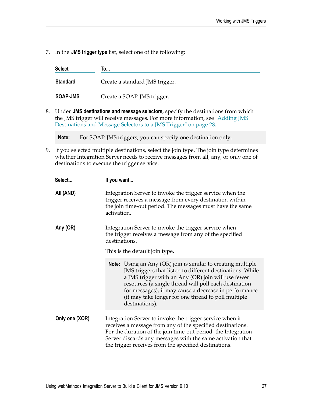7. In the **JMS trigger type** list, select one of the following:

| <b>Select</b>   | To                             |
|-----------------|--------------------------------|
| <b>Standard</b> | Create a standard JMS trigger. |
| <b>SOAP-JMS</b> | Create a SOAP-JMS trigger.     |

8. Under **JMS destinations and message selectors**, specify the destinations from which the JMS trigger will receive messages. For more information, see ["Adding JMS](#page-27-0) [Destinations and Message Selectors to a JMS Trigger" on page 28.](#page-27-0)

**Note:** For SOAP-JMS triggers, you can specify one destination only.

9. If you selected multiple destinations, select the join type. The join type determines whether Integration Server needs to receive messages from all, any, or only one of destinations to execute the trigger service.

| Select         | If you want<br>Integration Server to invoke the trigger service when the<br>trigger receives a message from every destination within<br>the join time-out period. The messages must have the same<br>activation.                                                                                                                                                                  |  |  |
|----------------|-----------------------------------------------------------------------------------------------------------------------------------------------------------------------------------------------------------------------------------------------------------------------------------------------------------------------------------------------------------------------------------|--|--|
| All (AND)      |                                                                                                                                                                                                                                                                                                                                                                                   |  |  |
| Any (OR)       | Integration Server to invoke the trigger service when<br>the trigger receives a message from any of the specified<br>destinations.                                                                                                                                                                                                                                                |  |  |
|                | This is the default join type.                                                                                                                                                                                                                                                                                                                                                    |  |  |
|                | <b>Note:</b> Using an Any (OR) join is similar to creating multiple<br>JMS triggers that listen to different destinations. While<br>a JMS trigger with an Any (OR) join will use fewer<br>resources (a single thread will poll each destination<br>for messages), it may cause a decrease in performance<br>(it may take longer for one thread to poll multiple<br>destinations). |  |  |
| Only one (XOR) | Integration Server to invoke the trigger service when it<br>receives a message from any of the specified destinations.<br>For the duration of the join time-out period, the Integration<br>Server discards any messages with the same activation that<br>the trigger receives from the specified destinations.                                                                    |  |  |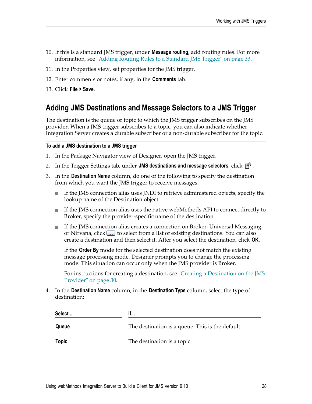- 10. If this is a standard JMS trigger, under **Message routing**, add routing rules. For more information, see ["Adding Routing Rules to a Standard JMS Trigger" on page 33.](#page-32-1)
- 11. In the Properties view, set properties for the JMS trigger.
- 12. Enter comments or notes, if any, in the **Comments** tab.
- 13. Click **File > Save**.

## <span id="page-27-0"></span>**Adding JMS Destinations and Message Selectors to a JMS Trigger**

The destination is the queue or topic to which the JMS trigger subscribes on the JMS provider. When a JMS trigger subscribes to a topic, you can also indicate whether Integration Server creates a durable subscriber or a non-durable subscriber for the topic.

#### **To add a JMS destination to a JMS trigger**

- 1. In the Package Navigator view of Designer, open the JMS trigger.
- 2. In the Trigger Settings tab, under JMS destinations and message selectors, click  $\mathbb{B}^k$ .
- 3. In the **Destination Name** column, do one of the following to specify the destination from which you want the JMS trigger to receive messages.
	- If the JMS connection alias uses JNDI to retrieve administered objects, specify the  $\mathbf{r}$ lookup name of the Destination object.
	- If the JMS connection alias uses the native webMethods API to connect directly to ш Broker, specify the provider-specific name of the destination.
	- If the JMS connection alias creates a connection on Broker, Universal Messaging, ш or Nirvana, click .... to select from a list of existing destinations. You can also create a destination and then select it. After you select the destination, click **OK**.

If the **Order By** mode for the selected destination does not match the existing message processing mode, Designer prompts you to change the processing mode. This situation can occur only when the JMS provider is Broker.

For instructions for creating a destination, see ["Creating a Destination on the JMS](#page-29-0) [Provider" on page 30.](#page-29-0)

4. In the **Destination Name** column, in the **Destination Type** column, select the type of destination:

| Select       | If                                               |  |
|--------------|--------------------------------------------------|--|
| Queue        | The destination is a queue. This is the default. |  |
| <b>Topic</b> | The destination is a topic.                      |  |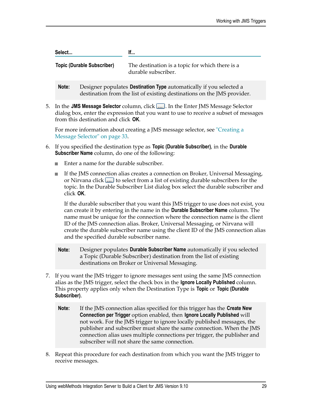| Select<br><b>Topic (Durable Subscriber)</b> |  | lf<br>The destination is a topic for which there is a<br>durable subscriber. |  |
|---------------------------------------------|--|------------------------------------------------------------------------------|--|
|                                             |  |                                                                              |  |

5. In the **JMS Message Selector** column, click . In the Enter JMS Message Selector dialog box, enter the expression that you want to use to receive a subset of messages

destination from the list of existing destinations on the JMS provider.

from this destination and click **OK**.

For more information about creating a JMS message selector, see ["Creating a](#page-32-0) [Message Selector" on page 33](#page-32-0).

- 6. If you specified the destination type as **Topic (Durable Subscriber)**, in the **Durable Subscriber Name** column, do one of the following:
	- Enter a name for the durable subscriber.  $\blacksquare$
	- If the JMS connection alias creates a connection on Broker, Universal Messaging, n. or Nirvana click  $\boxed{\ldots}$  to select from a list of existing durable subscribers for the topic. In the Durable Subscriber List dialog box select the durable subscriber and click **OK**.

If the durable subscriber that you want this JMS trigger to use does not exist, you can create it by entering in the name in the **Durable Subscriber Name** column. The name must be unique for the connection where the connection name is the client ID of the JMS connection alias. Broker, Universal Messaging, or Nirvana will create the durable subscriber name using the client ID of the JMS connection alias and the specified durable subscriber name.

- **Note:** Designer populates **Durable Subscriber Name** automatically if you selected a Topic (Durable Subscriber) destination from the list of existing destinations on Broker or Universal Messaging.
- 7. If you want the JMS trigger to ignore messages sent using the same JMS connection alias as the JMS trigger, select the check box in the **Ignore Locally Published** column. This property applies only when the Destination Type is **Topic** or **Topic (Durable Subscriber)**.
	- **Note:** If the JMS connection alias specified for this trigger has the **Create New Connection per Trigger** option enabled, then **Ignore Locally Published** will not work. For the JMS trigger to ignore locally published messages, the publisher and subscriber must share the same connection. When the JMS connection alias uses multiple connections per trigger, the publisher and subscriber will not share the same connection.
- 8. Repeat this procedure for each destination from which you want the JMS trigger to receive messages.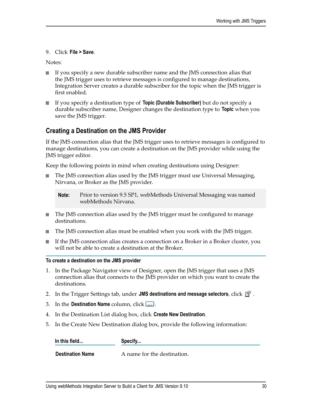#### 9. Click **File > Save**.

Notes:

- If you specify a new durable subscriber name and the JMS connection alias that the JMS trigger uses to retrieve messages is configured to manage destinations, Integration Server creates a durable subscriber for the topic when the JMS trigger is first enabled.
- If you specify a destination type of **Topic (Durable Subscriber)** but do not specify a n. durable subscriber name, Designer changes the destination type to **Topic** when you save the JMS trigger.

### <span id="page-29-0"></span>**Creating a Destination on the JMS Provider**

If the JMS connection alias that the JMS trigger uses to retrieve messages is configured to manage destinations, you can create a destination on the JMS provider while using the JMS trigger editor.

Keep the following points in mind when creating destinations using Designer:

The JMS connection alias used by the JMS trigger must use Universal Messaging, Nirvana, or Broker as the JMS provider.

- The JMS connection alias used by the JMS trigger must be configured to manage m. destinations.
- The JMS connection alias must be enabled when you work with the JMS trigger.
- If the JMS connection alias creates a connection on a Broker in a Broker cluster, you will not be able to create a destination at the Broker.

#### **To create a destination on the JMS provider**

- 1. In the Package Navigator view of Designer, open the JMS trigger that uses a JMS connection alias that connects to the JMS provider on which you want to create the destinations.
- 2. In the Trigger Settings tab, under **JMS destinations and message selectors**, click  $\mathbb{B}^k$ .
- 3. In the **Destination Name** column, click .
- 4. In the Destination List dialog box, click **Create New Destination**.
- 5. In the Create New Destination dialog box, provide the following information:

**In this field... Specify...**

**Destination Name** A name for the destination.

**Note:** Prior to version 9.5 SP1, webMethods Universal Messaging was named webMethods Nirvana.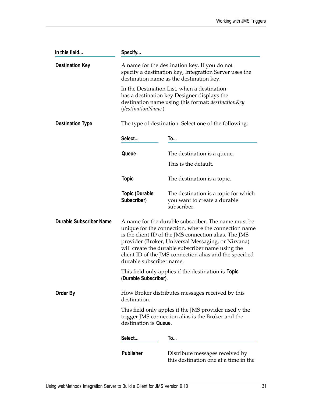| In this field                  | Specify                              |                                                                                                                                                                                                                                                                                                                                            |  |
|--------------------------------|--------------------------------------|--------------------------------------------------------------------------------------------------------------------------------------------------------------------------------------------------------------------------------------------------------------------------------------------------------------------------------------------|--|
| <b>Destination Key</b>         |                                      | A name for the destination key. If you do not<br>specify a destination key, Integration Server uses the<br>destination name as the destination key.                                                                                                                                                                                        |  |
|                                | (destinationName)                    | In the Destination List, when a destination<br>has a destination key Designer displays the<br>destination name using this format: destinationKey                                                                                                                                                                                           |  |
| <b>Destination Type</b>        |                                      | The type of destination. Select one of the following:                                                                                                                                                                                                                                                                                      |  |
|                                | Select                               | To                                                                                                                                                                                                                                                                                                                                         |  |
|                                | Queue                                | The destination is a queue.                                                                                                                                                                                                                                                                                                                |  |
|                                |                                      | This is the default.                                                                                                                                                                                                                                                                                                                       |  |
|                                | <b>Topic</b>                         | The destination is a topic.                                                                                                                                                                                                                                                                                                                |  |
|                                | <b>Topic (Durable</b><br>Subscriber) | The destination is a topic for which<br>you want to create a durable<br>subscriber.                                                                                                                                                                                                                                                        |  |
| <b>Durable Subscriber Name</b> | durable subscriber name.             | A name for the durable subscriber. The name must be<br>unique for the connection, where the connection name<br>is the client ID of the JMS connection alias. The JMS<br>provider (Broker, Universal Messaging, or Nirvana)<br>will create the durable subscriber name using the<br>client ID of the JMS connection alias and the specified |  |
|                                | (Durable Subscriber).                | This field only applies if the destination is <b>Topic</b>                                                                                                                                                                                                                                                                                 |  |
| Order By                       | destination.                         | How Broker distributes messages received by this                                                                                                                                                                                                                                                                                           |  |
|                                | destination is Queue.                | This field only apples if the JMS provider used y the<br>trigger JMS connection alias is the Broker and the                                                                                                                                                                                                                                |  |
|                                | Select                               | To                                                                                                                                                                                                                                                                                                                                         |  |
|                                | <b>Publisher</b>                     | Distribute messages received by<br>this destination one at a time in the                                                                                                                                                                                                                                                                   |  |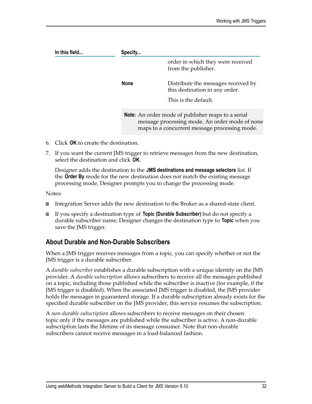| In this field | Specify     |                                                                                                                                                             |  |
|---------------|-------------|-------------------------------------------------------------------------------------------------------------------------------------------------------------|--|
|               |             | order in which they were received<br>from the publisher.                                                                                                    |  |
|               | <b>None</b> | Distribute the messages received by<br>this destination in any order.                                                                                       |  |
|               |             | This is the default.                                                                                                                                        |  |
|               |             | <b>Note:</b> An order mode of publisher maps to a serial<br>message processing mode. An order mode of none<br>maps to a concurrent message processing mode. |  |

- 6. Click **OK** to create the destination.
- 7. If you want the current JMS trigger to retrieve messages from the new destination, select the destination and click **OK**.

Designer adds the destination to the **JMS destinations and message selectors** list. If the **Order By** mode for the new destination does not match the existing message processing mode, Designer prompts you to change the processing mode.

Notes:

- F. Integration Server adds the new destination to the Broker as a shared-state client.
- If you specify a destination type of **Topic (Durable Subscriber)** but do not specify a m. durable subscriber name, Designer changes the destination type to **Topic** when you save the JMS trigger.

## <span id="page-31-0"></span>**About Durable and Non-Durable Subscribers**

When a JMS trigger receives messages from a topic, you can specify whether or not the JMS trigger is a durable subscriber.

A *durable subscriber* establishes a durable subscription with a unique identity on the JMS provider. A *durable subscription* allows subscribers to receive all the messages published on a topic, including those published while the subscriber is inactive (for example, if the JMS trigger is disabled). When the associated JMS trigger is disabled, the JMS provider holds the messages in guaranteed storage. If a durable subscription already exists for the specified durable subscriber on the JMS provider, this service resumes the subscription.

A *non-durable subscription* allows subscribers to receive messages on their chosen topic only if the messages are published while the subscriber is active. A non-durable subscription lasts the lifetime of its message consumer. Note that non-durable subscribers cannot receive messages in a load-balanced fashion.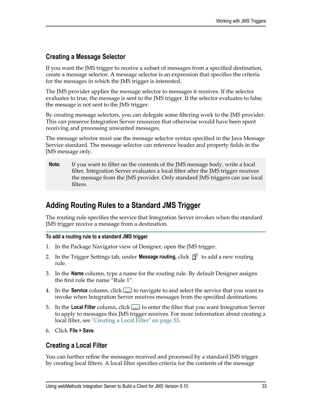## <span id="page-32-0"></span>**Creating a Message Selector**

If you want the JMS trigger to receive a subset of messages from a specified destination, create a message selector. A message selector is an expression that specifies the criteria for the messages in which the JMS trigger is interested.

The JMS provider applies the message selector to messages it receives. If the selector evaluates to true, the message is sent to the JMS trigger. If the selector evaluates to false, the message is not sent to the JMS trigger.

By creating message selectors, you can delegate some filtering work to the JMS provider. This can preserve Integration Server resources that otherwise would have been spent receiving and processing unwanted messages.

The message selector must use the message selector syntax specified in the Java Message Service standard. The message selector can reference header and property fields in the JMS message only.

**Note:** If you want to filter on the contents of the JMS message body, write a local filter. Integration Server evaluates a local filter after the JMS trigger receives the message from the JMS provider. Only standard JMS triggers can use local filters.

## <span id="page-32-1"></span>**Adding Routing Rules to a Standard JMS Trigger**

The routing rule specifies the service that Integration Server invokes when the standard JMS trigger receive a message from a destination.

#### **To add a routing rule to a standard JMS trigger**

- 1. In the Package Navigator view of Designer, open the JMS trigger.
- 2. In the Trigger Settings tab, under **Message routing**, click  $\mathbb{B}^*$  to add a new routing rule.
- 3. In the **Name** column, type a name for the routing rule. By default Designer assigns the first rule the name "Rule 1".
- 4. In the **Service** column, click **the last of native** to and select the service that you want to invoke when Integration Server receives messages from the specified destinations.
- 5. In the **Local Filter** column, click **the local tensor that** fluiter that you want Integration Server to apply to messages this JMS trigger receives. For more information about creating a local filter, see ["Creating a Local Filter" on page 33](#page-32-2).
- 6. Click **File > Save**.

#### <span id="page-32-2"></span>**Creating a Local Filter**

You can further refine the messages received and processed by a standard JMS trigger by creating local filters. A local filter specifies criteria for the contents of the message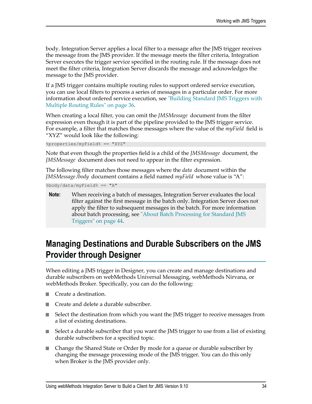body. Integration Server applies a local filter to a message after the JMS trigger receives the message from the JMS provider. If the message meets the filter criteria, Integration Server executes the trigger service specified in the routing rule. If the message does not meet the filter criteria, Integration Server discards the message and acknowledges the message to the JMS provider.

If a JMS trigger contains multiple routing rules to support ordered service execution, you can use local filters to process a series of messages in a particular order. For more information about ordered service execution, see ["Building Standard JMS Triggers with](#page-35-0) [Multiple Routing Rules" on page 36](#page-35-0).

When creating a local filter, you can omit the *JMSMessage* document from the filter expression even though it is part of the pipeline provided to the JMS trigger service. For example, a filter that matches those messages where the value of the *myField* field is "XYZ" would look like the following:

%properties/myField% == "XYZ"

Note that even though the properties field is a child of the *JMSMessage* document, the *JMSMessage* document does not need to appear in the filter expression.

The following filter matches those messages where the *data* document within the *JMSMessage*/*body* document contains a field named *myField* whose value is "A":

%body/data/myField% == "A"

**Note:** When receiving a batch of messages, Integration Server evaluates the local filter against the first message in the batch only. Integration Server does not apply the filter to subsequent messages in the batch. For more information about batch processing, see ["About Batch Processing for Standard JMS](#page-43-1) [Triggers" on page 44.](#page-43-1)

## <span id="page-33-0"></span>**Managing Destinations and Durable Subscribers on the JMS Provider through Designer**

When editing a JMS trigger in Designer, you can create and manage destinations and durable subscribers on webMethods Universal Messaging, webMethods Nirvana, or webMethods Broker. Specifically, you can do the following:

- Create a destination. n.
- Create and delete a durable subscriber. n.
- Select the destination from which you want the JMS trigger to receive messages from a list of existing destinations.
- Select a durable subscriber that you want the JMS trigger to use from a list of existing durable subscribers for a specified topic.
- Change the Shared State or Order By mode for a queue or durable subscriber by changing the message processing mode of the JMS trigger. You can do this only when Broker is the JMS provider only.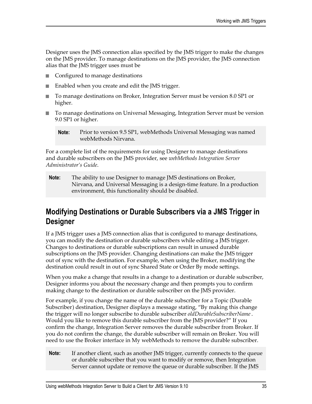Designer uses the JMS connection alias specified by the JMS trigger to make the changes on the JMS provider. To manage destinations on the JMS provider, the JMS connection alias that the JMS trigger uses must be

- п Configured to manage destinations
- n. Enabled when you create and edit the JMS trigger.
- To manage destinations on Broker, Integration Server must be version 8.0 SP1 or m. higher.
- To manage destinations on Universal Messaging, Integration Server must be version 9.0 SP1 or higher.

For a complete list of the requirements for using Designer to manage destinations and durable subscribers on the JMS provider, see *webMethods Integration Server Administrator's Guide*.

**Note:** The ability to use Designer to manage JMS destinations on Broker, Nirvana, and Universal Messaging is a design-time feature. In a production environment, this functionality should be disabled.

## <span id="page-34-0"></span>**Modifying Destinations or Durable Subscribers via a JMS Trigger in Designer**

If a JMS trigger uses a JMS connection alias that is configured to manage destinations, you can modify the destination or durable subscribers while editing a JMS trigger. Changes to destinations or durable subscriptions can result in unused durable subscriptions on the JMS provider. Changing destinations can make the JMS trigger out of sync with the destination. For example, when using the Broker, modifying the destination could result in out of sync Shared State or Order By mode settings.

When you make a change that results in a change to a destination or durable subscriber, Designer informs you about the necessary change and then prompts you to confirm making change to the destination or durable subscriber on the JMS provider.

For example, if you change the name of the durable subscriber for a Topic (Durable Subscriber) destination, Designer displays a message stating, "By making this change the trigger will no longer subscribe to durable subscriber *oldDurableSubscriberName*. Would you like to remove this durable subscriber from the JMS provider?" If you confirm the change, Integration Server removes the durable subscriber from Broker. If you do not confirm the change, the durable subscriber will remain on Broker. You will need to use the Broker interface in My webMethods to remove the durable subscriber.

**Note:** If another client, such as another JMS trigger, currently connects to the queue or durable subscriber that you want to modify or remove, then Integration Server cannot update or remove the queue or durable subscriber. If the JMS

**Note:** Prior to version 9.5 SP1, webMethods Universal Messaging was named webMethods Nirvana.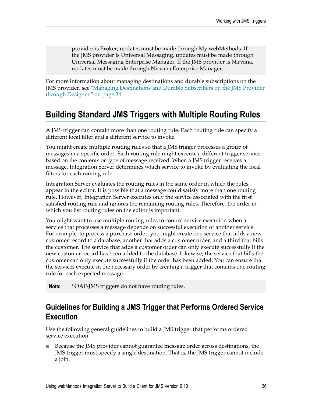provider is Broker, updates must be made through My webMethods. If the JMS provider is Universal Messaging, updates must be made through Universal Messaging Enterprise Manager. If the JMS provider is Nirvana, updates must be made through Nirvana Enterprise Manager.

For more information about managing destinations and durable subscriptions on the JMS provider, see ["Managing Destinations and Durable Subscribers on the JMS Provider](#page-33-0) [through Designer " on page 34.](#page-33-0)

# <span id="page-35-0"></span>**Building Standard JMS Triggers with Multiple Routing Rules**

A JMS trigger can contain more than one routing rule. Each routing rule can specify a different local filter and a different service to invoke.

You might create multiple routing rules so that a JMS trigger processes a group of messages in a specific order. Each routing rule might execute a different trigger service based on the contents or type of message received. When a JMS trigger receives a message, Integration Server determines which service to invoke by evaluating the local filters for each routing rule.

Integration Server evaluates the routing rules in the same order in which the rules appear in the editor. It is possible that a message could satisfy more than one routing rule. However, Integration Server executes only the service associated with the first satisfied routing rule and ignores the remaining routing rules. Therefore, the order in which you list routing rules on the editor is important.

You might want to use multiple routing rules to control service execution when a service that processes a message depends on successful execution of another service. For example, to process a purchase order, you might create one service that adds a new customer record to a database, another that adds a customer order, and a third that bills the customer. The service that adds a customer order can only execute successfully if the new customer record has been added to the database. Likewise, the service that bills the customer can only execute successfully if the order has been added. You can ensure that the services execute in the necessary order by creating a trigger that contains one routing rule for each expected message.

**Note:** SOAP-JMS triggers do not have routing rules.

## <span id="page-35-1"></span>**Guidelines for Building a JMS Trigger that Performs Ordered Service Execution**

Use the following general guidelines to build a JMS trigger that performs ordered service execution.

Because the JMS provider cannot guarantee message order across destinations, the JMS trigger must specify a single destination. That is, the JMS trigger cannot include a join.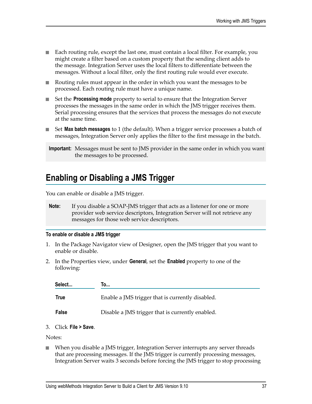- Each routing rule, except the last one, must contain a local filter. For example, you might create a filter based on a custom property that the sending client adds to the message. Integration Server uses the local filters to differentiate between the messages. Without a local filter, only the first routing rule would ever execute.
- Routing rules must appear in the order in which you want the messages to be processed. Each routing rule must have a unique name.
- Set the **Processing mode** property to serial to ensure that the Integration Server processes the messages in the same order in which the JMS trigger receives them. Serial processing ensures that the services that process the messages do not execute at the same time.
- Set **Max batch messages** to 1 (the default). When a trigger service processes a batch of n. messages, Integration Server only applies the filter to the first message in the batch.

# **Enabling or Disabling a JMS Trigger**

You can enable or disable a JMS trigger.

**Note:** If you disable a SOAP-JMS trigger that acts as a listener for one or more provider web service descriptors, Integration Server will not retrieve any messages for those web service descriptors.

#### **To enable or disable a JMS trigger**

- 1. In the Package Navigator view of Designer, open the JMS trigger that you want to enable or disable.
- 2. In the Properties view, under **General**, set the **Enabled** property to one of the following:

| Select      | I0…                                              |
|-------------|--------------------------------------------------|
| <b>True</b> | Enable a JMS trigger that is currently disabled. |
| False       | Disable a JMS trigger that is currently enabled. |

3. Click **File > Save**.

Notes:

When you disable a JMS trigger, Integration Server interrupts any server threads  $\overline{\phantom{a}}$ that are processing messages. If the JMS trigger is currently processing messages, Integration Server waits 3 seconds before forcing the JMS trigger to stop processing

**Important:** Messages must be sent to JMS provider in the same order in which you want the messages to be processed.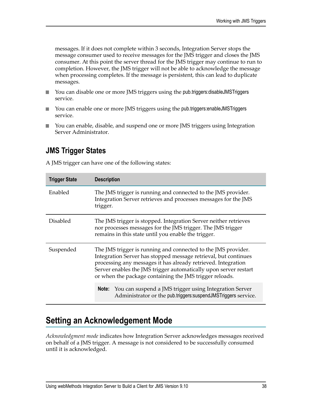messages. If it does not complete within 3 seconds, Integration Server stops the message consumer used to receive messages for the JMS trigger and closes the JMS consumer. At this point the server thread for the JMS trigger may continue to run to completion. However, the JMS trigger will not be able to acknowledge the message when processing completes. If the message is persistent, this can lead to duplicate messages.

- You can disable one or more JMS triggers using the pub.triggers:disableJMSTriggers  $\overline{\phantom{a}}$ service.
- You can enable one or more JMS triggers using the pub.triggers:enableJMSTriggers  $\mathcal{L}_{\mathcal{A}}$ service.
- You can enable, disable, and suspend one or more JMS triggers using Integration  $\Box$ Server Administrator.

# **JMS Trigger States**

A JMS trigger can have one of the following states:

| <b>Trigger State</b> | <b>Description</b>                                                                                                                                                                                                                                                                                                               |  |
|----------------------|----------------------------------------------------------------------------------------------------------------------------------------------------------------------------------------------------------------------------------------------------------------------------------------------------------------------------------|--|
| Enabled              | The JMS trigger is running and connected to the JMS provider.<br>Integration Server retrieves and processes messages for the JMS<br>trigger.                                                                                                                                                                                     |  |
| <b>Disabled</b>      | The JMS trigger is stopped. Integration Server neither retrieves<br>nor processes messages for the JMS trigger. The JMS trigger<br>remains in this state until you enable the trigger.                                                                                                                                           |  |
| Suspended            | The JMS trigger is running and connected to the JMS provider.<br>Integration Server has stopped message retrieval, but continues<br>processing any messages it has already retrieved. Integration<br>Server enables the JMS trigger automatically upon server restart<br>or when the package containing the JMS trigger reloads. |  |
|                      | <b>Note:</b> You can suspend a JMS trigger using Integration Server<br>Administrator or the pub.triggers: suspendJMSTriggers service.                                                                                                                                                                                            |  |

# **Setting an Acknowledgement Mode**

*Acknowledgment mode* indicates how Integration Server acknowledges messages received on behalf of a JMS trigger. A message is not considered to be successfully consumed until it is acknowledged.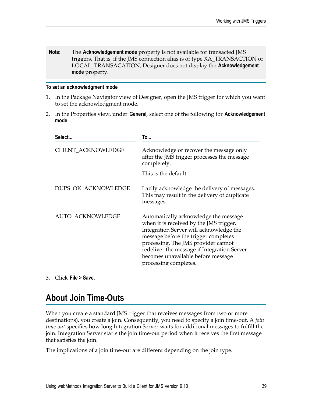**Note:** The **Acknowledgement mode** property is not available for transacted JMS triggers. That is, if the JMS connection alias is of type XA\_TRANSACTION or LOCAL\_TRANSACATION, Designer does not display the **Acknowledgement mode** property.

#### **To set an acknowledgment mode**

- 1. In the Package Navigator view of Designer, open the JMS trigger for which you want to set the acknowledgment mode.
- 2. In the Properties view, under **General**, select one of the following for **Acknowledgement mode**:

| Select                  | To                                                                                                                                                                                                                                                                                                                       |
|-------------------------|--------------------------------------------------------------------------------------------------------------------------------------------------------------------------------------------------------------------------------------------------------------------------------------------------------------------------|
| CLIENT_ACKNOWLEDGE      | Acknowledge or recover the message only<br>after the JMS trigger processes the message<br>completely.                                                                                                                                                                                                                    |
|                         | This is the default.                                                                                                                                                                                                                                                                                                     |
| DUPS_OK_ACKNOWLEDGE     | Lazily acknowledge the delivery of messages.<br>This may result in the delivery of duplicate<br>messages.                                                                                                                                                                                                                |
| <b>AUTO ACKNOWLEDGE</b> | Automatically acknowledge the message<br>when it is received by the JMS trigger.<br>Integration Server will acknowledge the<br>message before the trigger completes<br>processing. The JMS provider cannot<br>redeliver the message if Integration Server<br>becomes unavailable before message<br>processing completes. |

3. Click **File > Save**.

# **About Join Time-Outs**

When you create a standard JMS trigger that receives messages from two or more destinations), you create a join. Consequently, you need to specify a join time-out. A *join time-out* specifies how long Integration Server waits for additional messages to fulfill the join. Integration Server starts the join time-out period when it receives the first message that satisfies the join.

The implications of a join time-out are different depending on the join type.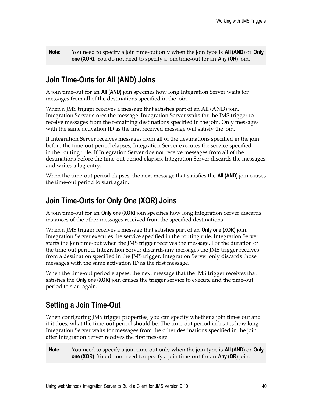**Note:** You need to specify a join time-out only when the join type is **All (AND)** or **Only one (XOR)**. You do not need to specify a join time-out for an **Any (OR)** join.

# **Join Time-Outs for All (AND) Joins**

A join time-out for an **All (AND)** join specifies how long Integration Server waits for messages from all of the destinations specified in the join.

When a JMS trigger receives a message that satisfies part of an All (AND) join, Integration Server stores the message. Integration Server waits for the JMS trigger to receive messages from the remaining destinations specified in the join. Only messages with the same activation ID as the first received message will satisfy the join.

If Integration Server receives messages from all of the destinations specified in the join before the time-out period elapses, Integration Server executes the service specified in the routing rule. If Integration Server doe not receive messages from all of the destinations before the time-out period elapses, Integration Server discards the messages and writes a log entry.

When the time-out period elapses, the next message that satisfies the **All (AND)** join causes the time-out period to start again.

# **Join Time-Outs for Only One (XOR) Joins**

A join time-out for an **Only one (XOR)** join specifies how long Integration Server discards instances of the other messages received from the specified destinations.

When a JMS trigger receives a message that satisfies part of an **Only one (XOR)** join, Integration Server executes the service specified in the routing rule. Integration Server starts the join time-out when the JMS trigger receives the message. For the duration of the time-out period, Integration Server discards any messages the JMS trigger receives from a destination specified in the JMS trigger. Integration Server only discards those messages with the same activation ID as the first message.

When the time-out period elapses, the next message that the JMS trigger receives that satisfies the **Only one (XOR)** join causes the trigger service to execute and the time-out period to start again.

# **Setting a Join Time-Out**

When configuring JMS trigger properties, you can specify whether a join times out and if it does, what the time-out period should be. The time-out period indicates how long Integration Server waits for messages from the other destinations specified in the join after Integration Server receives the first message.

**Note:** You need to specify a join time-out only when the join type is **All (AND)** or **Only one (XOR)**. You do not need to specify a join time-out for an **Any (OR)** join.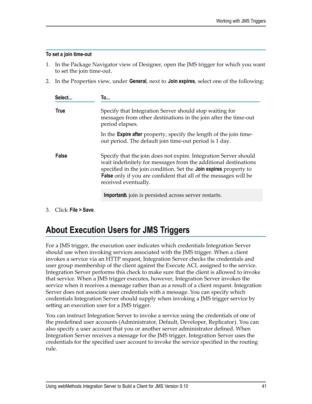#### **To set a join time-out**

- 1. In the Package Navigator view of Designer, open the JMS trigger for which you want to set the join time-out.
- 2. In the Properties view, under **General**, next to **Join expires**, select one of the following:

| Select      | To                                                                                                                                                                                                                                                                                                          |
|-------------|-------------------------------------------------------------------------------------------------------------------------------------------------------------------------------------------------------------------------------------------------------------------------------------------------------------|
| <b>True</b> | Specify that Integration Server should stop waiting for<br>messages from other destinations in the join after the time-out<br>period elapses.                                                                                                                                                               |
|             | In the <b>Expire after</b> property, specify the length of the join time-<br>out period. The default join time-out period is 1 day.                                                                                                                                                                         |
| False       | Specify that the join does not expire. Integration Server should<br>wait indefinitely for messages from the additional destinations<br>specified in the join condition. Set the Join expires property to<br><b>False</b> only if you are confident that all of the messages will be<br>received eventually. |
|             | <b>Important</b> join is persisted across server restarts.                                                                                                                                                                                                                                                  |

3. Click **File > Save**.

# **About Execution Users for JMS Triggers**

For a JMS trigger, the execution user indicates which credentials Integration Server should use when invoking services associated with the JMS trigger. When a client invokes a service via an HTTP request, Integration Server checks the credentials and user group membership of the client against the Execute ACL assigned to the service. Integration Server performs this check to make sure that the client is allowed to invoke that service. When a JMS trigger executes, however, Integration Server invokes the service when it receives a message rather than as a result of a client request. Integration Server does not associate user credentials with a message. You can specify which credentials Integration Server should supply when invoking a JMS trigger service by setting an execution user for a JMS trigger.

You can instruct Integration Server to invoke a service using the credentials of one of the predefined user accounts (Administrator, Default, Developer, Replicator). You can also specify a user account that you or another server administrator defined. When Integration Server receives a message for the JMS trigger, Integration Server uses the credentials for the specified user account to invoke the service specified in the routing rule.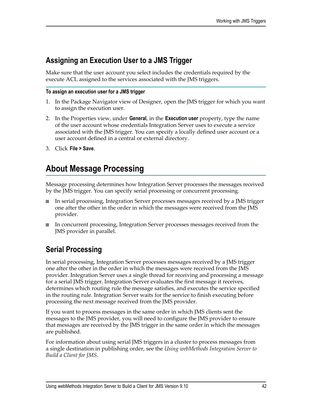# **Assigning an Execution User to a JMS Trigger**

Make sure that the user account you select includes the credentials required by the execute ACL assigned to the services associated with the JMS triggers.

#### **To assign an execution user for a JMS trigger**

- 1. In the Package Navigator view of Designer, open the JMS trigger for which you want to assign the execution user.
- 2. In the Properties view, under **General**, in the **Execution user** property, type the name of the user account whose credentials Integration Server uses to execute a service associated with the JMS trigger. You can specify a locally defined user account or a user account defined in a central or external directory.
- 3. Click **File > Save**.

# **About Message Processing**

Message processing determines how Integration Server processes the messages received by the JMS trigger. You can specify serial processing or concurrent processing.

- In serial processing, Integration Server processes messages received by a JMS trigger one after the other in the order in which the messages were received from the JMS provider.
- In concurrent processing, Integration Server processes messages received from the JMS provider in parallel.

# **Serial Processing**

In serial processing, Integration Server processes messages received by a JMS trigger one after the other in the order in which the messages were received from the JMS provider. Integration Server uses a single thread for receiving and processing a message for a serial JMS trigger. Integration Server evaluates the first message it receives, determines which routing rule the message satisfies, and executes the service specified in the routing rule. Integration Server waits for the service to finish executing before processing the next message received from the JMS provider.

If you want to process messages in the same order in which JMS clients sent the messages to the JMS provider, you will need to configure the JMS provider to ensure that messages are received by the JMS trigger in the same order in which the messages are published.

For information about using serial JMS triggers in a cluster to process messages from a single destination in publishing order, see the *Using webMethods Integration Server to Build a Client for JMS*.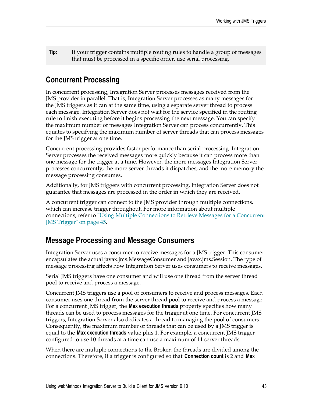**Tip:** If your trigger contains multiple routing rules to handle a group of messages that must be processed in a specific order, use serial processing.

# **Concurrent Processing**

In concurrent processing, Integration Server processes messages received from the JMS provider in parallel. That is, Integration Server processes as many messages for the JMS triggers as it can at the same time, using a separate server thread to process each message. Integration Server does not wait for the service specified in the routing rule to finish executing before it begins processing the next message. You can specify the maximum number of messages Integration Server can process concurrently. This equates to specifying the maximum number of server threads that can process messages for the JMS trigger at one time.

Concurrent processing provides faster performance than serial processing. Integration Server processes the received messages more quickly because it can process more than one message for the trigger at a time. However, the more messages Integration Server processes concurrently, the more server threads it dispatches, and the more memory the message processing consumes.

Additionally, for JMS triggers with concurrent processing, Integration Server does not guarantee that messages are processed in the order in which they are received.

A concurrent trigger can connect to the JMS provider through multiple connections, which can increase trigger throughout. For more information about multiple connections, refer to "Using Multiple [Connections](#page-44-0) to Retrieve Messages for a Concurrent [JMS Trigger" on page 45.](#page-44-0)

# **Message Processing and Message Consumers**

Integration Server uses a consumer to receive messages for a JMS trigger. This consumer encapsulates the actual javax.jms.MessageConsumer and javax.jms.Session. The type of message processing affects how Integration Server uses consumers to receive messages.

Serial JMS triggers have one consumer and will use one thread from the server thread pool to receive and process a message.

Concurrent JMS triggers use a pool of consumers to receive and process messages. Each consumer uses one thread from the server thread pool to receive and process a message. For a concurrent JMS trigger, the **Max execution threads** property specifies how many threads can be used to process messages for the trigger at one time. For concurrent JMS triggers, Integration Server also dedicates a thread to managing the pool of consumers. Consequently, the maximum number of threads that can be used by a JMS trigger is equal to the **Max execution threads** value plus 1. For example, a concurrent JMS trigger configured to use 10 threads at a time can use a maximum of 11 server threads.

When there are multiple connections to the Broker, the threads are divided among the connections. Therefore, if a trigger is configured so that **Connection count** is 2 and **Max**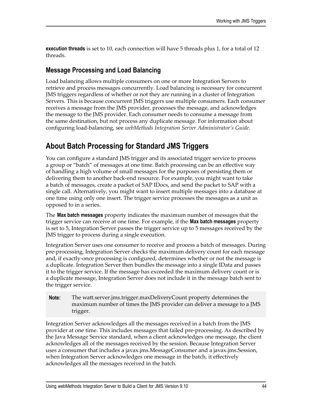**execution threads** is set to 10, each connection will have 5 threads plus 1, for a total of 12 threads.

### **Message Processing and Load Balancing**

Load balancing allows multiple consumers on one or more Integration Servers to retrieve and process messages concurrently. Load balancing is necessary for concurrent JMS triggers regardless of whether or not they are running in a cluster of Integration Servers. This is because concurrent JMS triggers use multiple consumers. Each consumer receives a message from the JMS provider, processes the message, and acknowledges the message to the JMS provider. Each consumer needs to consume a message from the same destination, but not process any duplicate message. For information about configuring load-balancing, see *webMethods Integration Server Administrator's Guide*.

# <span id="page-43-0"></span>**About Batch Processing for Standard JMS Triggers**

You can configure a standard JMS trigger and its associated trigger service to process a group or "batch" of messages at one time. Batch processing can be an effective way of handling a high volume of small messages for the purposes of persisting them or delivering them to another back-end resource. For example, you might want to take a batch of messages, create a packet of SAP IDocs, and send the packet to SAP with a single call. Alternatively, you might want to insert multiple messages into a database at one time using only one insert. The trigger service processes the messages as a unit as opposed to in a series.

The **Max batch messages** property indicates the maximum number of messages that the trigger service can receive at one time. For example, if the **Max batch messages** property is set to 5, Integration Server passes the trigger service up to 5 messages received by the JMS trigger to process during a single execution.

Integration Server uses one consumer to receive and process a batch of messages. During pre-processing, Integration Server checks the maximum delivery count for each message and, if exactly-once processing is configured, determines whether or not the message is a duplicate. Integration Server then bundles the message into a single IData and passes it to the trigger service. If the message has exceeded the maximum delivery count or is a duplicate message, Integration Server does not include it in the message batch sent to the trigger service.

**Note:** The watt.server.jms.trigger.maxDeliveryCount property determines the maximum number of times the JMS provider can deliver a message to a JMS trigger.

Integration Server acknowledges all the messages received in a batch from the JMS provider at one time. This includes messages that failed pre-processing. As described by the Java Message Service standard, when a client acknowledges one message, the client acknowledges all of the messages received by the session. Because Integration Server uses a consumer that includes a javax.jms.MessageConsumer and a javax.jms.Session, when Integration Server acknowledges one message in the batch, it effectively acknowledges all the messages received in the batch.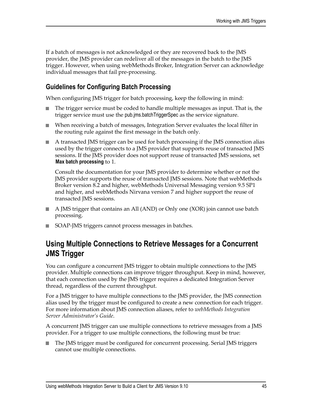If a batch of messages is not acknowledged or they are recovered back to the JMS provider, the JMS provider can redeliver all of the messages in the batch to the JMS trigger. However, when using webMethods Broker, Integration Server can acknowledge individual messages that fail pre-processing.

### <span id="page-44-1"></span>**Guidelines for Configuring Batch Processing**

When configuring JMS trigger for batch processing, keep the following in mind:

- The trigger service must be coded to handle multiple messages as input. That is, the n. trigger service must use the pub.jms.batchTriggerSpec as the service signature.
- When receiving a batch of messages, Integration Server evaluates the local filter in the routing rule against the first message in the batch only.
- A transacted JMS trigger can be used for batch processing if the JMS connection alias used by the trigger connects to a JMS provider that supports reuse of transacted JMS sessions. If the JMS provider does not support reuse of transacted JMS sessions, set **Max batch processing** to 1.

Consult the documentation for your JMS provider to determine whether or not the JMS provider supports the reuse of transacted JMS sessions. Note that webMethods Broker version 8.2 and higher, webMethods Universal Messaging version 9.5 SP1 and higher, and webMethods Nirvana version 7 and higher support the reuse of transacted JMS sessions.

- A JMS trigger that contains an All (AND) or Only one (XOR) join cannot use batch processing.
- SOAP-JMS triggers cannot process messages in batches.

### <span id="page-44-0"></span>**Using Multiple Connections to Retrieve Messages for a Concurrent JMS Trigger**

You can configure a concurrent JMS trigger to obtain multiple connections to the JMS provider. Multiple connections can improve trigger throughput. Keep in mind, however, that each connection used by the JMS trigger requires a dedicated Integration Server thread, regardless of the current throughput.

For a JMS trigger to have multiple connections to the JMS provider, the JMS connection alias used by the trigger must be configured to create a new connection for each trigger. For more information about JMS connection aliases, refer to *webMethods Integration Server Administrator's Guide*.

A concurrent JMS trigger can use multiple connections to retrieve messages from a JMS provider. For a trigger to use multiple connections, the following must be true:

The JMS trigger must be configured for concurrent processing. Serial JMS triggers cannot use multiple connections.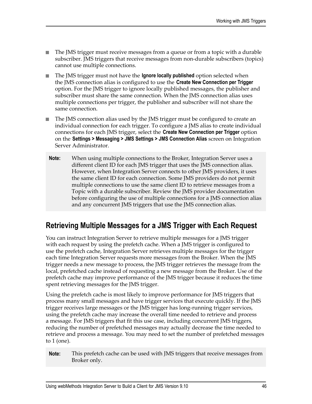- The JMS trigger must receive messages from a queue or from a topic with a durable subscriber. JMS triggers that receive messages from non-durable subscribers (topics) cannot use multiple connections.
- The JMS trigger must not have the **Ignore locally published** option selected when n. the JMS connection alias is configured to use the **Create New Connection per Trigger** option. For the JMS trigger to ignore locally published messages, the publisher and subscriber must share the same connection. When the JMS connection alias uses multiple connections per trigger, the publisher and subscriber will not share the same connection.
- The JMS connection alias used by the JMS trigger must be configured to create an T. individual connection for each trigger. To configure a JMS alias to create individual connections for each JMS trigger, select the **Create New Connection per Trigger** option on the **Settings > Messaging > JMS Settings > JMS Connection Alias** screen on Integration Server Administrator.
- **Note:** When using multiple connections to the Broker, Integration Server uses a different client ID for each JMS trigger that uses the JMS connection alias. However, when Integration Server connects to other JMS providers, it uses the same client ID for each connection. Some JMS providers do not permit multiple connections to use the same client ID to retrieve messages from a Topic with a durable subscriber. Review the JMS provider documentation before configuring the use of multiple connections for a JMS connection alias and any concurrent JMS triggers that use the JMS connection alias.

# **Retrieving Multiple Messages for a JMS Trigger with Each Request**

You can instruct Integration Server to retrieve multiple messages for a JMS trigger with each request by using the prefetch cache. When a JMS trigger is configured to use the prefetch cache, Integration Server retrieves multiple messages for the trigger each time Integration Server requests more messages from the Broker. When the JMS trigger needs a new message to process, the JMS trigger retrieves the message from the local, prefetched cache instead of requesting a new message from the Broker. Use of the prefetch cache may improve performance of the JMS trigger because it reduces the time spent retrieving messages for the JMS trigger.

Using the prefetch cache is most likely to improve performance for JMS triggers that process many small messages and have trigger services that execute quickly. If the JMS trigger receives large messages or the JMS trigger has long-running trigger services, using the prefetch cache may increase the overall time needed to retrieve and process a message. For JMS triggers that fit this use case, including concurrent JMS triggers, reducing the number of prefetched messages may actually decrease the time needed to retrieve and process a message. You may need to set the number of prefetched messages to 1 (one).

**Note:** This prefetch cache can be used with JMS triggers that receive messages from Broker only.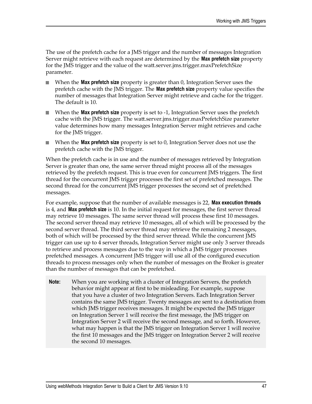The use of the prefetch cache for a JMS trigger and the number of messages Integration Server might retrieve with each request are determined by the **Max prefetch size** property for the JMS trigger and the value of the watt.server.jms.trigger.maxPrefetchSize parameter.

- When the **Max prefetch size** property is greater than 0, Integration Server uses the prefetch cache with the JMS trigger. The **Max prefetch size** property value specifies the number of messages that Integration Server might retrieve and cache for the trigger. The default is 10.
- When the **Max prefetch size** property is set to -1, Integration Server uses the prefetch cache with the JMS trigger. The watt.server.jms.trigger.maxPrefetchSize parameter value determines how many messages Integration Server might retrieves and cache for the JMS trigger.
- When the **Max prefetch size** property is set to 0, Integration Server does not use the prefetch cache with the JMS trigger.

When the prefetch cache is in use and the number of messages retrieved by Integration Server is greater than one, the same server thread might process all of the messages retrieved by the prefetch request. This is true even for concurrent JMS triggers. The first thread for the concurrent JMS trigger processes the first set of prefetched messages. The second thread for the concurrent JMS trigger processes the second set of prefetched messages.

For example, suppose that the number of available messages is 22, **Max execution threads** is 4, and **Max prefetch size** is 10. In the initial request for messages, the first server thread may retrieve 10 messages. The same server thread will process these first 10 messages. The second server thread may retrieve 10 messages, all of which will be processed by the second server thread. The third server thread may retrieve the remaining 2 messages, both of which will be processed by the third server thread. While the concurrent JMS trigger can use up to 4 server threads, Integration Server might use only 3 server threads to retrieve and process messages due to the way in which a JMS trigger processes prefetched messages. A concurrent JMS trigger will use all of the configured execution threads to process messages only when the number of messages on the Broker is greater than the number of messages that can be prefetched.

**Note:** When you are working with a cluster of Integration Servers, the prefetch behavior might appear at first to be misleading. For example, suppose that you have a cluster of two Integration Servers. Each Integration Server contains the same JMS trigger. Twenty messages are sent to a destination from which JMS trigger receives messages. It might be expected the JMS trigger on Integration Server 1 will receive the first message, the JMS trigger on Integration Server 2 will receive the second message, and so forth. However, what may happen is that the JMS trigger on Integration Server 1 will receive the first 10 messages and the JMS trigger on Integration Server 2 will receive the second 10 messages.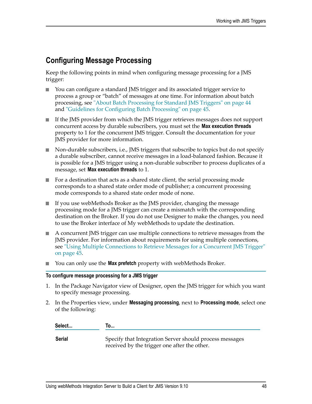# **Configuring Message Processing**

Keep the following points in mind when configuring message processing for a JMS trigger:

- n. You can configure a standard JMS trigger and its associated trigger service to process a group or "batch" of messages at one time. For information about batch processing, see ["About Batch Processing for Standard JMS Triggers" on page 44](#page-43-0) and ["Guidelines for Configuring Batch Processing" on page 45](#page-44-1).
- If the JMS provider from which the JMS trigger retrieves messages does not support concurrent access by durable subscribers, you must set the **Max execution threads** property to 1 for the concurrent JMS trigger. Consult the documentation for your JMS provider for more information.
- Non-durable subscribers, i.e., JMS triggers that subscribe to topics but do not specify  $\Box$ a durable subscriber, cannot receive messages in a load-balanced fashion. Because it is possible for a JMS trigger using a non-durable subscriber to process duplicates of a message, set **Max execution threads** to 1.
- For a destination that acts as a shared state client, the serial processing mode corresponds to a shared state order mode of publisher; a concurrent processing mode corresponds to a shared state order mode of none.
- If you use webMethods Broker as the JMS provider, changing the message  $\overline{\phantom{a}}$ processing mode for a JMS trigger can create a mismatch with the corresponding destination on the Broker. If you do not use Designer to make the changes, you need to use the Broker interface of My webMethods to update the destination.
- A concurrent JMS trigger can use multiple connections to retrieve messages from the JMS provider. For information about requirements for using multiple connections, see "Using Multiple [Connections](#page-44-0) to Retrieve Messages for a Concurrent JMS Trigger" [on page 45](#page-44-0).
- You can only use the **Max prefetch** property with webMethods Broker.

#### **To configure message processing for a JMS trigger**

- 1. In the Package Navigator view of Designer, open the JMS trigger for which you want to specify message processing.
- 2. In the Properties view, under **Messaging processing**, next to **Processing mode**, select one of the following:

| Select | To                                                                                                      |
|--------|---------------------------------------------------------------------------------------------------------|
| Serial | Specify that Integration Server should process messages<br>received by the trigger one after the other. |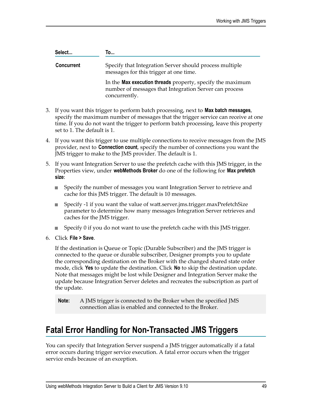| Select            | To                                                                                                                                    |
|-------------------|---------------------------------------------------------------------------------------------------------------------------------------|
| <b>Concurrent</b> | Specify that Integration Server should process multiple<br>messages for this trigger at one time.                                     |
|                   | In the Max execution threads property, specify the maximum<br>number of messages that Integration Server can process<br>concurrently. |

- 3. If you want this trigger to perform batch processing, next to **Max batch messages**, specify the maximum number of messages that the trigger service can receive at one time. If you do not want the trigger to perform batch processing, leave this property set to 1. The default is 1.
- 4. If you want this trigger to use multiple connections to receive messages from the JMS provider, next to **Connection count**, specify the number of connections you want the JMS trigger to make to the JMS provider. The default is 1.
- 5. If you want Integration Server to use the prefetch cache with this JMS trigger, in the Properties view, under **webMethods Broker** do one of the following for **Max prefetch size**:
	- $\overline{\phantom{a}}$ Specify the number of messages you want Integration Server to retrieve and cache for this JMS trigger. The default is 10 messages.
	- Specify -1 if you want the value of watt.server.jms.trigger.maxPrefetchSize parameter to determine how many messages Integration Server retrieves and caches for the JMS trigger.
	- $\mathcal{L}_{\mathcal{A}}$ Specify 0 if you do not want to use the prefetch cache with this JMS trigger.
- 6. Click **File > Save**.

If the destination is Queue or Topic (Durable Subscriber) and the JMS trigger is connected to the queue or durable subscriber, Designer prompts you to update the corresponding destination on the Broker with the changed shared state order mode, click **Yes** to update the destination. Click **No** to skip the destination update. Note that messages might be lost while Designer and Integration Server make the update because Integration Server deletes and recreates the subscription as part of the update.

**Note:** A JMS trigger is connected to the Broker when the specified JMS connection alias is enabled and connected to the Broker.

# **Fatal Error Handling for Non-Transacted JMS Triggers**

You can specify that Integration Server suspend a JMS trigger automatically if a fatal error occurs during trigger service execution. A fatal error occurs when the trigger service ends because of an exception.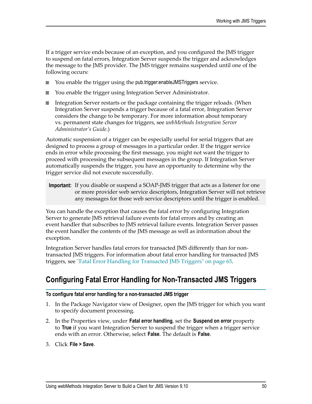If a trigger service ends because of an exception, and you configured the JMS trigger to suspend on fatal errors, Integration Server suspends the trigger and acknowledges the message to the JMS provider. The JMS trigger remains suspended until one of the following occurs:

- You enable the trigger using the pub.trigger:enableJMSTriggers service. п
- You enable the trigger using Integration Server Administrator.
- Integration Server restarts or the package containing the trigger reloads. (When n. Integration Server suspends a trigger because of a fatal error, Integration Server considers the change to be temporary. For more information about temporary vs. permanent state changes for triggers, see *webMethods Integration Server Administrator's Guide*.)

Automatic suspension of a trigger can be especially useful for serial triggers that are designed to process a group of messages in a particular order. If the trigger service ends in error while processing the first message, you might not want the trigger to proceed with processing the subsequent messages in the group. If Integration Server automatically suspends the trigger, you have an opportunity to determine why the trigger service did not execute successfully.

**Important:** If you disable or suspend a SOAP-JMS trigger that acts as a listener for one or more provider web service descriptors, Integration Server will not retrieve any messages for those web service descriptors until the trigger is enabled.

You can handle the exception that causes the fatal error by configuring Integration Server to generate JMS retrieval failure events for fatal errors and by creating an event handler that subscribes to JMS retrieval failure events. Integration Server passes the event handler the contents of the JMS message as well as information about the exception.

Integration Server handles fatal errors for transacted JMS differently than for nontransacted JMS triggers. For information about fatal error handling for transacted JMS triggers, see ["Fatal Error Handling for Transacted JMS Triggers" on page 65](#page-64-0).

# **Configuring Fatal Error Handling for Non-Transacted JMS Triggers**

#### **To configure fatal error handling for a non-transacted JMS trigger**

- 1. In the Package Navigator view of Designer, open the JMS trigger for which you want to specify document processing.
- 2. In the Properties view, under **Fatal error handling**, set the **Suspend on error** property to **True** if you want Integration Server to suspend the trigger when a trigger service ends with an error. Otherwise, select **False**. The default is **False**.
- 3. Click **File > Save**.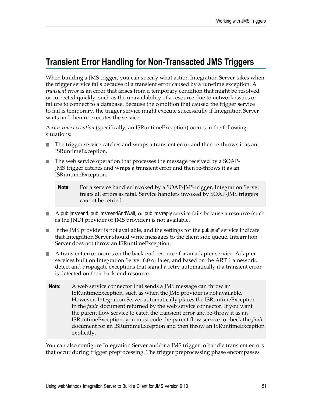# **Transient Error Handling for Non-Transacted JMS Triggers**

When building a JMS trigger, you can specify what action Integration Server takes when the trigger service fails because of a transient error caused by a run-time exception. A *transient error* is an error that arises from a temporary condition that might be resolved or corrected quickly, such as the unavailability of a resource due to network issues or failure to connect to a database. Because the condition that caused the trigger service to fail is temporary, the trigger service might execute successfully if Integration Server waits and then re-executes the service.

A *run-time exception* (specifically, an ISRuntimeException) occurs in the following situations:

- The trigger service catches and wraps a transient error and then re-throws it as an n. ISRuntimeException.
- The web service operation that processes the message received by a SOAP-JMS trigger catches and wraps a transient error and then re-throws it as an ISRuntimeException.
	- **Note:** For a service handler invoked by a SOAP-JMS trigger, Integration Server treats all errors as fatal. Service handlers invoked by SOAP-JMS triggers cannot be retried.
- $\blacksquare$  A pub.jms:send, pub.jms:sendAndWait, or pub.jms:reply service fails because a resource (such as the JNDI provider or JMS provider) is not available.
- If the JMS provider is not available, and the settings for the pub.jms\* service indicate that Integration Server should write messages to the client side queue, Integration Server does not throw an ISRuntimeException.
- A transient error occurs on the back-end resource for an adapter service. Adapter m. services built on Integration Server 6.0 or later, and based on the ART framework, detect and propagate exceptions that signal a retry automatically if a transient error is detected on their back-end resource.
- **Note:** A web service connector that sends a JMS message can throw an ISRuntimeException, such as when the JMS provider is not available. However, Integration Server automatically places the ISRuntimeException in the *fault* document returned by the web service connector. If you want the parent flow service to catch the transient error and re-throw it as an ISRuntimeException, you must code the parent flow service to check the *fault* document for an ISRuntimeException and then throw an ISRuntimeException explicitly.

You can also configure Integration Server and/or a JMS trigger to handle transient errors that occur during trigger preprocessing. The trigger preprocessing phase encompasses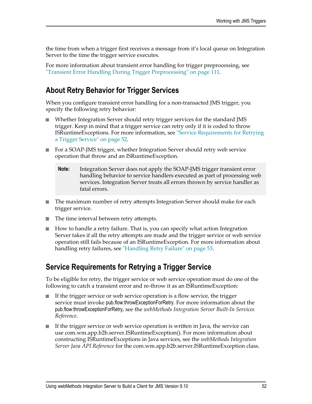the time from when a trigger first receives a message from it's local queue on Integration Server to the time the trigger service executes.

For more information about transient error handling for trigger preprocessing, see ["Transient Error Handling During Trigger Preprocessing" on page 111.](#page-110-0)

## **About Retry Behavior for Trigger Services**

When you configure transient error handling for a non-transacted JMS trigger, you specify the following retry behavior:

- Whether Integration Server should retry trigger services for the standard JMS trigger. Keep in mind that a trigger service can retry only if it is coded to throw ISRuntimeExceptions. For more information, see ["Service Requirements for Retrying](#page-51-0) [a Trigger Service" on page 52](#page-51-0).
- For a SOAP-JMS trigger, whether Integration Server should retry web service П operation that throw and an ISRuntimeException.
	- **Note:** Integration Server does not apply the SOAP-JMS trigger transient error handling behavior to service handlers executed as part of processing web services. Integration Server treats all errors thrown by service handler as fatal errors.
- $\blacksquare$  The maximum number of retry attempts Integration Server should make for each trigger service.
- $\blacksquare$  The time interval between retry attempts.
- How to handle a retry failure. That is, you can specify what action Integration Server takes if all the retry attempts are made and the trigger service or web service operation still fails because of an ISRuntimeException. For more information about handling retry failures, see ["Handling Retry Failure" on page 53](#page-52-0).

# <span id="page-51-0"></span>**Service Requirements for Retrying a Trigger Service**

To be eligible for retry, the trigger service or web service operation must do one of the following to catch a transient error and re-throw it as an ISRuntimeException:

- П If the trigger service or web service operation is a flow service, the trigger service must invoke pub.flow:throwExceptionForRetry. For more information about the pub.flow:throwExceptionForRetry, see the *webMethods Integration Server Built-In Services Reference*.
- If the trigger service or web service operation is written in Java, the service can use com.wm.app.b2b.server.ISRuntimeException(). For more information about constructing ISRuntimeExceptions in Java services, see the *webMethods Integration Server Java API Reference* for the com.wm.app.b2b.server.ISRuntimeException class.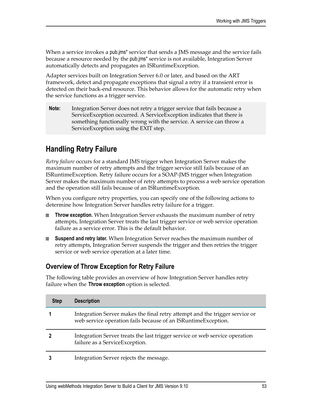When a service invokes a pub.jms\* service that sends a JMS message and the service fails because a resource needed by the pub.jms\* service is not available, Integration Server automatically detects and propagates an ISRuntimeException.

Adapter services built on Integration Server 6.0 or later, and based on the ART framework, detect and propagate exceptions that signal a retry if a transient error is detected on their back-end resource. This behavior allows for the automatic retry when the service functions as a trigger service.

**Note:** Integration Server does not retry a trigger service that fails because a ServiceException occurred. A ServiceException indicates that there is something functionally wrong with the service. A service can throw a ServiceException using the EXIT step.

# <span id="page-52-0"></span>**Handling Retry Failure**

*Retry failure* occurs for a standard JMS trigger when Integration Server makes the maximum number of retry attempts and the trigger service still fails because of an ISRuntimeException. Retry failure occurs for a SOAP-JMS trigger when Integration Server makes the maximum number of retry attempts to process a web service operation and the operation still fails because of an ISRuntimeException.

When you configure retry properties, you can specify one of the following actions to determine how Integration Server handles retry failure for a trigger.

- **Throw exception.** When Integration Server exhausts the maximum number of retry attempts, Integration Server treats the last trigger service or web service operation failure as a service error. This is the default behavior.
- **Suspend and retry later.** When Integration Server reaches the maximum number of retry attempts, Integration Server suspends the trigger and then retries the trigger service or web service operation at a later time.

### **Overview of Throw Exception for Retry Failure**

The following table provides an overview of how Integration Server handles retry failure when the **Throw exception** option is selected.

| <b>Step</b> | <b>Description</b>                                                                                                                           |
|-------------|----------------------------------------------------------------------------------------------------------------------------------------------|
|             | Integration Server makes the final retry attempt and the trigger service or<br>web service operation fails because of an ISRuntimeException. |
|             | Integration Server treats the last trigger service or web service operation<br>failure as a ServiceException.                                |
|             | Integration Server rejects the message.                                                                                                      |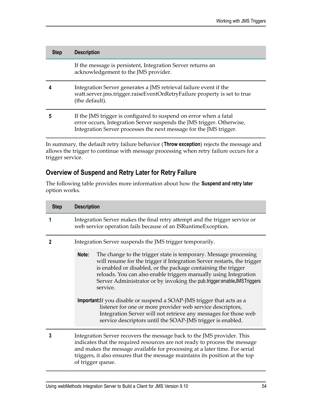| <b>Step</b> | <b>Description</b>                                                                                                                                                                                               |
|-------------|------------------------------------------------------------------------------------------------------------------------------------------------------------------------------------------------------------------|
|             | If the message is persistent, Integration Server returns an<br>acknowledgement to the JMS provider.                                                                                                              |
|             | Integration Server generates a JMS retrieval failure event if the<br>watt.server.jms.trigger.raiseEventOnRetryFailure property is set to true<br>(the default).                                                  |
|             | If the JMS trigger is configured to suspend on error when a fatal<br>error occurs, Integration Server suspends the JMS trigger. Otherwise,<br>Integration Server processes the next message for the JMS trigger. |
|             |                                                                                                                                                                                                                  |

In summary, the default retry failure behavior (**Throw exception**) rejects the message and allows the trigger to continue with message processing when retry failure occurs for a trigger service.

### **Overview of Suspend and Retry Later for Retry Failure**

The following table provides more information about how the **Suspend and retry later** option works.

| <b>Step</b> | <b>Description</b>                                                                                                                                                                                                                                                                                                                                                                                                                                                                                                                                                                                                                                      |  |
|-------------|---------------------------------------------------------------------------------------------------------------------------------------------------------------------------------------------------------------------------------------------------------------------------------------------------------------------------------------------------------------------------------------------------------------------------------------------------------------------------------------------------------------------------------------------------------------------------------------------------------------------------------------------------------|--|
|             | Integration Server makes the final retry attempt and the trigger service or<br>web service operation fails because of an ISRuntimeException.                                                                                                                                                                                                                                                                                                                                                                                                                                                                                                            |  |
| 2           | Integration Server suspends the JMS trigger temporarily.                                                                                                                                                                                                                                                                                                                                                                                                                                                                                                                                                                                                |  |
|             | The change to the trigger state is temporary. Message processing<br>Note:<br>will resume for the trigger if Integration Server restarts, the trigger<br>is enabled or disabled, or the package containing the trigger<br>reloads. You can also enable triggers manually using Integration<br>Server Administrator or by invoking the pub.trigger:enableJMSTriggers<br>service.<br>Important: If you disable or suspend a SOAP-JMS trigger that acts as a<br>listener for one or more provider web service descriptors,<br>Integration Server will not retrieve any messages for those web<br>service descriptors until the SOAP-JMS trigger is enabled. |  |
| 3           | Integration Server recovers the message back to the JMS provider. This<br>indicates that the required resources are not ready to process the message<br>and makes the message available for processing at a later time. For serial<br>triggers, it also ensures that the message maintains its position at the top<br>of trigger queue.                                                                                                                                                                                                                                                                                                                 |  |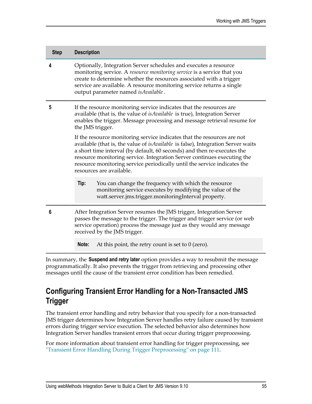| <b>Step</b> | <b>Description</b>                                                                                                                                                                                                                                                                                                                                                                                                        |                                                                                                                                                                           |  |
|-------------|---------------------------------------------------------------------------------------------------------------------------------------------------------------------------------------------------------------------------------------------------------------------------------------------------------------------------------------------------------------------------------------------------------------------------|---------------------------------------------------------------------------------------------------------------------------------------------------------------------------|--|
| 4           | Optionally, Integration Server schedules and executes a resource<br>monitoring service. A resource monitoring service is a service that you<br>create to determine whether the resources associated with a trigger<br>service are available. A resource monitoring service returns a single<br>output parameter named is Available.                                                                                       |                                                                                                                                                                           |  |
| 5           | If the resource monitoring service indicates that the resources are<br>available (that is, the value of <i>is Available</i> is true), Integration Server<br>enables the trigger. Message processing and message retrieval resume for<br>the JMS trigger.                                                                                                                                                                  |                                                                                                                                                                           |  |
|             | If the resource monitoring service indicates that the resources are not<br>available (that is, the value of isAvailable is false), Integration Server waits<br>a short time interval (by default, 60 seconds) and then re-executes the<br>resource monitoring service. Integration Server continues executing the<br>resource monitoring service periodically until the service indicates the<br>resources are available. |                                                                                                                                                                           |  |
|             | Tip:                                                                                                                                                                                                                                                                                                                                                                                                                      | You can change the frequency with which the resource<br>monitoring service executes by modifying the value of the<br>watt.server.jms.trigger.monitoringInterval property. |  |
| 6           | After Integration Server resumes the JMS trigger, Integration Server<br>passes the message to the trigger. The trigger and trigger service (or web<br>service operation) process the message just as they would any message<br>received by the JMS trigger.                                                                                                                                                               |                                                                                                                                                                           |  |
|             | Note:                                                                                                                                                                                                                                                                                                                                                                                                                     | At this point, the retry count is set to $0$ (zero).                                                                                                                      |  |

In summary, the **Suspend and retry later** option provides a way to resubmit the message programmatically. It also prevents the trigger from retrieving and processing other messages until the cause of the transient error condition has been remedied.

# **Configuring Transient Error Handling for a Non-Transacted JMS Trigger**

The transient error handling and retry behavior that you specify for a non-transacted JMS trigger determines how Integration Server handles retry failure caused by transient errors during trigger service execution. The selected behavior also determines how Integration Server handles transient errors that occur during trigger preprocessing.

For more information about transient error handling for trigger preprocessing, see ["Transient Error Handling During Trigger Preprocessing" on page 111.](#page-110-0)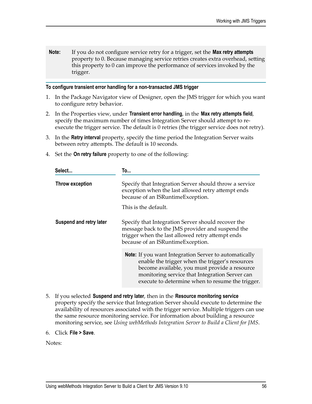**Note:** If you do not configure service retry for a trigger, set the **Max retry attempts** property to 0. Because managing service retries creates extra overhead, setting this property to 0 can improve the performance of services invoked by the trigger.

#### **To configure transient error handling for a non-transacted JMS trigger**

- 1. In the Package Navigator view of Designer, open the JMS trigger for which you want to configure retry behavior.
- 2. In the Properties view, under **Transient error handling**, in the **Max retry attempts field**, specify the maximum number of times Integration Server should attempt to reexecute the trigger service. The default is 0 retries (the trigger service does not retry).
- 3. In the **Retry interval** property, specify the time period the Integration Server waits between retry attempts. The default is 10 seconds.
- 4. Set the **On retry failure** property to one of the following:

| Select                  | To                                                                                                                                                                                                                                                              |  |
|-------------------------|-----------------------------------------------------------------------------------------------------------------------------------------------------------------------------------------------------------------------------------------------------------------|--|
| Throw exception         | Specify that Integration Server should throw a service<br>exception when the last allowed retry attempt ends<br>because of an ISRuntimeException.                                                                                                               |  |
|                         | This is the default.                                                                                                                                                                                                                                            |  |
| Suspend and retry later | Specify that Integration Server should recover the<br>message back to the JMS provider and suspend the<br>trigger when the last allowed retry attempt ends<br>because of an ISRuntimeException.                                                                 |  |
|                         | Note: If you want Integration Server to automatically<br>enable the trigger when the trigger's resources<br>become available, you must provide a resource<br>monitoring service that Integration Server can<br>execute to determine when to resume the trigger. |  |

- 5. If you selected **Suspend and retry later**, then in the **Resource monitoring service** property specify the service that Integration Server should execute to determine the availability of resources associated with the trigger service. Multiple triggers can use the same resource monitoring service. For information about building a resource monitoring service, see *Using webMethods Integration Server to Build a Client for JMS*.
- 6. Click **File > Save**.

Notes: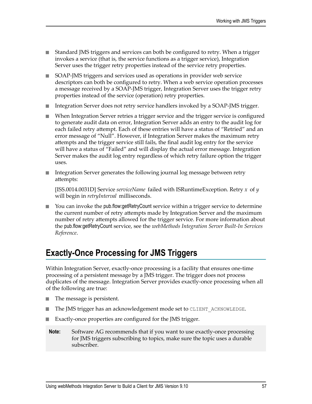- Standard JMS triggers and services can both be configured to retry. When a trigger invokes a service (that is, the service functions as a trigger service), Integration Server uses the trigger retry properties instead of the service retry properties.
- SOAP-JMS triggers and services used as operations in provider web service n. descriptors can both be configured to retry. When a web service operation processes a message received by a SOAP-JMS trigger, Integration Server uses the trigger retry properties instead of the service (operation) retry properties.
- Integration Server does not retry service handlers invoked by a SOAP-JMS trigger.  $\overline{\phantom{a}}$
- When Integration Server retries a trigger service and the trigger service is configured to generate audit data on error, Integration Server adds an entry to the audit log for each failed retry attempt. Each of these entries will have a status of "Retried" and an error message of "Null". However, if Integration Server makes the maximum retry attempts and the trigger service still fails, the final audit log entry for the service will have a status of "Failed" and will display the actual error message. Integration Server makes the audit log entry regardless of which retry failure option the trigger uses.
- $\Box$ Integration Server generates the following journal log message between retry attempts:

[ISS.0014.0031D] Service *serviceName* failed with ISRuntimeException. Retry *x* of *y* will begin in *retryInterval* milliseconds.

■ You can invoke the pub.flow:getRetryCount service within a trigger service to determine the current number of retry attempts made by Integration Server and the maximum number of retry attempts allowed for the trigger service. For more information about the pub.flow:getRetryCount service, see the *webMethods Integration Server Built-In Services Reference*.

# **Exactly-Once Processing for JMS Triggers**

Within Integration Server, exactly-once processing is a facility that ensures one-time processing of a persistent message by a JMS trigger. The trigger does not process duplicates of the message. Integration Server provides exactly-once processing when all of the following are true:

- The message is persistent.  $\mathcal{C}$
- n. The JMS trigger has an acknowledgement mode set to CLIENT ACKNOWLEDGE.
- Exactly-once properties are configured for the JMS trigger. F.
- **Note:** Software AG recommends that if you want to use exactly-once processing for JMS triggers subscribing to topics, make sure the topic uses a durable subscriber.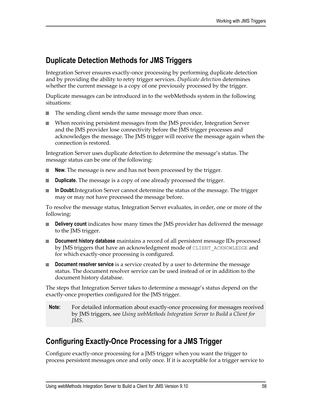# **Duplicate Detection Methods for JMS Triggers**

Integration Server ensures exactly-once processing by performing duplicate detection and by providing the ability to retry trigger services. *Duplicate detection* determines whether the current message is a copy of one previously processed by the trigger.

Duplicate messages can be introduced in to the webMethods system in the following situations:

- п The sending client sends the same message more than once.
- When receiving persistent messages from the JMS provider, Integration Server E and the JMS provider lose connectivity before the JMS trigger processes and acknowledges the message. The JMS trigger will receive the message again when the connection is restored.

Integration Server uses duplicate detection to determine the message's status. The message status can be one of the following:

- n. **New.** The message is new and has not been processed by the trigger.
- **Duplicate.** The message is a copy of one already processed the trigger. n.
- П **In Doubt.**Integration Server cannot determine the status of the message. The trigger may or may not have processed the message before.

To resolve the message status, Integration Server evaluates, in order, one or more of the following:

- **Delivery count** indicates how many times the JMS provider has delivered the message to the JMS trigger.
- **Document history database** maintains a record of all persistent message IDs processed by JMS triggers that have an acknowledgment mode of CLIENT ACKNOWLEDGE and for which exactly-once processing is configured.
- **Document resolver service** is a service created by a user to determine the message n. status. The document resolver service can be used instead of or in addition to the document history database.

The steps that Integration Server takes to determine a message's status depend on the exactly-once properties configured for the JMS trigger.

**Note:** For detailed information about exactly-once processing for messages received by JMS triggers, see *Using webMethods Integration Server to Build a Client for JMS*.

# <span id="page-57-0"></span>**Configuring Exactly-Once Processing for a JMS Trigger**

Configure exactly-once processing for a JMS trigger when you want the trigger to process persistent messages once and only once. If it is acceptable for a trigger service to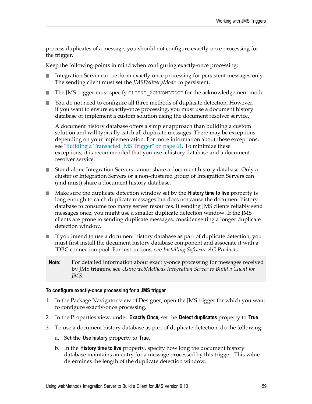process duplicates of a message, you should not configure exactly-once processing for the trigger.

Keep the following points in mind when configuring exactly-once processing:

- Integration Server can perform exactly-once processing for persistent messages only. n. The sending client must set the *JMSDeliveryMode* to persistent.
- The JMS trigger must specify CLIENT ACKNOWLEDGE for the acknowledgement mode. п
- You do not need to configure all three methods of duplicate detection. However, n. if you want to ensure exactly-once processing, you must use a document history database or implement a custom solution using the document resolver service.

A document history database offers a simpler approach than building a custom solution and will typically catch all duplicate messages. There may be exceptions depending on your implementation. For more information about these exceptions, see ["Building a Transacted JMS Trigger" on page 61](#page-60-0). To minimize these exceptions, it is recommended that you use a history database and a document resolver service.

- Stand-alone Integration Servers cannot share a document history database. Only a cluster of Integration Servers or a non-clustered group of Integration Servers can (and must) share a document history database.
- Make sure the duplicate detection window set by the **History time to live** property is  $\overline{\phantom{a}}$ long enough to catch duplicate messages but does not cause the document history database to consume too many server resources. If sending JMS clients reliably send messages once, you might use a smaller duplicate detection window. If the JMS clients are prone to sending duplicate messages, consider seing a longer duplicate detection window.
- If you intend to use a document history database as part of duplicate detection, you П must first install the document history database component and associate it with a JDBC connection pool. For instructions, see *Installing Software AG Products*.
- **Note:** For detailed information about exactly-once processing for messages received by JMS triggers, see *Using webMethods Integration Server to Build a Client for JMS*.

#### **To configure exactly-once processing for a JMS trigger**

- 1. In the Package Navigator view of Designer, open the JMS trigger for which you want to configure exactly-once processing.
- 2. In the Properties view, under **Exactly Once**, set the **Detect duplicates** property to **True**.
- 3. To use a document history database as part of duplicate detection, do the following:
	- a. Set the **Use history** property to **True**.
	- b. In the **History time to live** property, specify how long the document history database maintains an entry for a message processed by this trigger. This value determines the length of the duplicate detection window.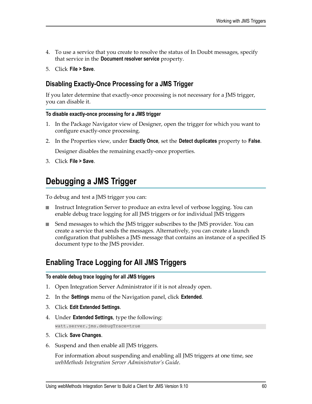- 4. To use a service that you create to resolve the status of In Doubt messages, specify that service in the **Document resolver service** property.
- 5. Click **File > Save**.

### **Disabling Exactly-Once Processing for a JMS Trigger**

If you later determine that exactly-once processing is not necessary for a JMS trigger, you can disable it.

#### **To disable exactly-once processing for a JMS trigger**

- 1. In the Package Navigator view of Designer, open the trigger for which you want to configure exactly-once processing.
- 2. In the Properties view, under **Exactly Once**, set the **Detect duplicates** property to **False**.

Designer disables the remaining exactly-once properties.

3. Click **File > Save**.

# <span id="page-59-0"></span>**Debugging a JMS Trigger**

To debug and test a JMS trigger you can:

- Instruct Integration Server to produce an extra level of verbose logging. You can enable debug trace logging for all JMS triggers or for individual JMS triggers
- Send messages to which the JMS trigger subscribes to the JMS provider. You can create a service that sends the messages. Alternatively, you can create a launch configuration that publishes a JMS message that contains an instance of a specified IS document type to the JMS provider.

# **Enabling Trace Logging for All JMS Triggers**

#### **To enable debug trace logging for all JMS triggers**

- 1. Open Integration Server Administrator if it is not already open.
- 2. In the **Settings** menu of the Navigation panel, click **Extended**.
- 3. Click **Edit Extended Settings**.
- 4. Under **Extended Settings**, type the following:

watt.server.jms.debugTrace=true

- 5. Click **Save Changes**.
- 6. Suspend and then enable all JMS triggers.

For information about suspending and enabling all JMS triggers at one time, see *webMethods Integration Server Administrator's Guide*.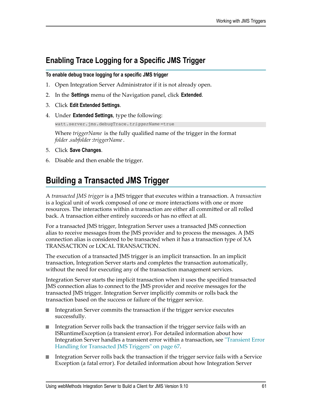# **Enabling Trace Logging for a Specific JMS Trigger**

**To enable debug trace logging for a specific JMS trigger**

- 1. Open Integration Server Administrator if it is not already open.
- 2. In the **Settings** menu of the Navigation panel, click **Extended**.
- 3. Click **Edit Extended Settings**.
- 4. Under **Extended Settings**, type the following:

watt.server.jms.debugTrace.*triggerName* =true

Where *triggerName* is the fully qualified name of the trigger in the format *folder*.*subfolder*:*triggerName*.

- 5. Click **Save Changes**.
- 6. Disable and then enable the trigger.

# <span id="page-60-0"></span>**Building a Transacted JMS Trigger**

A *transacted JMS trigger* is a JMS trigger that executes within a transaction. A *transaction* is a logical unit of work composed of one or more interactions with one or more resources. The interactions within a transaction are either all committed or all rolled back. A transaction either entirely succeeds or has no effect at all.

For a transacted JMS trigger, Integration Server uses a transacted JMS connection alias to receive messages from the JMS provider and to process the messages. A JMS connection alias is considered to be transacted when it has a transaction type of XA TRANSACTION or LOCAL TRANSACTION.

The execution of a transacted JMS trigger is an implicit transaction. In an implicit transaction, Integration Server starts and completes the transaction automatically, without the need for executing any of the transaction management services.

Integration Server starts the implicit transaction when it uses the specified transacted JMS connection alias to connect to the JMS provider and receive messages for the transacted JMS trigger. Integration Server implicitly commits or rolls back the transaction based on the success or failure of the trigger service.

- Integration Server commits the transaction if the trigger service executes n. successfully.
- Integration Server rolls back the transaction if the trigger service fails with an ISRuntimeException (a transient error). For detailed information about how Integration Server handles a transient error within a transaction, see ["Transient Error](#page-66-0) [Handling for Transacted JMS Triggers" on page 67](#page-66-0).
- Integration Server rolls back the transaction if the trigger service fails with a Service Exception (a fatal error). For detailed information about how Integration Server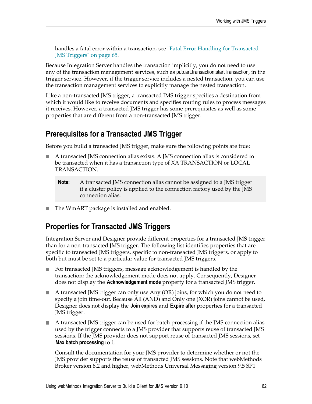handles a fatal error within a transaction, see ["Fatal Error Handling for Transacted](#page-64-0) [JMS Triggers" on page 65.](#page-64-0)

Because Integration Server handles the transaction implicitly, you do not need to use any of the transaction management services, such as pub.art.transaction:startTransaction, in the trigger service. However, if the trigger service includes a nested transaction, you can use the transaction management services to explicitly manage the nested transaction.

Like a non-transacted JMS trigger, a transacted JMS trigger specifies a destination from which it would like to receive documents and specifies routing rules to process messages it receives. However, a transacted JMS trigger has some prerequisites as well as some properties that are different from a non-transacted JMS trigger.

### **Prerequisites for a Transacted JMS Trigger**

Before you build a transacted JMS trigger, make sure the following points are true:

- A transacted JMS connection alias exists. A JMS connection alias is considered to be transacted when it has a transaction type of XA TRANSACTION or LOCAL TRANSACTION.
	- **Note:** A transacted JMS connection alias cannot be assigned to a JMS trigger if a cluster policy is applied to the connection factory used by the JMS connection alias.
- The WmART package is installed and enabled.

# **Properties for Transacted JMS Triggers**

Integration Server and Designer provide different properties for a transacted JMS trigger than for a non-transacted JMS trigger. The following list identifies properties that are specific to transacted JMS triggers, specific to non-transacted JMS triggers, or apply to both but must be set to a particular value for transacted JMS triggers.

- For transacted JMS triggers, message acknowledgement is handled by the E transaction; the acknowledgement mode does not apply. Consequently, Designer does not display the **Acknowledgement mode** property for a transacted JMS trigger.
- A transacted JMS trigger can only use Any (OR) joins, for which you do not need to specify a join time-out. Because All (AND) and Only one (XOR) joins cannot be used, Designer does not display the **Join expires** and **Expire after** properties for a transacted JMS trigger.
- A transacted JMS trigger can be used for batch processing if the JMS connection alias E used by the trigger connects to a JMS provider that supports reuse of transacted JMS sessions. If the JMS provider does not support reuse of transacted JMS sessions, set **Max batch processing** to 1.

Consult the documentation for your JMS provider to determine whether or not the JMS provider supports the reuse of transacted JMS sessions. Note that webMethods Broker version 8.2 and higher, webMethods Universal Messaging version 9.5 SP1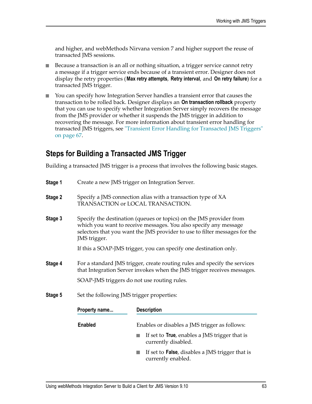and higher, and webMethods Nirvana version 7 and higher support the reuse of transacted JMS sessions.

- Because a transaction is an all or nothing situation, a trigger service cannot retry п a message if a trigger service ends because of a transient error. Designer does not display the retry properties (**Max retry attempts**, **Retry interval**, and **On retry failure**) for a transacted JMS trigger.
- You can specify how Integration Server handles a transient error that causes the  $\overline{\phantom{a}}$ transaction to be rolled back. Designer displays an **On transaction rollback** property that you can use to specify whether Integration Server simply recovers the message from the JMS provider or whether it suspends the JMS trigger in addition to recovering the message. For more information about transient error handling for transacted JMS triggers, see ["Transient Error Handling for Transacted JMS Triggers"](#page-66-0) [on page 67](#page-66-0).

### **Steps for Building a Transacted JMS Trigger**

Building a transacted JMS trigger is a process that involves the following basic stages.

| Stage 1 | Create a new JMS trigger on Integration Server.                                                                                                                                                                                       |                                                                                                                                                      |  |  |
|---------|---------------------------------------------------------------------------------------------------------------------------------------------------------------------------------------------------------------------------------------|------------------------------------------------------------------------------------------------------------------------------------------------------|--|--|
| Stage 2 |                                                                                                                                                                                                                                       | Specify a JMS connection alias with a transaction type of XA<br>TRANSACTION or LOCAL TRANSACTION.                                                    |  |  |
| Stage 3 | Specify the destination (queues or topics) on the JMS provider from<br>which you want to receive messages. You also specify any message<br>selectors that you want the JMS provider to use to filter messages for the<br>JMS trigger. |                                                                                                                                                      |  |  |
|         |                                                                                                                                                                                                                                       | If this a SOAP-JMS trigger, you can specify one destination only.                                                                                    |  |  |
| Stage 4 |                                                                                                                                                                                                                                       | For a standard JMS trigger, create routing rules and specify the services<br>that Integration Server invokes when the JMS trigger receives messages. |  |  |
|         |                                                                                                                                                                                                                                       | SOAP-JMS triggers do not use routing rules.                                                                                                          |  |  |
| Stage 5 |                                                                                                                                                                                                                                       | Set the following JMS trigger properties:                                                                                                            |  |  |
|         | Property name                                                                                                                                                                                                                         | <b>Description</b>                                                                                                                                   |  |  |
|         | <b>Enabled</b>                                                                                                                                                                                                                        | Enables or disables a JMS trigger as follows:                                                                                                        |  |  |
|         |                                                                                                                                                                                                                                       | If set to <b>True</b> , enables a JMS trigger that is<br>currently disabled.                                                                         |  |  |

■ If set to **False**, disables a JMS trigger that is currently enabled.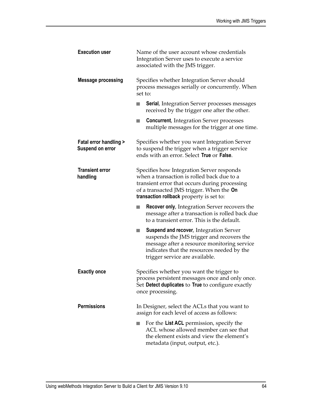| <b>Execution user</b>                                | Name of the user account whose credentials<br>Integration Server uses to execute a service<br>associated with the JMS trigger.                                                                                                   |
|------------------------------------------------------|----------------------------------------------------------------------------------------------------------------------------------------------------------------------------------------------------------------------------------|
| <b>Message processing</b>                            | Specifies whether Integration Server should<br>process messages serially or concurrently. When<br>set to:                                                                                                                        |
|                                                      | <b>Serial</b> , Integration Server processes messages<br>×.<br>received by the trigger one after the other.                                                                                                                      |
|                                                      | <b>Concurrent, Integration Server processes</b><br>in.<br>multiple messages for the trigger at one time.                                                                                                                         |
| <b>Fatal error handling &gt;</b><br>Suspend on error | Specifies whether you want Integration Server<br>to suspend the trigger when a trigger service<br>ends with an error. Select True or False.                                                                                      |
| <b>Transient error</b><br>handling                   | Specifies how Integration Server responds<br>when a transaction is rolled back due to a<br>transient error that occurs during processing<br>of a transacted JMS trigger. When the On<br>transaction rollback property is set to: |
|                                                      | <b>Recover only, Integration Server recovers the</b><br>message after a transaction is rolled back due<br>to a transient error. This is the default.                                                                             |
|                                                      | <b>Suspend and recover, Integration Server</b><br>m.<br>suspends the JMS trigger and recovers the<br>message after a resource monitoring service<br>indicates that the resources needed by the<br>trigger service are available. |
| <b>Exactly once</b>                                  | Specifies whether you want the trigger to<br>process persistent messages once and only once.<br>Set Detect duplicates to True to configure exactly<br>once processing.                                                           |
| <b>Permissions</b>                                   | In Designer, select the ACLs that you want to<br>assign for each level of access as follows:                                                                                                                                     |
|                                                      | For the List ACL permission, specify the<br>ACL whose allowed member can see that<br>the element exists and view the element's<br>metadata (input, output, etc.).                                                                |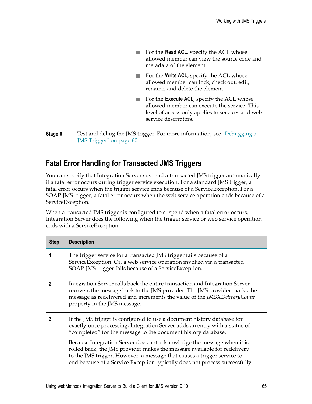- For the **Read ACL**, specify the ACL whose allowed member can view the source code and metadata of the element.
- For the **Write ACL**, specify the ACL whose × allowed member can lock, check out, edit, rename, and delete the element.
- For the **Execute ACL**, specify the ACL whose allowed member can execute the service. This level of access only applies to services and web service descriptors.
- **Stage 6** Test and debug the JMS trigger. For more information, see ["Debugging a](#page-59-0) [JMS Trigger" on page 60.](#page-59-0)

### <span id="page-64-0"></span>**Fatal Error Handling for Transacted JMS Triggers**

You can specify that Integration Server suspend a transacted JMS trigger automatically if a fatal error occurs during trigger service execution. For a standard JMS trigger, a fatal error occurs when the trigger service ends because of a ServiceException. For a SOAP-JMS trigger, a fatal error occurs when the web service operation ends because of a ServiceException.

When a transacted JMS trigger is configured to suspend when a fatal error occurs, Integration Server does the following when the trigger service or web service operation ends with a ServiceException:

| <b>Step</b>             | <b>Description</b>                                                                                                                                                                                                                                                                                          |
|-------------------------|-------------------------------------------------------------------------------------------------------------------------------------------------------------------------------------------------------------------------------------------------------------------------------------------------------------|
|                         | The trigger service for a transacted JMS trigger fails because of a<br>ServiceException. Or, a web service operation invoked via a transacted<br>SOAP-JMS trigger fails because of a ServiceException.                                                                                                      |
| $\overline{\mathbf{2}}$ | Integration Server rolls back the entire transaction and Integration Server<br>recovers the message back to the JMS provider. The JMS provider marks the<br>message as redelivered and increments the value of the JMSXDeliveryCount<br>property in the JMS message.                                        |
| 3                       | If the JMS trigger is configured to use a document history database for<br>exactly-once processing, Integration Server adds an entry with a status of<br>"completed" for the message to the document history database.                                                                                      |
|                         | Because Integration Server does not acknowledge the message when it is<br>rolled back, the JMS provider makes the message available for redelivery<br>to the JMS trigger. However, a message that causes a trigger service to<br>end because of a Service Exception typically does not process successfully |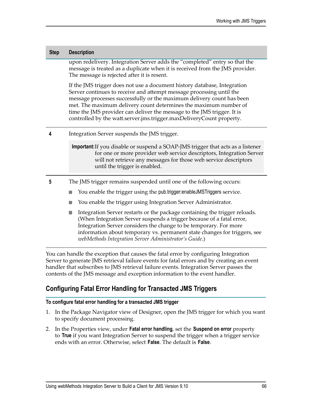| <b>Step</b> | <b>Description</b>                                                                                                                                                                                                                                                                                                                                                                                                                               |  |
|-------------|--------------------------------------------------------------------------------------------------------------------------------------------------------------------------------------------------------------------------------------------------------------------------------------------------------------------------------------------------------------------------------------------------------------------------------------------------|--|
|             | upon redelivery. Integration Server adds the "completed" entry so that the<br>message is treated as a duplicate when it is received from the JMS provider.<br>The message is rejected after it is resent.                                                                                                                                                                                                                                        |  |
|             | If the JMS trigger does not use a document history database, Integration<br>Server continues to receive and attempt message processing until the<br>message processes successfully or the maximum delivery count has been<br>met. The maximum delivery count determines the maximum number of<br>time the JMS provider can deliver the message to the JMS trigger. It is<br>controlled by the watt.server.jms.trigger.maxDeliveryCount property. |  |
| 4           | Integration Server suspends the JMS trigger.                                                                                                                                                                                                                                                                                                                                                                                                     |  |
|             | Important: If you disable or suspend a SOAP-JMS trigger that acts as a listener<br>for one or more provider web service descriptors, Integration Server<br>will not retrieve any messages for those web service descriptors<br>until the trigger is enabled.                                                                                                                                                                                     |  |
| 5           | The JMS trigger remains suspended until one of the following occurs:                                                                                                                                                                                                                                                                                                                                                                             |  |
|             | You enable the trigger using the pub trigger: enableJMSTriggers service.<br><b>College</b>                                                                                                                                                                                                                                                                                                                                                       |  |
|             | You enable the trigger using Integration Server Administrator.<br>n                                                                                                                                                                                                                                                                                                                                                                              |  |
|             | Integration Server restarts or the package containing the trigger reloads.<br>h.<br>(When Integration Server suspends a trigger because of a fatal error,<br>Integration Server considers the change to be temporary. For more<br>information about temporary vs. permanent state changes for triggers, see<br>webMethods Integration Server Administrator's Guide.)                                                                             |  |
|             | You can handle the exception that causes the fatal error by configuring Integration<br>Server to concrete IMS retrieval foilure events for fatal errors and by creating an event                                                                                                                                                                                                                                                                 |  |

Server to generate JMS retrieval failure events for fatal errors and by creating an event handler that subscribes to JMS retrieval failure events. Integration Server passes the contents of the JMS message and exception information to the event handler.

### **Configuring Fatal Error Handling for Transacted JMS Triggers**

#### **To configure fatal error handling for a transacted JMS trigger**

- 1. In the Package Navigator view of Designer, open the JMS trigger for which you want to specify document processing.
- 2. In the Properties view, under **Fatal error handling**, set the **Suspend on error** property to **True** if you want Integration Server to suspend the trigger when a trigger service ends with an error. Otherwise, select **False**. The default is **False**.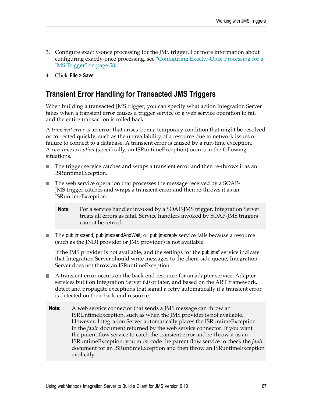- 3. Configure exactly-once processing for the JMS trigger. For more information about configuring exactly-once processing, see ["Configuring Exactly-Once Processing for a](#page-57-0) [JMS Trigger" on page 58.](#page-57-0)
- 4. Click **File > Save**.

## <span id="page-66-0"></span>**Transient Error Handling for Transacted JMS Triggers**

When building a transacted JMS trigger, you can specify what action Integration Server takes when a transient error causes a trigger service or a web service operation to fail and the entire transaction is rolled back.

A *transient error* is an error that arises from a temporary condition that might be resolved or corrected quickly, such as the unavailability of a resource due to network issues or failure to connect to a database. A transient error is caused by a run-time exception. A *run-time exception* (specifically, an ISRuntimeException) occurs in the following situations.

- The trigger service catches and wraps a transient error and then re-throws it as an n. ISRuntimeException.
- The web service operation that processes the message received by a SOAP-T. JMS trigger catches and wraps a transient error and then re-throws it as an ISRuntimeException.
	- **Note:** For a service handler invoked by a SOAP-JMS trigger, Integration Server treats all errors as fatal. Service handlers invoked by SOAP-JMS triggers cannot be retried.
- The pub.jms:send, pub.jms:sendAndWait, or pub.jms:reply service fails because a resource (such as the JNDI provider or JMS provider) is not available.

If the JMS provider is not available, and the settings for the pub.jms\* service indicate that Integration Server should write messages to the client side queue, Integration Server does not throw an ISRuntimeException.

- A transient error occurs on the back-end resource for an adapter service. Adapter services built on Integration Server 6.0 or later, and based on the ART framework, detect and propagate exceptions that signal a retry automatically if a transient error is detected on their back-end resource.
- **Note:** A web service connector that sends a JMS message can throw an ISRUntimeException, such as when the JMS provider is not available. However, Integration Server automatically places the ISRuntimeException in the *fault* document returned by the web service connector. If you want the parent flow service to catch the transient error and re-throw it as an ISRuntimeException, you must code the parent flow service to check the *fault* document for an ISRuntimeException and then throw an ISRuntimeException explicitly.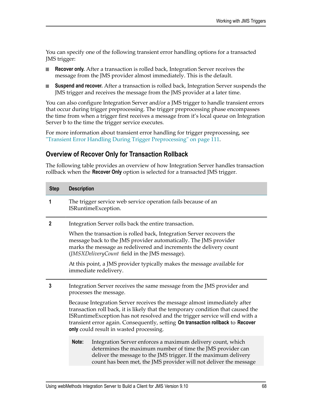You can specify one of the following transient error handling options for a transacted JMS trigger:

- **Recover only.** After a transaction is rolled back, Integration Server receives the n. message from the JMS provider almost immediately. This is the default.
- $\Box$ **Suspend and recover.** After a transaction is rolled back, Integration Server suspends the JMS trigger and receives the message from the JMS provider at a later time.

You can also configure Integration Server and/or a JMS trigger to handle transient errors that occur during trigger preprocessing. The trigger preprocessing phase encompasses the time from when a trigger first receives a message from it's local queue on Integration Server b to the time the trigger service executes.

For more information about transient error handling for trigger preprocessing, see ["Transient Error Handling During Trigger Preprocessing" on page 111.](#page-110-0)

### **Overview of Recover Only for Transaction Rollback**

The following table provides an overview of how Integration Server handles transaction rollback when the **Recover Only** option is selected for a transacted JMS trigger.

| <b>Step</b>    | <b>Description</b>                                                                                                                                                                                                                                                                                                                                                        |                                                                                                                                                                                                                                                                   |
|----------------|---------------------------------------------------------------------------------------------------------------------------------------------------------------------------------------------------------------------------------------------------------------------------------------------------------------------------------------------------------------------------|-------------------------------------------------------------------------------------------------------------------------------------------------------------------------------------------------------------------------------------------------------------------|
| 1              |                                                                                                                                                                                                                                                                                                                                                                           | The trigger service web service operation fails because of an<br>ISRuntimeException.                                                                                                                                                                              |
| $\overline{2}$ | Integration Server rolls back the entire transaction.                                                                                                                                                                                                                                                                                                                     |                                                                                                                                                                                                                                                                   |
|                |                                                                                                                                                                                                                                                                                                                                                                           | When the transaction is rolled back, Integration Server recovers the<br>message back to the JMS provider automatically. The JMS provider<br>marks the message as redelivered and increments the delivery count<br>(JMSXDeliveryCount field in the JMS message).   |
|                |                                                                                                                                                                                                                                                                                                                                                                           | At this point, a JMS provider typically makes the message available for<br>immediate redelivery.                                                                                                                                                                  |
| 3              |                                                                                                                                                                                                                                                                                                                                                                           | Integration Server receives the same message from the JMS provider and<br>processes the message.                                                                                                                                                                  |
|                | Because Integration Server receives the message almost immediately after<br>transaction roll back, it is likely that the temporary condition that caused the<br>ISRuntimeException has not resolved and the trigger service will end with a<br>transient error again. Consequently, setting On transaction rollback to Recover<br>only could result in wasted processing. |                                                                                                                                                                                                                                                                   |
|                | Note:                                                                                                                                                                                                                                                                                                                                                                     | Integration Server enforces a maximum delivery count, which<br>determines the maximum number of time the JMS provider can<br>deliver the message to the JMS trigger. If the maximum delivery<br>count has been met, the JMS provider will not deliver the message |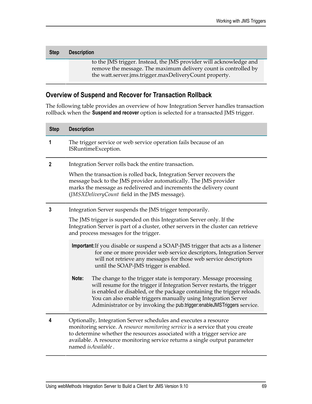| <b>Step</b> | <b>Description</b>                                                                                                                                                                              |
|-------------|-------------------------------------------------------------------------------------------------------------------------------------------------------------------------------------------------|
|             | to the JMS trigger. Instead, the JMS provider will acknowledge and<br>remove the message. The maximum delivery count is controlled by<br>the watt.server.jms.trigger.maxDeliveryCount property. |

### **Overview of Suspend and Recover for Transaction Rollback**

The following table provides an overview of how Integration Server handles transaction rollback when the **Suspend and recover** option is selected for a transacted JMS trigger.

| <b>Step</b>  | <b>Description</b>                                                                                                                                                                                                                                                                                                                                                          |  |
|--------------|-----------------------------------------------------------------------------------------------------------------------------------------------------------------------------------------------------------------------------------------------------------------------------------------------------------------------------------------------------------------------------|--|
| 1            | The trigger service or web service operation fails because of an<br>ISRuntimeException.                                                                                                                                                                                                                                                                                     |  |
| $\mathbf{2}$ | Integration Server rolls back the entire transaction.                                                                                                                                                                                                                                                                                                                       |  |
|              | When the transaction is rolled back, Integration Server recovers the<br>message back to the JMS provider automatically. The JMS provider<br>marks the message as redelivered and increments the delivery count<br>(JMSXDeliveryCount field in the JMS message).                                                                                                             |  |
| 3            | Integration Server suspends the JMS trigger temporarily.                                                                                                                                                                                                                                                                                                                    |  |
|              | The JMS trigger is suspended on this Integration Server only. If the<br>Integration Server is part of a cluster, other servers in the cluster can retrieve<br>and process messages for the trigger.                                                                                                                                                                         |  |
|              | Important: If you disable or suspend a SOAP-JMS trigger that acts as a listener<br>for one or more provider web service descriptors, Integration Server<br>will not retrieve any messages for those web service descriptors<br>until the SOAP-JMS trigger is enabled.                                                                                                       |  |
|              | Note:<br>The change to the trigger state is temporary. Message processing<br>will resume for the trigger if Integration Server restarts, the trigger<br>is enabled or disabled, or the package containing the trigger reloads.<br>You can also enable triggers manually using Integration Server<br>Administrator or by invoking the pub.trigger:enableJMSTriggers service. |  |
| 4            | Optionally, Integration Server schedules and executes a resource<br>monitoring service. A resource monitoring service is a service that you create<br>to determine whether the resources associated with a trigger service are<br>available. A resource monitoring service returns a single output parameter<br>named isAvailable.                                          |  |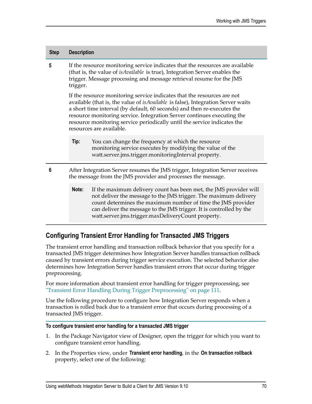| <b>Step</b>     | <b>Description</b>                                                                                                                                                                                                                                                                                                                                                                                                               |                                                                                                                                                                                                                                                                                                                                    |
|-----------------|----------------------------------------------------------------------------------------------------------------------------------------------------------------------------------------------------------------------------------------------------------------------------------------------------------------------------------------------------------------------------------------------------------------------------------|------------------------------------------------------------------------------------------------------------------------------------------------------------------------------------------------------------------------------------------------------------------------------------------------------------------------------------|
| 5               | If the resource monitoring service indicates that the resources are available<br>(that is, the value of <i>isAvailable</i> is true), Integration Server enables the<br>trigger. Message processing and message retrieval resume for the JMS<br>trigger.                                                                                                                                                                          |                                                                                                                                                                                                                                                                                                                                    |
|                 | If the resource monitoring service indicates that the resources are not<br>available (that is, the value of <i>isAvailable</i> is false), Integration Server waits<br>a short time interval (by default, 60 seconds) and then re-executes the<br>resource monitoring service. Integration Server continues executing the<br>resource monitoring service periodically until the service indicates the<br>resources are available. |                                                                                                                                                                                                                                                                                                                                    |
|                 | Tip:                                                                                                                                                                                                                                                                                                                                                                                                                             | You can change the frequency at which the resource<br>monitoring service executes by modifying the value of the<br>watt.server.jms.trigger.monitoringInterval property.                                                                                                                                                            |
| $6\phantom{1}6$ |                                                                                                                                                                                                                                                                                                                                                                                                                                  | After Integration Server resumes the JMS trigger, Integration Server receives<br>the message from the JMS provider and processes the message.                                                                                                                                                                                      |
|                 | Note:                                                                                                                                                                                                                                                                                                                                                                                                                            | If the maximum delivery count has been met, the JMS provider will<br>not deliver the message to the JMS trigger. The maximum delivery<br>count determines the maximum number of time the JMS provider<br>can deliver the message to the JMS trigger. It is controlled by the<br>watt.server.jms.trigger.maxDeliveryCount property. |
|                 |                                                                                                                                                                                                                                                                                                                                                                                                                                  | <b>Configuring Transient Error Handling for Transacted JMS Triggers</b>                                                                                                                                                                                                                                                            |

The transient error handling and transaction rollback behavior that you specify for a transacted JMS trigger determines how Integration Server handles transaction rollback caused by transient errors during trigger service execution. The selected behavior also determines how Integration Server handles transient errors that occur during trigger

For more information about transient error handling for trigger preprocessing, see ["Transient Error Handling During Trigger Preprocessing" on page 111.](#page-110-0)

Use the following procedure to configure how Integration Server responds when a transaction is rolled back due to a transient error that occurs during processing of a transacted JMS trigger.

#### **To configure transient error handling for a transacted JMS trigger**

preprocessing.

- 1. In the Package Navigator view of Designer, open the trigger for which you want to configure transient error handling.
- 2. In the Properties view, under **Transient error handling**, in the **On transaction rollback** property, select one of the following: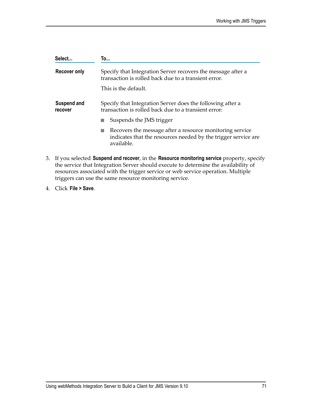| Select                 | To                                                                                                                                       |
|------------------------|------------------------------------------------------------------------------------------------------------------------------------------|
| <b>Recover only</b>    | Specify that Integration Server recovers the message after a<br>transaction is rolled back due to a transient error.                     |
|                        | This is the default.                                                                                                                     |
| Suspend and<br>recover | Specify that Integration Server does the following after a<br>transaction is rolled back due to a transient error:                       |
|                        | Suspends the JMS trigger                                                                                                                 |
|                        | Recovers the message after a resource monitoring service<br>indicates that the resources needed by the trigger service are<br>available. |
|                        |                                                                                                                                          |

- 3. If you selected **Suspend and recover**, in the **Resource monitoring service** property, specify the service that Integration Server should execute to determine the availability of resources associated with the trigger service or web service operation. Multiple triggers can use the same resource monitoring service.
- 4. Click **File > Save**.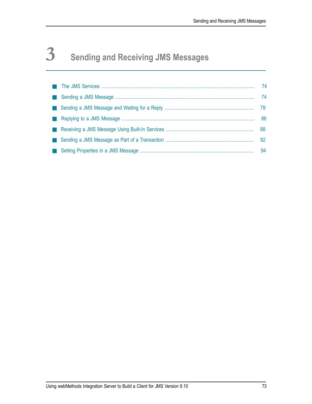# **3 Sending and Receiving JMS Messages**

|  | -74 |
|--|-----|
|  | -74 |
|  | 79  |
|  | 86  |
|  | 88  |
|  | 92  |
|  | 94  |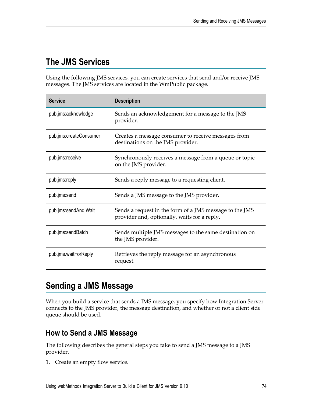# <span id="page-73-0"></span>**The JMS Services**

Using the following JMS services, you can create services that send and/or receive JMS messages. The JMS services are located in the WmPublic package.

| <b>Service</b>         | <b>Description</b>                                                                                      |
|------------------------|---------------------------------------------------------------------------------------------------------|
| pub.jms:acknowledge    | Sends an acknowledgement for a message to the JMS<br>provider.                                          |
| pub.jms:createConsumer | Creates a message consumer to receive messages from<br>destinations on the JMS provider.                |
| pub.jms:receive        | Synchronously receives a message from a queue or topic<br>on the JMS provider.                          |
| pub.jms:reply          | Sends a reply message to a requesting client.                                                           |
| pub.jms:send           | Sends a JMS message to the JMS provider.                                                                |
| pub.jms:sendAnd Wait   | Sends a request in the form of a JMS message to the JMS<br>provider and, optionally, waits for a reply. |
| pub.jms:sendBatch      | Sends multiple JMS messages to the same destination on<br>the JMS provider.                             |
| pub.jms.waitForReply   | Retrieves the reply message for an asynchronous<br>request.                                             |

# <span id="page-73-1"></span>**Sending a JMS Message**

When you build a service that sends a JMS message, you specify how Integration Server connects to the JMS provider, the message destination, and whether or not a client side queue should be used.

#### <span id="page-73-2"></span>**How to Send a JMS Message**

The following describes the general steps you take to send a JMS message to a JMS provider.

1. Create an empty flow service.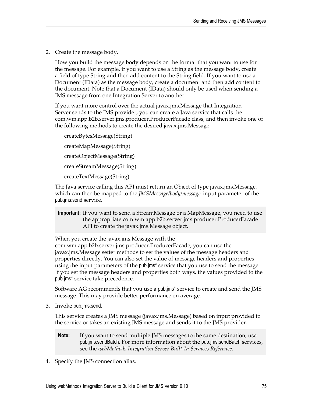2. Create the message body.

How you build the message body depends on the format that you want to use for the message. For example, if you want to use a String as the message body, create a field of type String and then add content to the String field. If you want to use a Document (IData) as the message body, create a document and then add content to the document. Note that a Document (IData) should only be used when sending a JMS message from one Integration Server to another.

If you want more control over the actual javax.jms.Message that Integration Server sends to the JMS provider, you can create a Java service that calls the com.wm.app.b2b.server.jms.producer.ProducerFacade class, and then invoke one of the following methods to create the desired javax.jms.Message:

createBytesMessage(String) createMapMessage(String) createObjectMessage(String) createStreamMessage(String) createTextMessage(String)

The Java service calling this API must return an Object of type javax.jms.Message, which can then be mapped to the *JMSMessage/body/message* input parameter of the pub.jms:send service.

**Important:** If you want to send a StreamMessage or a MapMessage, you need to use the appropriate com.wm.app.b2b.server.jms.producer.ProducerFacade API to create the javax.jms.Message object.

When you create the javax.jms.Message with the

com.wm.app.b2b.server.jms.producer.ProducerFacade, you can use the javax.jms.Message setter methods to set the values of the message headers and properties directly. You can also set the value of message headers and properties using the input parameters of the pub.jms\* service that you use to send the message. If you set the message headers and properties both ways, the values provided to the pub.jms\* service take precedence.

Software AG recommends that you use a pub.jms\* service to create and send the JMS message. This may provide better performance on average.

3. Invoke pub.jms:send.

This service creates a JMS message (javax.jms.Message) based on input provided to the service or takes an existing JMS message and sends it to the JMS provider.

- **Note:** If you want to send multiple JMS messages to the same destination, use pub.jms:sendBatch. For more information about the pub.jms:sendBatch services, see the *webMethods Integration Server Built-In Services Reference*.
- 4. Specify the JMS connection alias.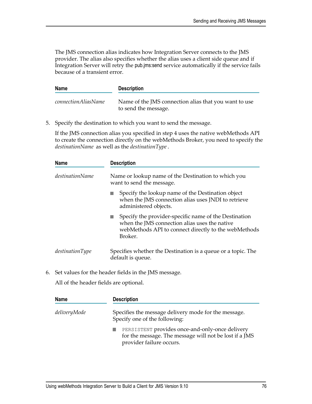The JMS connection alias indicates how Integration Server connects to the JMS provider. The alias also specifies whether the alias uses a client side queue and if Integration Server will retry the pub.jms:send service automatically if the service fails because of a transient error.

| <b>Name</b>                | <b>Description</b>                                                            |
|----------------------------|-------------------------------------------------------------------------------|
| <i>connectionAliasName</i> | Name of the JMS connection alias that you want to use<br>to send the message. |

5. Specify the destination to which you want to send the message.

If the JMS connection alias you specified in step 4 uses the native webMethods API to create the connection directly on the webMethods Broker, you need to specify the *destinationName* as well as the *destinationType*.

| <b>Name</b>            | <b>Description</b>                                                                                                                                                        |
|------------------------|---------------------------------------------------------------------------------------------------------------------------------------------------------------------------|
| <i>destinationName</i> | Name or lookup name of the Destination to which you<br>want to send the message.                                                                                          |
|                        | Specify the lookup name of the Destination object<br>when the JMS connection alias uses JNDI to retrieve<br>administered objects.                                         |
|                        | Specify the provider-specific name of the Destination<br>when the JMS connection alias uses the native<br>webMethods API to connect directly to the webMethods<br>Broker. |
| destinationType        | Specifies whether the Destination is a queue or a topic. The<br>default is queue.                                                                                         |

6. Set values for the header fields in the JMS message.

All of the header fields are optional.

| <b>Name</b>  | <b>Description</b>                                                                                                                    |
|--------------|---------------------------------------------------------------------------------------------------------------------------------------|
| deliveryMode | Specifies the message delivery mode for the message.<br>Specify one of the following:                                                 |
|              | PERSISTENT provides once-and-only-once delivery<br>for the message. The message will not be lost if a JMS<br>provider failure occurs. |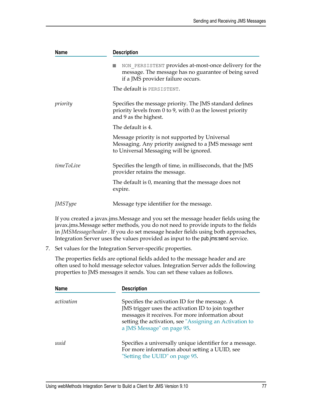| <b>Name</b>    | <b>Description</b>                                                                                                                                  |
|----------------|-----------------------------------------------------------------------------------------------------------------------------------------------------|
|                | NON PERSISTENT provides at-most-once delivery for the<br>message. The message has no guarantee of being saved<br>if a JMS provider failure occurs.  |
|                | The default is PERSISTENT.                                                                                                                          |
| priority       | Specifies the message priority. The JMS standard defines<br>priority levels from 0 to 9, with 0 as the lowest priority<br>and 9 as the highest.     |
|                | The default is 4.                                                                                                                                   |
|                | Message priority is not supported by Universal<br>Messaging. Any priority assigned to a JMS message sent<br>to Universal Messaging will be ignored. |
| timeToLive     | Specifies the length of time, in milliseconds, that the JMS<br>provider retains the message.                                                        |
|                | The default is 0, meaning that the message does not<br>expire.                                                                                      |
| <i>JMSType</i> | Message type identifier for the message.                                                                                                            |

If you created a javax.jms.Message and you set the message header fields using the javax.jms. Message setter methods, you do not need to provide inputs to the fields in *JMSMessage/header*. If you do set message header fields using both approaches, Integration Server uses the values provided as input to the pub.jms:send service.

7. Set values for the Integration Server-specific properties.

The properties fields are optional fields added to the message header and are often used to hold message selector values. Integration Server adds the following properties to JMS messages it sends. You can set these values as follows.

| <b>Name</b> | <b>Description</b>                                                                                                                                                                                                                                 |
|-------------|----------------------------------------------------------------------------------------------------------------------------------------------------------------------------------------------------------------------------------------------------|
| activation  | Specifies the activation ID for the message. A<br>JMS trigger uses the activation ID to join together<br>messages it receives. For more information about<br>setting the activation, see "Assigning an Activation to<br>a JMS Message" on page 95. |
| uuid        | Specifies a universally unique identifier for a message.<br>For more information about setting a UUID, see<br>"Setting the UUID" on page 95.                                                                                                       |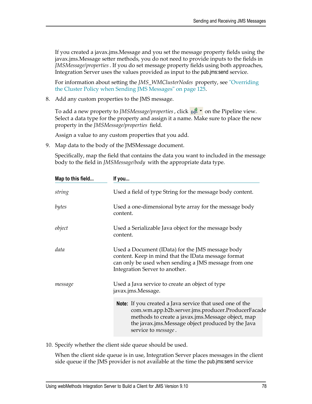If you created a javax.jms.Message and you set the message property fields using the javax.jms.Message setter methods, you do not need to provide inputs to the fields in *JMSMessage/properties*. If you do set message property fields using both approaches, Integration Server uses the values provided as input to the pub.jms:send service.

For information about seing the *JMS\_WMClusterNodes* property, see ["Overriding](#page-124-0) [the Cluster Policy when Sending JMS Messages" on page 125](#page-124-0).

8. Add any custom properties to the JMS message.

To add a new property to *JMSMessage/properties* , click  $\sqrt{2}$  **r** on the Pipeline view. Select a data type for the property and assign it a name. Make sure to place the new property in the *JMSMessage/properties* field.

Assign a value to any custom properties that you add.

9. Map data to the body of the JMSMessage document.

Specifically, map the field that contains the data you want to included in the message body to the field in *JMSMessage/body* with the appropriate data type.

| Map to this field | If you                                                                                                                                                                                                                                                 |
|-------------------|--------------------------------------------------------------------------------------------------------------------------------------------------------------------------------------------------------------------------------------------------------|
| string            | Used a field of type String for the message body content.                                                                                                                                                                                              |
| bytes             | Used a one-dimensional byte array for the message body<br>content.                                                                                                                                                                                     |
| object            | Used a Serializable Java object for the message body<br>content.                                                                                                                                                                                       |
| data              | Used a Document (IData) for the JMS message body<br>content. Keep in mind that the IData message format<br>can only be used when sending a JMS message from one<br>Integration Server to another.                                                      |
| message           | Used a Java service to create an object of type<br>javax.jms.Message.                                                                                                                                                                                  |
|                   | <b>Note:</b> If you created a Java service that used one of the<br>com.wm.app.b2b.server.jms.producer.ProducerFacade<br>methods to create a javax.jms. Message object, map<br>the javax.jms.Message object produced by the Java<br>service to message. |

10. Specify whether the client side queue should be used.

When the client side queue is in use, Integration Server places messages in the client side queue if the JMS provider is not available at the time the pub.jms:send service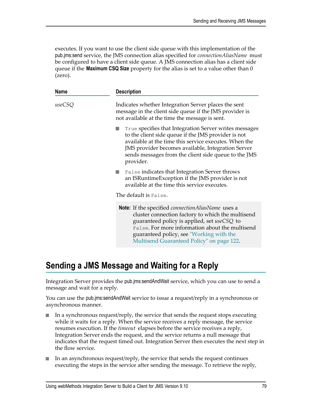executes. If you want to use the client side queue with this implementation of the pub.jms:send service, the JMS connection alias specified for *connectionAliasName* must be configured to have a client side queue. A JMS connection alias has a client side queue if the **Maximum CSQ Size** property for the alias is set to a value other than 0 (zero).

| Name   | <b>Description</b>                                                                                                                                                                                                                                                                                                |
|--------|-------------------------------------------------------------------------------------------------------------------------------------------------------------------------------------------------------------------------------------------------------------------------------------------------------------------|
| useCSQ | Indicates whether Integration Server places the sent<br>message in the client side queue if the JMS provider is<br>not available at the time the message is sent.                                                                                                                                                 |
|        | True specifies that Integration Server writes messages<br>to the client side queue if the JMS provider is not<br>available at the time this service executes. When the<br>JMS provider becomes available, Integration Server<br>sends messages from the client side queue to the JMS<br>provider.                 |
|        | False indicates that Integration Server throws<br>an ISRuntimeException if the JMS provider is not<br>available at the time this service executes.                                                                                                                                                                |
|        | The default is False.                                                                                                                                                                                                                                                                                             |
|        | <b>Note:</b> If the specified <i>connection Alias Name</i> uses a<br>cluster connection factory to which the multisend<br>guaranteed policy is applied, set useCSQ to<br>False. For more information about the multisend<br>guaranteed policy, see "Working with the<br>Multisend Guaranteed Policy" on page 122. |

# <span id="page-78-0"></span>**Sending a JMS Message and Waiting for a Reply**

Integration Server provides the pub.jms:sendAndWait service, which you can use to send a message and wait for a reply.

You can use the pub.jms:sendAndWait service to issue a request/reply in a synchronous or asynchronous manner.

- In a synchronous request/reply, the service that sends the request stops executing while it waits for a reply. When the service receives a reply message, the service resumes execution. If the *timeout* elapses before the service receives a reply, Integration Server ends the request, and the service returns a null message that indicates that the request timed out. Integration Server then executes the next step in the flow service.
- In an asynchronous request/reply, the service that sends the request continues executing the steps in the service after sending the message. To retrieve the reply,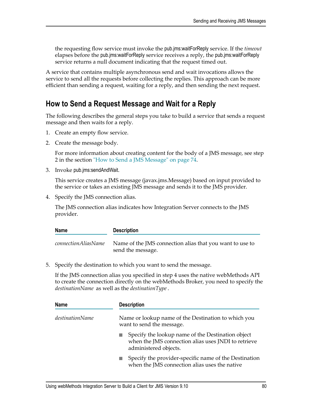the requesting flow service must invoke the pub.jms:waitForReply service. If the *timeout* elapses before the pub.jms:waitForReply service receives a reply, the pub.jms:waitForReply service returns a null document indicating that the request timed out.

A service that contains multiple asynchronous send and wait invocations allows the service to send all the requests before collecting the replies. This approach can be more efficient than sending a request, waiting for a reply, and then sending the next request.

#### **How to Send a Request Message and Wait for a Reply**

The following describes the general steps you take to build a service that sends a request message and then waits for a reply.

- 1. Create an empty flow service.
- 2. Create the message body.

For more information about creating content for the body of a JMS message, see step 2 in the section ["How to Send a JMS Message" on page 74.](#page-73-2)

3. Invoke pub.jms:sendAndWait.

This service creates a JMS message (javax.jms.Message) based on input provided to the service or takes an existing JMS message and sends it to the JMS provider.

4. Specify the JMS connection alias.

The JMS connection alias indicates how Integration Server connects to the JMS provider.

| <b>Name</b>                | <b>Description</b>                                                            |
|----------------------------|-------------------------------------------------------------------------------|
| <i>connectionAliasName</i> | Name of the JMS connection alias that you want to use to<br>send the message. |

5. Specify the destination to which you want to send the message.

If the JMS connection alias you specified in step 4 uses the native webMethods API to create the connection directly on the webMethods Broker, you need to specify the *destinationName* as well as the *destinationType*.

| <b>Name</b>     | <b>Description</b>                                                                                                                |
|-----------------|-----------------------------------------------------------------------------------------------------------------------------------|
| destinationName | Name or lookup name of the Destination to which you<br>want to send the message.                                                  |
|                 | Specify the lookup name of the Destination object<br>when the JMS connection alias uses JNDI to retrieve<br>administered objects. |
|                 | Specify the provider-specific name of the Destination<br>when the JMS connection alias uses the native                            |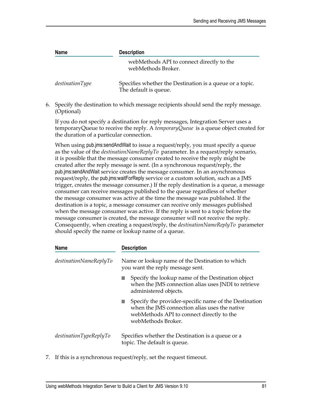| <b>Name</b>               | <b>Description</b>                                                                |  |
|---------------------------|-----------------------------------------------------------------------------------|--|
|                           | webMethods API to connect directly to the<br>webMethods Broker.                   |  |
| $d$ <i>estinationType</i> | Specifies whether the Destination is a queue or a topic.<br>The default is queue. |  |

6. Specify the destination to which message recipients should send the reply message. (Optional)

If you do not specify a destination for reply messages, Integration Server uses a temporaryQueue to receive the reply. A *temporaryQueue* is a queue object created for the duration of a particular connection.

When using pub.jms:sendAndWait to issue a request/reply, you must specify a queue as the value of the *destinationNameReplyTo* parameter. In a request/reply scenario, it is possible that the message consumer created to receive the reply might be created after the reply message is sent. (In a synchronous request/reply, the pub.jms:sendAndWait service creates the message consumer. In an asynchronous request/reply, the pub.jms:waitForReply service or a custom solution, such as a JMS trigger, creates the message consumer.) If the reply destination is a queue, a message consumer can receive messages published to the queue regardless of whether the message consumer was active at the time the message was published. If the destination is a topic, a message consumer can receive only messages published when the message consumer was active. If the reply is sent to a topic before the message consumer is created, the message consumer will not receive the reply. Consequently, when creating a request/reply, the *destinationNameReplyTo* parameter should specify the name or lookup name of a queue.

| <b>Name</b>                       | <b>Description</b>                                                                                                                                                        |
|-----------------------------------|---------------------------------------------------------------------------------------------------------------------------------------------------------------------------|
| $\emph{destinationNameReplyTo}$   | Name or lookup name of the Destination to which<br>you want the reply message sent.                                                                                       |
|                                   | Specify the lookup name of the Destination object<br>when the JMS connection alias uses JNDI to retrieve<br>administered objects.                                         |
|                                   | Specify the provider-specific name of the Destination<br>when the JMS connection alias uses the native<br>webMethods API to connect directly to the<br>webMethods Broker. |
| $\textit{destinationTypeReplyTo}$ | Specifies whether the Destination is a queue or a<br>topic. The default is queue.                                                                                         |

7. If this is a synchronous request/reply, set the request timeout.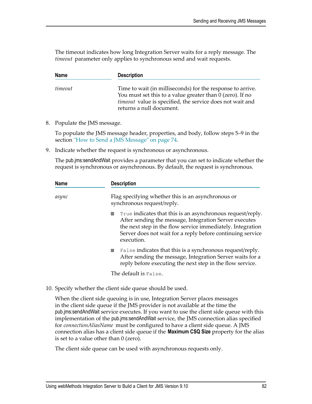The timeout indicates how long Integration Server waits for a reply message. The *timeout* parameter only applies to synchronous send and wait requests.

| <b>Name</b> | <b>Description</b>                                                                                                                                                                                                      |
|-------------|-------------------------------------------------------------------------------------------------------------------------------------------------------------------------------------------------------------------------|
| timeout     | Time to wait (in milliseconds) for the response to arrive.<br>You must set this to a value greater than 0 (zero). If no<br><i>timeout</i> value is specified, the service does not wait and<br>returns a null document. |

8. Populate the JMS message.

To populate the JMS message header, properties, and body, follow steps 5–9 in the section ["How to Send a JMS Message" on page 74.](#page-73-2)

9. Indicate whether the request is synchronous or asynchronous.

The pub.jms:sendAndWait provides a parameter that you can set to indicate whether the request is synchronous or asynchronous. By default, the request is synchronous.

| <b>Name</b> | <b>Description</b>                                                                                                                                                                                                                                             |
|-------------|----------------------------------------------------------------------------------------------------------------------------------------------------------------------------------------------------------------------------------------------------------------|
| async       | Flag specifying whether this is an asynchronous or<br>synchronous request/reply.                                                                                                                                                                               |
|             | True indicates that this is an asynchronous request/reply.<br>After sending the message, Integration Server executes<br>the next step in the flow service immediately. Integration<br>Server does not wait for a reply before continuing service<br>execution. |
|             | False indicates that this is a synchronous request/reply.<br>After sending the message, Integration Server waits for a<br>reply before executing the next step in the flow service.                                                                            |
|             | The default is False.                                                                                                                                                                                                                                          |

10. Specify whether the client side queue should be used.

When the client side queuing is in use, Integration Server places messages in the client side queue if the JMS provider is not available at the time the pub.jms:sendAndWait service executes. If you want to use the client side queue with this implementation of the pub.jms:sendAndWait service, the JMS connection alias specified for *connectionAliasName* must be configured to have a client side queue. A JMS connection alias has a client side queue if the **Maximum CSQ Size** property for the alias is set to a value other than 0 (zero).

The client side queue can be used with asynchronous requests only.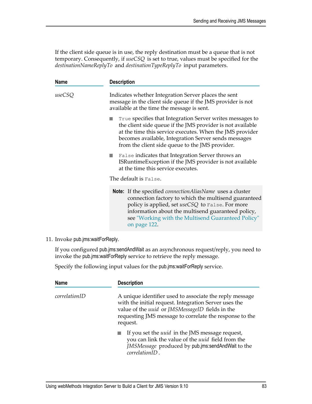If the client side queue is in use, the reply destination must be a queue that is not temporary. Consequently, if *useCSQ* is set to true, values must be specified for the *destinationNameReplyTo* and *destinationTypeReplyTo* input parameters.

| <b>Name</b> | <b>Description</b>                                                                                                                                                                                                                                                                                                                                  |
|-------------|-----------------------------------------------------------------------------------------------------------------------------------------------------------------------------------------------------------------------------------------------------------------------------------------------------------------------------------------------------|
| useCSQ      | Indicates whether Integration Server places the sent<br>message in the client side queue if the JMS provider is not<br>available at the time the message is sent.                                                                                                                                                                                   |
|             | True specifies that Integration Server writes messages to<br>the client side queue if the JMS provider is not available<br>at the time this service executes. When the JMS provider<br>becomes available, Integration Server sends messages<br>from the client side queue to the JMS provider.<br>False indicates that Integration Server throws an |
|             | ISRuntimeException if the JMS provider is not available<br>at the time this service executes.                                                                                                                                                                                                                                                       |
|             | The default is False.                                                                                                                                                                                                                                                                                                                               |
|             | <b>Note:</b> If the specified <i>connection Alias Name</i> uses a cluster<br>connection factory to which the multisend guaranteed<br>policy is applied, set useCSQ to False. For more<br>information about the multisend guaranteed policy,<br>see "Working with the Multisend Guaranteed Policy"<br>on page 122.                                   |

11. Invoke pub.jms:waitForReply.

If you configured pub.jms:sendAndWait as an asynchronous request/reply, you need to invoke the pub.jms:waitForReply service to retrieve the reply message.

Specify the following input values for the pub.jms:waitForReply service.

| <b>Name</b>   | <b>Description</b>                                                                                                                                                                                                                                       |
|---------------|----------------------------------------------------------------------------------------------------------------------------------------------------------------------------------------------------------------------------------------------------------|
| correlationID | A unique identifier used to associate the reply message<br>with the initial request. Integration Server uses the<br>value of the <i>uuid</i> or <i>JMSMessageID</i> fields in the<br>requesting JMS message to correlate the response to the<br>request. |
|               | If you set the <i>uuid</i> in the JMS message request,<br>you can link the value of the <i>uuid</i> field from the<br><i>JMSMessage</i> produced by pub.jms:sendAndWait to the<br>$correlationID$ .                                                      |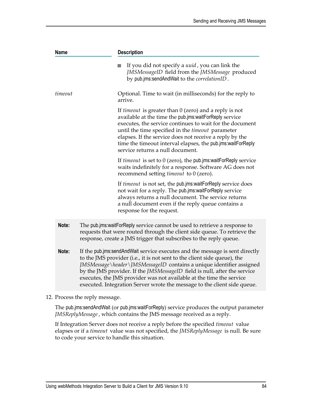| <b>Description</b>                                                                                                                                                                                                                                                                                                                                                                                                                                                         |
|----------------------------------------------------------------------------------------------------------------------------------------------------------------------------------------------------------------------------------------------------------------------------------------------------------------------------------------------------------------------------------------------------------------------------------------------------------------------------|
| If you did not specify a <i>uuid</i> , you can link the<br>JMSMessageID field from the JMSMessage produced<br>by pub.jms:sendAndWait to the correlationID.                                                                                                                                                                                                                                                                                                                 |
| Optional. Time to wait (in milliseconds) for the reply to<br>arrive.                                                                                                                                                                                                                                                                                                                                                                                                       |
| If <i>timeout</i> is greater than $0$ (zero) and a reply is not<br>available at the time the pub.jms:waitForReply service<br>executes, the service continues to wait for the document<br>until the time specified in the timeout parameter<br>elapses. If the service does not receive a reply by the<br>time the timeout interval elapses, the pub.jms:waitForReply<br>service returns a null document.                                                                   |
| If timeout is set to 0 (zero), the pub.jms:waitForReply service<br>waits indefinitely for a response. Software AG does not<br>recommend setting <i>timeout</i> to 0 (zero).                                                                                                                                                                                                                                                                                                |
| If <i>timeout</i> is not set, the pub.jms:waitForReply service does<br>not wait for a reply. The pub.jms:waitForReply service<br>always returns a null document. The service returns<br>a null document even if the reply queue contains a<br>response for the request.                                                                                                                                                                                                    |
| The pub.jms: waitForReply service cannot be used to retrieve a response to<br>requests that were routed through the client side queue. To retrieve the<br>response, create a JMS trigger that subscribes to the reply queue.                                                                                                                                                                                                                                               |
| If the pub.jms:sendAndWait service executes and the message is sent directly<br>to the JMS provider (i.e., it is not sent to the client side queue), the<br>JMSMessage \header \JMSMessageID contains a unique identifier assigned<br>by the JMS provider. If the <i>JMSMessageID</i> field is null, after the service<br>executes, the JMS provider was not available at the time the service<br>executed. Integration Server wrote the message to the client side queue. |
|                                                                                                                                                                                                                                                                                                                                                                                                                                                                            |

12. Process the reply message.

The pub.jms:sendAndWait (or pub.jms:waitForReply) service produces the output parameter *JMSReplyMessage*, which contains the JMS message received as a reply.

If Integration Server does not receive a reply before the specified *timeout* value elapses or if a *timeout* value was not specified, the *JMSReplyMessage* is null. Be sure to code your service to handle this situation.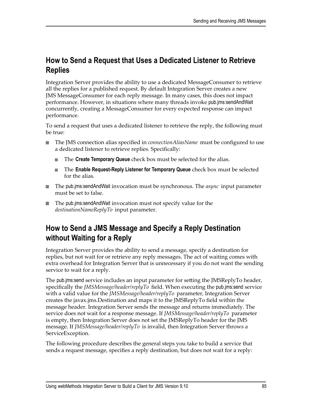## **How to Send a Request that Uses a Dedicated Listener to Retrieve Replies**

Integration Server provides the ability to use a dedicated MessageConsumer to retrieve all the replies for a published request. By default Integration Server creates a new JMS MessageConsumer for each reply message. In many cases, this does not impact performance. However, in situations where many threads invoke pub.jms:sendAndWait concurrently, creating a MessageConsumer for every expected response can impact performance.

To send a request that uses a dedicated listener to retrieve the reply, the following must be true:

- The JMS connection alias specified in *connectionAliasName* must be configured to use  $\Box$ a dedicated listener to retrieve replies. Specifically:
	- The **Create Temporary Queue** check box must be selected for the alias.  $\mathbf{r}$
	- The **Enable Request-Reply Listener for Temporary Queue** check box must be selected **The Contract** for the alias.
- The pub.jms:sendAndWait invocation must be synchronous. The *async* input parameter must be set to false.
- The pub.jms:sendAndWait invocation must not specify value for the *destinationNameReplyTo* input parameter.

## **How to Send a JMS Message and Specify a Reply Destination without Waiting for a Reply**

Integration Server provides the ability to send a message, specify a destination for replies, but not wait for or retrieve any reply messages. The act of waiting comes with extra overhead for Integration Server that is unnecessary if you do not want the sending service to wait for a reply.

The pub.jms:send service includes an input parameter for setting the JMSReplyTo header, specifically the *JMSMessage/header/replyTo* field. When executing the pub.jms:send service with a valid value for the *JMSMessage/header/replyTo* parameter, Integration Server creates the javax.jms.Destination and maps it to the JMSReplyTo field within the message header. Integration Server sends the message and returns immediately. The service does not wait for a response message. If *JMSMessage/header/replyTo* parameter is empty, then Integration Server does not set the JMSReplyTo header for the JMS message. If *JMSMessage/header/replyTo* is invalid, then Integration Server throws a ServiceException.

The following procedure describes the general steps you take to build a service that sends a request message, specifies a reply destination, but does not wait for a reply: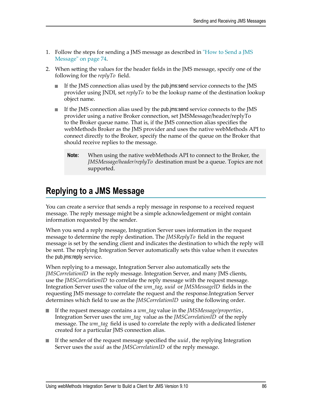- 1. Follow the steps for sending a JMS message as described in ["How to Send a JMS](#page-73-2) [Message" on page 74](#page-73-2).
- 2. When setting the values for the header fields in the JMS message, specify one of the following for the *replyTo* field.
	- If the JMS connection alias used by the pub.jms:send service connects to the JMS provider using JNDI, set *replyTo* to be the lookup name of the destination lookup object name.
	- If the JMS connection alias used by the pub.jms:send service connects to the JMS provider using a native Broker connection, set JMSMessage/header/replyTo to the Broker queue name. That is, if the JMS connection alias specifies the webMethods Broker as the JMS provider and uses the native webMethods API to connect directly to the Broker, specify the name of the queue on the Broker that should receive replies to the message.
		- **Note:** When using the native webMethods API to connect to the Broker, the *JMSMessage/header/replyTo* destination must be a queue. Topics are not supported.

# <span id="page-85-0"></span>**Replying to a JMS Message**

You can create a service that sends a reply message in response to a received request message. The reply message might be a simple acknowledgement or might contain information requested by the sender.

When you send a reply message, Integration Server uses information in the request message to determine the reply destination. The *JMSReplyTo* field in the request message is set by the sending client and indicates the destination to which the reply will be sent. The replying Integration Server automatically sets this value when it executes the pub.jms:reply service.

When replying to a message, Integration Server also automatically sets the *JMSCorrelationID* in the reply message. Integration Server, and many JMS clients, use the *JMSCorrelationID* to correlate the reply message with the request message. Integration Server uses the value of the *wm\_tag, uuid* or *JMSMessageID* fields in the requesting JMS message to correlate the request and the response.Integration Server determines which field to use as the *JMSCorrelationID* using the following order.

- If the request message contains a *wm\_tag* value in the *JMSMessage/properties*, n. Integration Server uses the *wm\_tag* value as the *JMSCorrelationID* of the reply message. The *wm\_tag* field is used to correlate the reply with a dedicated listener created for a particular JMS connection alias.
- If the sender of the request message specified the *uuid* , the replying Integration Server uses the *uuid* as the *JMSCorrelationID* of the reply message.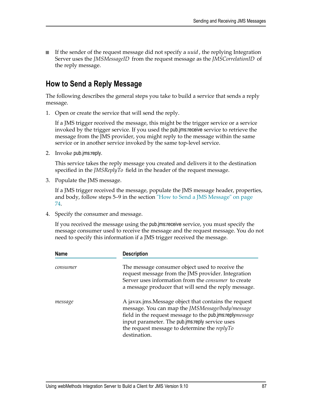If the sender of the request message did not specify a *uuid* , the replying Integration Server uses the *JMSMessageID* from the request message as the *JMSCorrelationID* of the reply message.

### **How to Send a Reply Message**

The following describes the general steps you take to build a service that sends a reply message.

1. Open or create the service that will send the reply.

If a JMS trigger received the message, this might be the trigger service or a service invoked by the trigger service. If you used the pub.jms:receive service to retrieve the message from the JMS provider, you might reply to the message within the same service or in another service invoked by the same top-level service.

2. Invoke pub.jms:reply.

This service takes the reply message you created and delivers it to the destination specified in the *JMSReplyTo* field in the header of the request message.

3. Populate the JMS message.

If a JMS trigger received the message, populate the JMS message header, properties, and body, follow steps 5–9 in the section ["How to Send a JMS Message" on page](#page-73-2) [74](#page-73-2).

4. Specify the consumer and message.

If you received the message using the pub.jms:receive service, you must specify the message consumer used to receive the message and the request message. You do not need to specify this information if a JMS trigger received the message.

| <b>Name</b> | <b>Description</b>                                                                                                                                                                                                                                                                      |
|-------------|-----------------------------------------------------------------------------------------------------------------------------------------------------------------------------------------------------------------------------------------------------------------------------------------|
| consumer    | The message consumer object used to receive the<br>request message from the JMS provider. Integration<br>Server uses information from the consumer to create<br>a message producer that will send the reply message.                                                                    |
| message     | A javax.jms.Message object that contains the request<br>message. You can map the JMSMessage/body/message<br>field in the request message to the pub.jms:replymessage<br>input parameter. The pub.jms:reply service uses<br>the request message to determine the replyTo<br>destination. |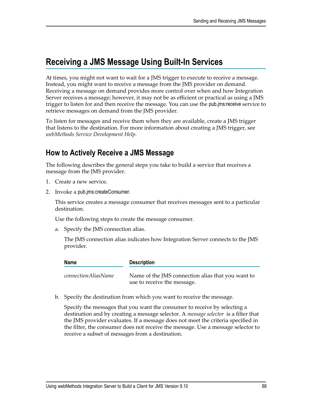# <span id="page-87-0"></span>**Receiving a JMS Message Using Built-In Services**

At times, you might not want to wait for a JMS trigger to execute to receive a message. Instead, you might want to receive a message from the JMS provider on demand. Receiving a message on demand provides more control over when and how Integration Server receives a message; however, it may not be as efficient or practical as using a JMS trigger to listen for and then receive the message. You can use the pub.jms:receive service to retrieve messages on demand from the JMS provider.

To listen for messages and receive them when they are available, create a JMS trigger that listens to the destination. For more information about creating a JMS trigger, see *webMethods Service Development Help*.

#### **How to Actively Receive a JMS Message**

The following describes the general steps you take to build a service that receives a message from the JMS provider.

- 1. Create a new service.
- 2. Invoke a pub.jms:createConsumer.

This service creates a message consumer that receives messages sent to a particular destination.

Use the following steps to create the message consumer.

a. Specify the JMS connection alias.

The JMS connection alias indicates how Integration Server connects to the JMS provider.

| <b>Name</b>                | <b>Description</b>                                                               |
|----------------------------|----------------------------------------------------------------------------------|
| <i>connectionAliasName</i> | Name of the JMS connection alias that you want to<br>use to receive the message. |

b. Specify the destination from which you want to receive the message.

Specify the messages that you want the consumer to receive by selecting a destination and by creating a message selector. A *message selector* is a filter that the JMS provider evaluates. If a message does not meet the criteria specified in the filter, the consumer does not receive the message. Use a message selector to receive a subset of messages from a destination.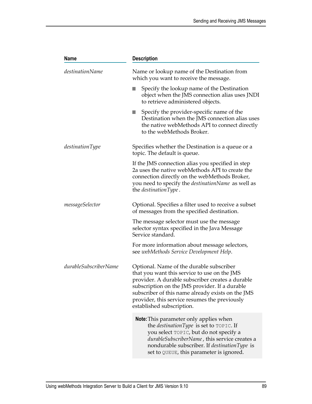| <b>Name</b>           | <b>Description</b>                                                                                                                                                                                                                                                                                                                |
|-----------------------|-----------------------------------------------------------------------------------------------------------------------------------------------------------------------------------------------------------------------------------------------------------------------------------------------------------------------------------|
| destinationName       | Name or lookup name of the Destination from<br>which you want to receive the message.                                                                                                                                                                                                                                             |
|                       | Specify the lookup name of the Destination<br>object when the JMS connection alias uses JNDI<br>to retrieve administered objects.                                                                                                                                                                                                 |
|                       | Specify the provider-specific name of the<br>Destination when the JMS connection alias uses<br>the native webMethods API to connect directly<br>to the webMethods Broker.                                                                                                                                                         |
| destinationType       | Specifies whether the Destination is a queue or a<br>topic. The default is queue.                                                                                                                                                                                                                                                 |
|                       | If the JMS connection alias you specified in step<br>2a uses the native webMethods API to create the<br>connection directly on the webMethods Broker,<br>you need to specify the <i>destinationName</i> as well as<br>the <i>destinationType</i> .                                                                                |
| messageSelector       | Optional. Specifies a filter used to receive a subset<br>of messages from the specified destination.                                                                                                                                                                                                                              |
|                       | The message selector must use the message<br>selector syntax specified in the Java Message<br>Service standard.                                                                                                                                                                                                                   |
|                       | For more information about message selectors,<br>see webMethods Service Development Help.                                                                                                                                                                                                                                         |
| durableSubscriberName | Optional. Name of the durable subscriber<br>that you want this service to use on the JMS<br>provider. A durable subscriber creates a durable<br>subscription on the JMS provider. If a durable<br>subscriber of this name already exists on the JMS<br>provider, this service resumes the previously<br>established subscription. |
|                       | Note: This parameter only applies when<br>the destination Type is set to TOPIC. If<br>you select TOPIC, but do not specify a<br>durableSubscriberName, this service creates a<br>nondurable subscriber. If destinationType is<br>set to QUEUE, this parameter is ignored.                                                         |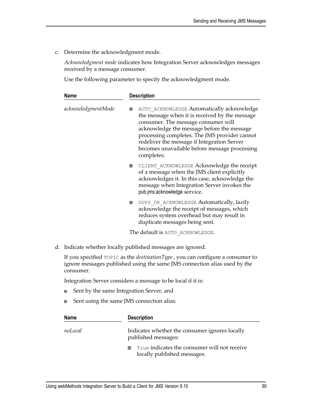c. Determine the acknowledgment mode.

*Acknowledgment mode* indicates how Integration Server acknowledges messages received by a message consumer.

Use the following parameter to specify the acknowledgment mode.

| <b>Name</b>                              | <b>Description</b>                                                                                                                                                                                                                                                                                                                               |
|------------------------------------------|--------------------------------------------------------------------------------------------------------------------------------------------------------------------------------------------------------------------------------------------------------------------------------------------------------------------------------------------------|
| acknowledgmentMode                       | AUTO ACKNOWLEDGE Automatically acknowledge<br>the message when it is received by the message<br>consumer. The message consumer will<br>acknowledge the message before the message<br>processing completes. The JMS provider cannot<br>redeliver the message if Integration Server<br>becomes unavailable before message processing<br>completes. |
|                                          | CLIENT ACKNOWLEDGE Acknowledge the receipt<br>H.<br>of a message when the JMS client explicitly<br>acknowledges it. In this case, acknowledge the<br>message when Integration Server invokes the<br>pub.jms:acknowledge service.                                                                                                                 |
|                                          | DUPS OK ACKNOWLEDGE Automatically, lazily<br>H.<br>acknowledge the receipt of messages, which<br>reduces system overhead but may result in<br>duplicate messages being sent.                                                                                                                                                                     |
|                                          | The default is AUTO ACKNOWLEDGE.                                                                                                                                                                                                                                                                                                                 |
|                                          | d. Indicate whether locally published messages are ignored.                                                                                                                                                                                                                                                                                      |
| consumer.                                | If you specified $\text{TOPIC}$ as the <i>destination Type</i> , you can configure a consumer to<br>ignore messages published using the same JMS connection alias used by the                                                                                                                                                                    |
|                                          | Integration Server considers a message to be local if it is:                                                                                                                                                                                                                                                                                     |
| Sent by the same Integration Server, and |                                                                                                                                                                                                                                                                                                                                                  |
|                                          | Sent using the same JMS connection alias.                                                                                                                                                                                                                                                                                                        |
| <b>Name</b>                              | <b>Description</b>                                                                                                                                                                                                                                                                                                                               |

*noLocal* Indicates whether the consumer ignores locally

| published messages:                          |
|----------------------------------------------|
| True indicates the consumer will not receive |
| locally published messages.                  |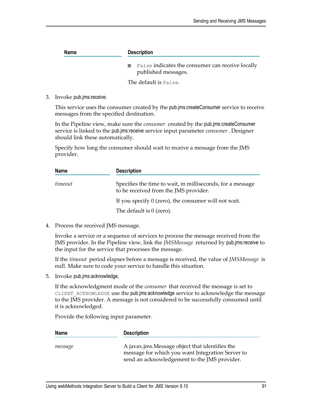| <b>Name</b> | <b>Description</b>                                                      |  |
|-------------|-------------------------------------------------------------------------|--|
|             | False indicates the consumer can receive locally<br>published messages. |  |
|             | The default is False.                                                   |  |

3. Invoke pub.jms:receive.

This service uses the consumer created by the pub.jms:createConsumer service to receive messages from the specified destination.

In the Pipeline view, make sure the *consumer* created by the pub.jms:createConsumer service is linked to the pub.jms:receive service input parameter *consumer*. Designer should link these automatically.

Specify how long the consumer should wait to receive a message from the JMS provider.

| <b>Name</b> | <b>Description</b>                                                                                  |  |
|-------------|-----------------------------------------------------------------------------------------------------|--|
| timeout     | Specifies the time to wait, in milliseconds, for a message<br>to be received from the JMS provider. |  |
|             | If you specify $0$ (zero), the consumer will not wait.                                              |  |
|             | The default is $0$ (zero).                                                                          |  |

4. Process the received JMS message.

Invoke a service or a sequence of services to process the message received from the JMS provider. In the Pipeline view, link the *JMSMessage* returned by pub.jms:receive to the input for the service that processes the message.

If the *timeout* period elapses before a message is received, the value of *JMSMessage* is null. Make sure to code your service to handle this situation.

5. Invoke pub.jms:acknowledge.

If the acknowledgment mode of the *consumer* that received the message is set to CLIENT ACKNOWLEDGE use the pub.jms:acknowledge service to acknowledge the message to the JMS provider. A message is not considered to be successfully consumed until it is acknowledged.

Provide the following input parameter.

| <b>Name</b> | <b>Description</b>                                                                                                                                  |
|-------------|-----------------------------------------------------------------------------------------------------------------------------------------------------|
| message     | A javax.jms. Message object that identifies the<br>message for which you want Integration Server to<br>send an acknowledgement to the JMS provider. |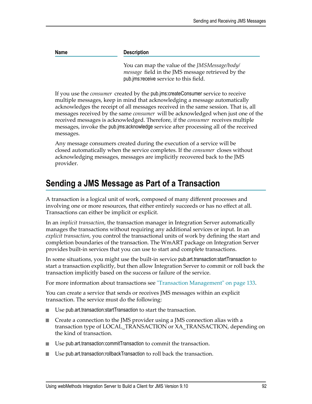**Name Description**

You can map the value of the *JMSMessage/body/ message* field in the JMS message retrieved by the pub.jms:receive service to this field.

If you use the *consumer* created by the pub.jms:createConsumer service to receive multiple messages, keep in mind that acknowledging a message automatically acknowledges the receipt of all messages received in the same session. That is, all messages received by the same *consumer* will be acknowledged when just one of the received messages is acknowledged. Therefore, if the *consumer* receives multiple messages, invoke the pub.jms:acknowledge service after processing all of the received messages.

Any message consumers created during the execution of a service will be closed automatically when the service completes. If the *consumer* closes without acknowledging messages, messages are implicitly recovered back to the JMS provider.

# <span id="page-91-0"></span>**Sending a JMS Message as Part of a Transaction**

A transaction is a logical unit of work, composed of many different processes and involving one or more resources, that either entirely succeeds or has no effect at all. Transactions can either be implicit or explicit.

In an *implicit transaction*, the transaction manager in Integration Server automatically manages the transactions without requiring any additional services or input. In an *explicit transaction*, you control the transactional units of work by defining the start and completion boundaries of the transaction. The WmART package on Integration Server provides built-in services that you can use to start and complete transactions.

In some situations, you might use the built-in service pub.art.transaction:startTransaction to start a transaction explicitly, but then allow Integration Server to commit or roll back the transaction implicitly based on the success or failure of the service.

For more information about transactions see ["Transaction Management" on page 133.](#page-132-0)

You can create a service that sends or receives JMS messages within an explicit transaction. The service must do the following:

- Use pub.art.transaction:startTransaction to start the transaction. n.
- n. Create a connection to the JMS provider using a JMS connection alias with a transaction type of LOCAL\_TRANSACTION or XA\_TRANSACTION, depending on the kind of transaction.
- Use pub.art.transaction:commitTransaction to commit the transaction.
- Use pub.art.transaction:rollbackTransaction to roll back the transaction.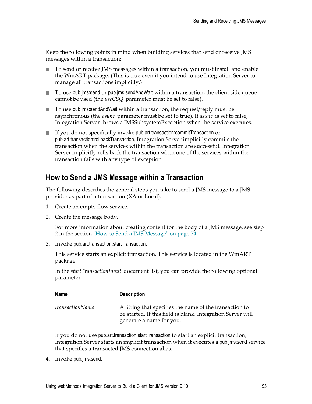Keep the following points in mind when building services that send or receive JMS messages within a transaction:

- To send or receive JMS messages within a transaction, you must install and enable п the WmART package. (This is true even if you intend to use Integration Server to manage all transactions implicitly.)
- To use pub.jms:send or pub.jms:sendAndWait within a transaction, the client side queue cannot be used (the *useCSQ* parameter must be set to false).
- To use pub.jms: send And Wait within a transaction, the request/reply must be asynchronous (the *async* parameter must be set to true). If *async* is set to false, Integration Server throws a JMSSubsystemException when the service executes.
- If you do not specifically invoke pub.art.transaction:commitTransaction or pub.art.transaction:rollbackTransaction, Integration Server implicitly commits the transaction when the services within the transaction are successful. Integration Server implicitly rolls back the transaction when one of the services within the transaction fails with any type of exception.

#### **How to Send a JMS Message within a Transaction**

The following describes the general steps you take to send a JMS message to a JMS provider as part of a transaction (XA or Local).

- 1. Create an empty flow service.
- 2. Create the message body.

For more information about creating content for the body of a JMS message, see step 2 in the section ["How to Send a JMS Message" on page 74.](#page-73-2)

3. Invoke pub.art.transaction:startTransaction.

This service starts an explicit transaction. This service is located in the WmART package.

In the *startTransactionInput* document list, you can provide the following optional parameter.

| <b>Name</b>     | <b>Description</b>                                                                                                                                |
|-----------------|---------------------------------------------------------------------------------------------------------------------------------------------------|
| transactionName | A String that specifies the name of the transaction to<br>be started. If this field is blank, Integration Server will<br>generate a name for you. |

If you do not use pub.art.transaction:startTransaction to start an explicit transaction, Integration Server starts an implicit transaction when it executes a pub.jms:send service that specifies a transacted JMS connection alias.

4. Invoke pub.jms:send.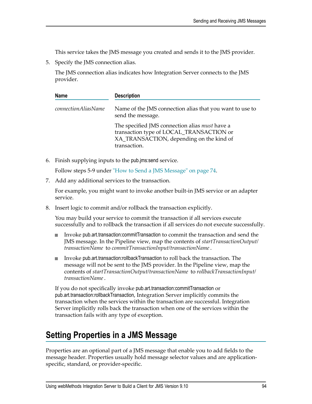This service takes the JMS message you created and sends it to the JMS provider.

5. Specify the JMS connection alias.

The JMS connection alias indicates how Integration Server connects to the JMS provider.

| <b>Name</b>                | <b>Description</b>                                                                                                                                     |  |
|----------------------------|--------------------------------------------------------------------------------------------------------------------------------------------------------|--|
| <i>connectionAliasName</i> | Name of the JMS connection alias that you want to use to<br>send the message.                                                                          |  |
|                            | The specified JMS connection alias must have a<br>transaction type of LOCAL_TRANSACTION or<br>XA_TRANSACTION, depending on the kind of<br>transaction. |  |

6. Finish supplying inputs to the pub.jms:send service.

Follow steps 5-9 under ["How to Send a JMS Message" on page 74.](#page-73-2)

7. Add any additional services to the transaction.

For example, you might want to invoke another built-in JMS service or an adapter service.

8. Insert logic to commit and/or rollback the transaction explicitly.

You may build your service to commit the transaction if all services execute successfully and to rollback the transaction if all services do not execute successfully.

- Invoke pub.art.transaction:commitTransaction to commit the transaction and send the п JMS message. In the Pipeline view, map the contents of *startTransactionOutput/ transactionName* to *commitTransactionInput/transactionName*.
- Invoke pub.art.transaction:rollbackTransaction to roll back the transaction. The п message will not be sent to the JMS provider. In the Pipeline view, map the contents of *startTransactionOutput/transactionName* to *rollbackTransactionInput/ transactionName*.

If you do not specifically invoke pub.art.transaction:commitTransaction or pub.art.transaction:rollbackTransaction, Integration Server implicitly commits the transaction when the services within the transaction are successful. Integration Server implicitly rolls back the transaction when one of the services within the transaction fails with any type of exception.

# <span id="page-93-0"></span>**Setting Properties in a JMS Message**

Properties are an optional part of a JMS message that enable you to add fields to the message header. Properties usually hold message selector values and are applicationspecific, standard, or provider-specific.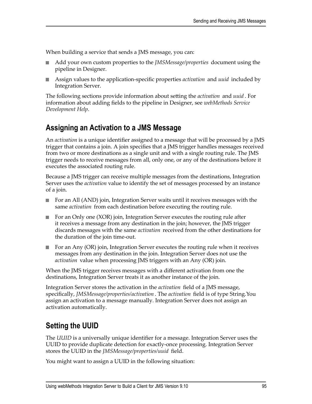When building a service that sends a JMS message, you can:

- Add your own custom properties to the *JMSMessage/properties* document using the pipeline in Designer.
- Assign values to the application-specific properties *activation* and *uuid* included by Integration Server.

The following sections provide information about seing the *activation* and *uuid* . For information about adding fields to the pipeline in Designer, see *webMethods Service Development Help*.

#### <span id="page-94-0"></span>**Assigning an Activation to a JMS Message**

An *activation* is a unique identifier assigned to a message that will be processed by a JMS trigger that contains a join. A join specifies that a JMS trigger handles messages received from two or more destinations as a single unit and with a single routing rule. The JMS trigger needs to receive messages from all, only one, or any of the destinations before it executes the associated routing rule.

Because a JMS trigger can receive multiple messages from the destinations, Integration Server uses the *activation* value to identify the set of messages processed by an instance of a join.

- For an All (AND) join, Integration Server waits until it receives messages with the same *activation* from each destination before executing the routing rule.
- For an Only one (XOR) join, Integration Server executes the routing rule after it receives a message from any destination in the join; however, the JMS trigger discards messages with the same *activation* received from the other destinations for the duration of the join time-out.
- For an Any (OR) join, Integration Server executes the routing rule when it receives  $\overline{\phantom{a}}$ messages from any destination in the join. Integration Server does not use the *activation* value when processing JMS triggers with an Any (OR) join.

When the JMS trigger receives messages with a different activation from one the destinations, Integration Server treats it as another instance of the join.

Integration Server stores the activation in the *activation* field of a JMS message, specifically, *JMSMessage/properties/activation* . The *activation* field is of type String.You assign an activation to a message manually. Integration Server does not assign an activation automatically.

### <span id="page-94-1"></span>**Setting the UUID**

The *UUID* is a universally unique identifier for a message. Integration Server uses the UUID to provide duplicate detection for exactly-once processing. Integration Server stores the UUID in the *JMSMessage/properties/uuid* field.

You might want to assign a UUID in the following situation: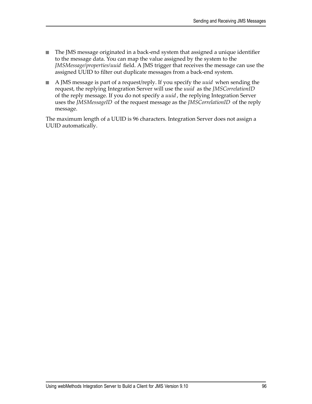- The JMS message originated in a back-end system that assigned a unique identifier  $\overline{\phantom{a}}$ to the message data. You can map the value assigned by the system to the *JMSMessage/properties/uuid* field. A JMS trigger that receives the message can use the assigned UUID to filter out duplicate messages from a back-end system.
- A JMS message is part of a request/reply. If you specify the *uuid* when sending the request, the replying Integration Server will use the *uuid* as the *JMSCorrelationID* of the reply message. If you do not specify a *uuid* , the replying Integration Server uses the *JMSMessageID* of the request message as the *JMSCorrelationID* of the reply message.

The maximum length of a UUID is 96 characters. Integration Server does not assign a UUID automatically.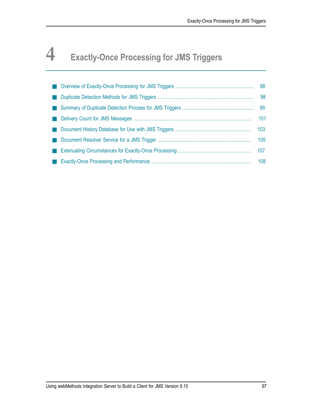# **4 Exactly-Once Processing for JMS Triggers**

|  | 98  |
|--|-----|
|  | 98  |
|  | 99  |
|  | 101 |
|  | 103 |
|  | 105 |
|  | 107 |
|  | 108 |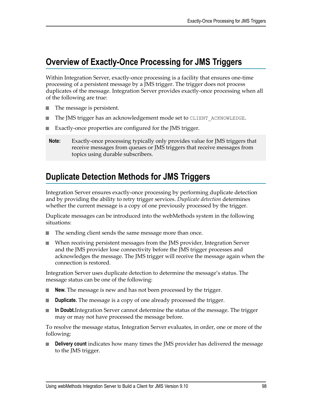# <span id="page-97-0"></span>**Overview of Exactly-Once Processing for JMS Triggers**

Within Integration Server, exactly-once processing is a facility that ensures one-time processing of a persistent message by a JMS trigger. The trigger does not process duplicates of the message. Integration Server provides exactly-once processing when all of the following are true:

- П The message is persistent.
- The JMS trigger has an acknowledgement mode set to CLIENT ACKNOWLEDGE.
- П Exactly-once properties are configured for the JMS trigger.
- **Note:** Exactly-once processing typically only provides value for JMS triggers that receive messages from queues or JMS triggers that receive messages from topics using durable subscribers.

# <span id="page-97-1"></span>**Duplicate Detection Methods for JMS Triggers**

Integration Server ensures exactly-once processing by performing duplicate detection and by providing the ability to retry trigger services. *Duplicate detection* determines whether the current message is a copy of one previously processed by the trigger.

Duplicate messages can be introduced into the webMethods system in the following situations:

- The sending client sends the same message more than once.
- When receiving persistent messages from the JMS provider, Integration Server × and the JMS provider lose connectivity before the JMS trigger processes and acknowledges the message. The JMS trigger will receive the message again when the connection is restored.

Integration Server uses duplicate detection to determine the message's status. The message status can be one of the following:

- **New.** The message is new and has not been processed by the trigger. П
- F. **Duplicate.** The message is a copy of one already processed the trigger.
- **In Doubt.**Integration Server cannot determine the status of the message. The trigger m. may or may not have processed the message before.

To resolve the message status, Integration Server evaluates, in order, one or more of the following:

n. **Delivery count** indicates how many times the JMS provider has delivered the message to the JMS trigger.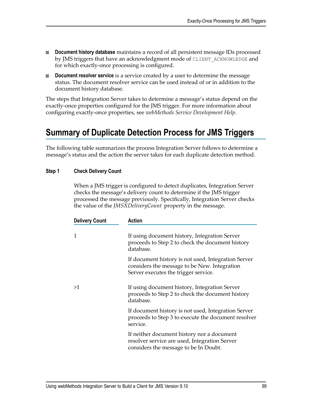- **Document history database** maintains a record of all persistent message IDs processed  $\Box$ by JMS triggers that have an acknowledgment mode of CLIENT\_ACKNOWLEDGE and for which exactly-once processing is configured.
- **Document resolver service** is a service created by a user to determine the message n. status. The document resolver service can be used instead of or in addition to the document history database.

The steps that Integration Server takes to determine a message's status depend on the exactly-once properties configured for the JMS trigger. For more information about configuring exactly-once properties, see *webMethods Service Development Help*.

# <span id="page-98-0"></span>**Summary of Duplicate Detection Process for JMS Triggers**

The following table summarizes the process Integration Server follows to determine a message's status and the action the server takes for each duplicate detection method.

#### **Step 1 Check Delivery Count**

When a JMS trigger is configured to detect duplicates, Integration Server checks the message's delivery count to determine if the JMS trigger processed the message previously. Specifically, Integration Server checks the value of the *JMSXDeliveryCount* property in the message.

| <b>Delivery Count</b> | Action                                                                                                                                      |
|-----------------------|---------------------------------------------------------------------------------------------------------------------------------------------|
| 1                     | If using document history, Integration Server<br>proceeds to Step 2 to check the document history<br>database.                              |
|                       | If document history is not used, Integration Server<br>considers the message to be New. Integration<br>Server executes the trigger service. |
| >1                    | If using document history, Integration Server<br>proceeds to Step 2 to check the document history<br>database.                              |
|                       | If document history is not used, Integration Server<br>proceeds to Step 3 to execute the document resolver<br>service.                      |
|                       | If neither document history nor a document<br>resolver service are used, Integration Server<br>considers the message to be In Doubt.        |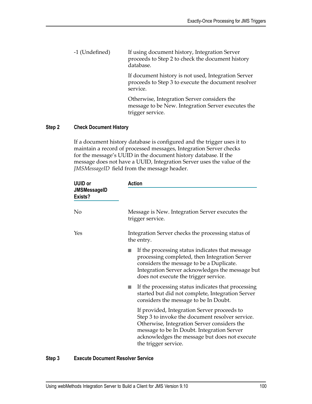-1 (Undefined) If using document history, Integration Server proceeds to Step 2 to check the document history database.

> If document history is not used, Integration Server proceeds to Step 3 to execute the document resolver service.

> Otherwise, Integration Server considers the message to be New. Integration Server executes the trigger service.

#### **Step 2 Check Document History**

If a document history database is configured and the trigger uses it to maintain a record of processed messages, Integration Server checks for the message's UUID in the document history database. If the message does not have a UUID, Integration Server uses the value of the *JMSMessageID* field from the message header.

| <b>UUID or</b><br><b>JMSMessageID</b><br>Exists? | <b>Action</b>                                                                                                                                                                                                                                                        |
|--------------------------------------------------|----------------------------------------------------------------------------------------------------------------------------------------------------------------------------------------------------------------------------------------------------------------------|
| No                                               | Message is New. Integration Server executes the<br>trigger service.                                                                                                                                                                                                  |
| Yes                                              | Integration Server checks the processing status of<br>the entry.                                                                                                                                                                                                     |
|                                                  | If the processing status indicates that message<br>processing completed, then Integration Server<br>considers the message to be a Duplicate.<br>Integration Server acknowledges the message but<br>does not execute the trigger service.                             |
|                                                  | If the processing status indicates that processing<br>started but did not complete, Integration Server<br>considers the message to be In Doubt.                                                                                                                      |
|                                                  | If provided, Integration Server proceeds to<br>Step 3 to invoke the document resolver service.<br>Otherwise, Integration Server considers the<br>message to be In Doubt. Integration Server<br>acknowledges the message but does not execute<br>the trigger service. |

#### **Step 3 Execute Document Resolver Service**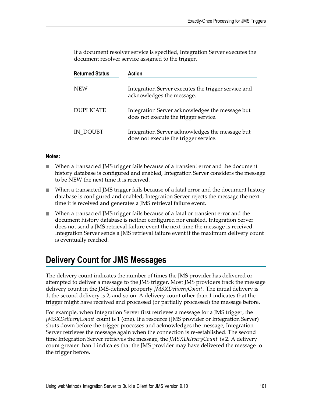If a document resolver service is specified, Integration Server executes the document resolver service assigned to the trigger.

| <b>Returned Status</b> | Action                                                                                   |
|------------------------|------------------------------------------------------------------------------------------|
| <b>NEW</b>             | Integration Server executes the trigger service and<br>acknowledges the message.         |
| <b>DUPLICATE</b>       | Integration Server acknowledges the message but<br>does not execute the trigger service. |
| IN DOUBT               | Integration Server acknowledges the message but<br>does not execute the trigger service. |

#### **Notes:**

- When a transacted JMS trigger fails because of a transient error and the document history database is configured and enabled, Integration Server considers the message to be NEW the next time it is received.
- When a transacted JMS trigger fails because of a fatal error and the document history  $\Box$ database is configured and enabled, Integration Server rejects the message the next time it is received and generates a JMS retrieval failure event.
- When a transacted JMS trigger fails because of a fatal or transient error and the document history database is neither configured nor enabled, Integration Server does not send a JMS retrieval failure event the next time the message is received. Integration Server sends a JMS retrieval failure event if the maximum delivery count is eventually reached.

# <span id="page-100-0"></span>**Delivery Count for JMS Messages**

The delivery count indicates the number of times the JMS provider has delivered or attempted to deliver a message to the JMS trigger. Most JMS providers track the message delivery count in the JMS-defined property *JMSXDeliveryCount* . The initial delivery is 1, the second delivery is 2, and so on. A delivery count other than 1 indicates that the trigger might have received and processed (or partially processed) the message before.

For example, when Integration Server first retrieves a message for a JMS trigger, the *JMSXDeliveryCount* count is 1 (one). If a resource (JMS provider or Integration Server) shuts down before the trigger processes and acknowledges the message, Integration Server retrieves the message again when the connection is re-established. The second time Integration Server retrieves the message, the *JMSXDeliveryCount* is 2. A delivery count greater than 1 indicates that the JMS provider may have delivered the message to the trigger before.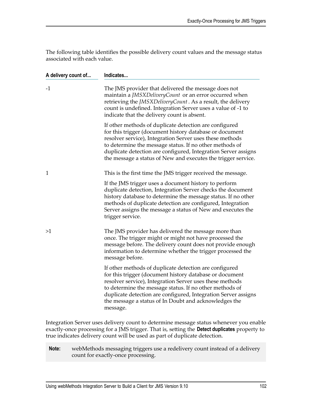The following table identifies the possible delivery count values and the message status associated with each value.

| A delivery count of | Indicates                                                                                                                                                                                                                                                                                                                                                                       |  |
|---------------------|---------------------------------------------------------------------------------------------------------------------------------------------------------------------------------------------------------------------------------------------------------------------------------------------------------------------------------------------------------------------------------|--|
| $-1$                | The JMS provider that delivered the message does not<br>maintain a JMSXDeliveryCount or an error occurred when<br>retrieving the <i>JMSXDeliveryCount</i> . As a result, the delivery<br>count is undefined. Integration Server uses a value of -1 to<br>indicate that the delivery count is absent.                                                                            |  |
|                     | If other methods of duplicate detection are configured<br>for this trigger (document history database or document<br>resolver service), Integration Server uses these methods<br>to determine the message status. If no other methods of<br>duplicate detection are configured, Integration Server assigns<br>the message a status of New and executes the trigger service.     |  |
| 1                   | This is the first time the JMS trigger received the message.                                                                                                                                                                                                                                                                                                                    |  |
|                     | If the JMS trigger uses a document history to perform<br>duplicate detection, Integration Server checks the document<br>history database to determine the message status. If no other<br>methods of duplicate detection are configured, Integration<br>Server assigns the message a status of New and executes the<br>trigger service.                                          |  |
| >1                  | The JMS provider has delivered the message more than<br>once. The trigger might or might not have processed the<br>message before. The delivery count does not provide enough<br>information to determine whether the trigger processed the<br>message before.                                                                                                                  |  |
|                     | If other methods of duplicate detection are configured<br>for this trigger (document history database or document<br>resolver service), Integration Server uses these methods<br>to determine the message status. If no other methods of<br>duplicate detection are configured, Integration Server assigns<br>the message a status of In Doubt and acknowledges the<br>message. |  |
|                     | Integration Server uses delivery count to determine message status whenever you enable<br>exactly-once processing for a JMS trigger. That is, setting the Detect duplicates property to<br>true indicates delivery count will be used as part of duplicate detection.                                                                                                           |  |

**Note:** webMethods messaging triggers use a redelivery count instead of a delivery count for exactly-once processing.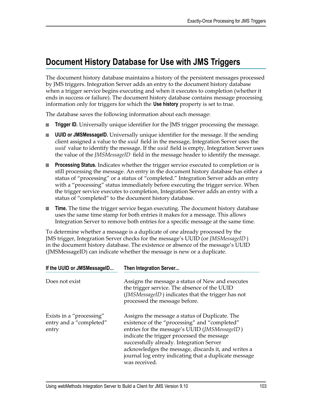# <span id="page-102-0"></span>**Document History Database for Use with JMS Triggers**

The document history database maintains a history of the persistent messages processed by JMS triggers. Integration Server adds an entry to the document history database when a trigger service begins executing and when it executes to completion (whether it ends in success or failure). The document history database contains message processing information only for triggers for which the **Use history** property is set to true.

The database saves the following information about each message:

- **Trigger ID.** Universally unique identifier for the JMS trigger processing the message.
- **UUID or JMSMessageID.** Universally unique identifier for the message. If the sending m. client assigned a value to the *uuid* field in the message, Integration Server uses the *uuid* value to identify the message. If the *uuid* field is empty, Integration Server uses the value of the *JMSMessageID* field in the message header to identify the message.
- **Processing Status.** Indicates whether the trigger service executed to completion or is still processing the message. An entry in the document history database has either a status of "processing" or a status of "completed." Integration Server adds an entry with a "processing" status immediately before executing the trigger service. When the trigger service executes to completion, Integration Server adds an entry with a status of "completed" to the document history database.
- **Time.** The time the trigger service began executing. The document history database uses the same time stamp for both entries it makes for a message. This allows Integration Server to remove both entries for a specific message at the same time.

To determine whether a message is a duplicate of one already processed by the JMS trigger, Integration Server checks for the message's UUID (or *JMSMessageID* ) in the document history database. The existence or absence of the message's UUID (JMSMessageID) can indicate whether the message is new or a duplicate.

| If the UUID or JMSMessageID                                  | Then Integration Server                                                                                                                                                                                                                                                                                                                                                     |  |
|--------------------------------------------------------------|-----------------------------------------------------------------------------------------------------------------------------------------------------------------------------------------------------------------------------------------------------------------------------------------------------------------------------------------------------------------------------|--|
| Does not exist                                               | Assigns the message a status of New and executes<br>the trigger service. The absence of the UUID<br>(JMSMessageID) indicates that the trigger has not<br>processed the message before.                                                                                                                                                                                      |  |
| Exists in a "processing"<br>entry and a "completed"<br>entry | Assigns the message a status of Duplicate. The<br>existence of the "processing" and "completed"<br>entries for the message's UUID (JMSMessageID)<br>indicate the trigger processed the message<br>successfully already. Integration Server<br>acknowledges the message, discards it, and writes a<br>journal log entry indicating that a duplicate message<br>was received. |  |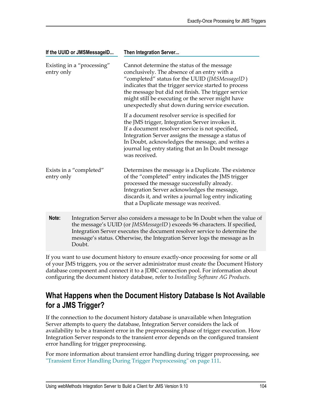| If the UUID or JMSMessageID              | Then Integration Server                                                                                                                                                                                                                                                                                                                                               |
|------------------------------------------|-----------------------------------------------------------------------------------------------------------------------------------------------------------------------------------------------------------------------------------------------------------------------------------------------------------------------------------------------------------------------|
| Existing in a "processing"<br>entry only | Cannot determine the status of the message<br>conclusively. The absence of an entry with a<br>"completed" status for the UUID (JMSMessageID)<br>indicates that the trigger service started to process<br>the message but did not finish. The trigger service<br>might still be executing or the server might have<br>unexpectedly shut down during service execution. |
|                                          | If a document resolver service is specified for<br>the JMS trigger, Integration Server invokes it.<br>If a document resolver service is not specified,<br>Integration Server assigns the message a status of<br>In Doubt, acknowledges the message, and writes a<br>journal log entry stating that an In Doubt message<br>was received.                               |
| Exists in a "completed"<br>entry only    | Determines the message is a Duplicate. The existence<br>of the "completed" entry indicates the JMS trigger<br>processed the message successfully already.<br>Integration Server acknowledges the message,<br>discards it, and writes a journal log entry indicating<br>that a Duplicate message was received.                                                         |
| Note:                                    | Integration Server also considers a message to be In Doubt when the value of<br>the message's UUID (or JMSMessageID) exceeds 96 characters. If specified,                                                                                                                                                                                                             |

Integration Server executes the document resolver service to determine the message's status. Otherwise, the Integration Server logs the message as In Doubt.

If you want to use document history to ensure exactly-once processing for some or all of your JMS triggers, you or the server administrator must create the Document History database component and connect it to a JDBC connection pool. For information about configuring the document history database, refer to *Installing Software AG Products*.

## **What Happens when the Document History Database Is Not Available for a JMS Trigger?**

If the connection to the document history database is unavailable when Integration Server attempts to query the database, Integration Server considers the lack of availability to be a transient error in the preprocessing phase of trigger execution. How Integration Server responds to the transient error depends on the configured transient error handling for trigger preprocessing.

For more information about transient error handling during trigger preprocessing, see ["Transient Error Handling During Trigger Preprocessing" on page 111.](#page-110-0)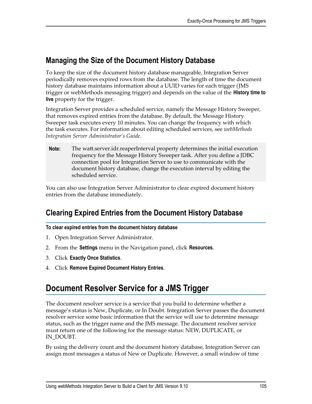## **Managing the Size of the Document History Database**

To keep the size of the document history database manageable, Integration Server periodically removes expired rows from the database. The length of time the document history database maintains information about a UUID varies for each trigger (JMS trigger or webMethods messaging trigger) and depends on the value of the **History time to live** property for the trigger.

Integration Server provides a scheduled service, namely the Message History Sweeper, that removes expired entries from the database. By default, the Message History Sweeper task executes every 10 minutes. You can change the frequency with which the task executes. For information about editing scheduled services, see *webMethods Integration Server Administrator's Guide*.

**Note:** The watt.server.idr.reaperInterval property determines the initial execution frequency for the Message History Sweeper task. After you define a JDBC connection pool for Integration Server to use to communicate with the document history database, change the execution interval by editing the scheduled service.

You can also use Integration Server Administrator to clear expired document history entries from the database immediately.

# **Clearing Expired Entries from the Document History Database**

#### **To clear expired entries from the document history database**

- 1. Open Integration Server Administrator.
- 2. From the **Settings** menu in the Navigation panel, click **Resources**.
- 3. Click **Exactly Once Statistics**.
- 4. Click **Remove Expired Document History Entries**.

# <span id="page-104-0"></span>**Document Resolver Service for a JMS Trigger**

The document resolver service is a service that you build to determine whether a message's status is New, Duplicate, or In Doubt. Integration Server passes the document resolver service some basic information that the service will use to determine message status, such as the trigger name and the JMS message. The document resolver service must return one of the following for the message status: NEW, DUPLICATE, or IN\_DOUBT.

By using the delivery count and the document history database, Integration Server can assign most messages a status of New or Duplicate. However, a small window of time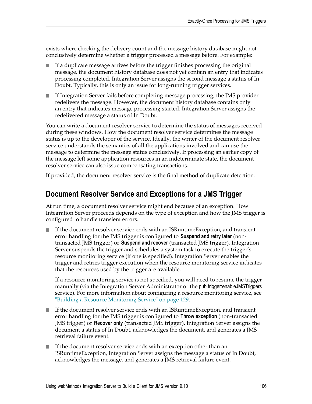exists where checking the delivery count and the message history database might not conclusively determine whether a trigger processed a message before. For example:

- If a duplicate message arrives before the trigger finishes processing the original П message, the document history database does not yet contain an entry that indicates processing completed. Integration Server assigns the second message a status of In Doubt. Typically, this is only an issue for long-running trigger services.
- If Integration Server fails before completing message processing, the JMS provider  $\overline{\phantom{a}}$ redelivers the message. However, the document history database contains only an entry that indicates message processing started. Integration Server assigns the redelivered message a status of In Doubt.

You can write a document resolver service to determine the status of messages received during these windows. How the document resolver service determines the message status is up to the developer of the service. Ideally, the writer of the document resolver service understands the semantics of all the applications involved and can use the message to determine the message status conclusively. If processing an earlier copy of the message left some application resources in an indeterminate state, the document resolver service can also issue compensating transactions.

If provided, the document resolver service is the final method of duplicate detection.

#### **Document Resolver Service and Exceptions for a JMS Trigger**

At run time, a document resolver service might end because of an exception. How Integration Server proceeds depends on the type of exception and how the JMS trigger is configured to handle transient errors.

If the document resolver service ends with an ISRuntimeException, and transient error handling for the JMS trigger is configured to **Suspend and retry later** (nontransacted JMS trigger) or **Suspend and recover** (transacted JMS trigger), Integration Server suspends the trigger and schedules a system task to execute the trigger's resource monitoring service (if one is specified). Integration Server enables the trigger and retries trigger execution when the resource monitoring service indicates that the resources used by the trigger are available.

If a resource monitoring service is not specified, you will need to resume the trigger manually (via the Integration Server Administrator or the pub.trigger:enableJMSTriggers service). For more information about configuring a resource monitoring service, see ["Building a Resource Monitoring Service" on page 129](#page-128-0).

- If the document resolver service ends with an ISRuntimeException, and transient error handling for the JMS trigger is configured to **Throw exception** (non-transacted JMS trigger) or **Recover only** (transacted JMS trigger), Integration Server assigns the document a status of In Doubt, acknowledges the document, and generates a JMS retrieval failure event.
- If the document resolver service ends with an exception other than an П ISRuntimeException, Integration Server assigns the message a status of In Doubt, acknowledges the message, and generates a JMS retrieval failure event.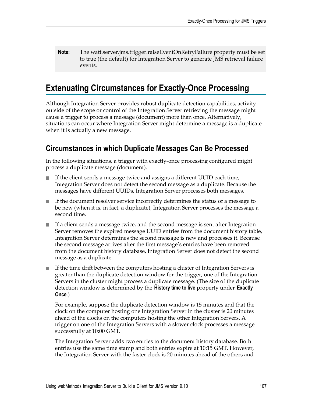**Note:** The watt.server.jms.trigger.raiseEventOnRetryFailure property must be set to true (the default) for Integration Server to generate JMS retrieval failure events.

# <span id="page-106-0"></span>**Extenuating Circumstances for Exactly-Once Processing**

Although Integration Server provides robust duplicate detection capabilities, activity outside of the scope or control of the Integration Server retrieving the message might cause a trigger to process a message (document) more than once. Alternatively, situations can occur where Integration Server might determine a message is a duplicate when it is actually a new message.

### **Circumstances in which Duplicate Messages Can Be Processed**

In the following situations, a trigger with exactly-once processing configured might process a duplicate message (document).

- If the client sends a message twice and assigns a different UUID each time, Integration Server does not detect the second message as a duplicate. Because the messages have different UUIDs, Integration Server processes both messages.
- If the document resolver service incorrectly determines the status of a message to П be new (when it is, in fact, a duplicate), Integration Server processes the message a second time.
- If a client sends a message twice, and the second message is sent after Integration Server removes the expired message UUID entries from the document history table, Integration Server determines the second message is new and processes it. Because the second message arrives after the first message's entries have been removed from the document history database, Integration Server does not detect the second message as a duplicate.
- If the time drift between the computers hosting a cluster of Integration Servers is  $\overline{\phantom{a}}$ greater than the duplicate detection window for the trigger, one of the Integration Servers in the cluster might process a duplicate message. (The size of the duplicate detection window is determined by the **History time to live** property under **Exactly Once**.)

For example, suppose the duplicate detection window is 15 minutes and that the clock on the computer hosting one Integration Server in the cluster is 20 minutes ahead of the clocks on the computers hosting the other Integration Servers. A trigger on one of the Integration Servers with a slower clock processes a message successfully at 10:00 GMT.

The Integration Server adds two entries to the document history database. Both entries use the same time stamp and both entries expire at 10:15 GMT. However, the Integration Server with the faster clock is 20 minutes ahead of the others and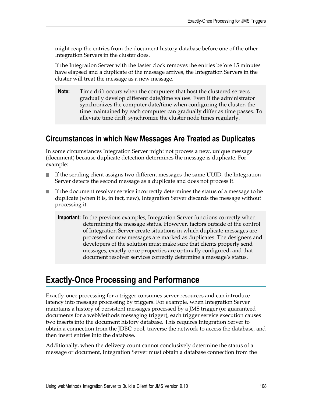might reap the entries from the document history database before one of the other Integration Servers in the cluster does.

If the Integration Server with the faster clock removes the entries before 15 minutes have elapsed and a duplicate of the message arrives, the Integration Servers in the cluster will treat the message as a new message.

**Note:** Time drift occurs when the computers that host the clustered servers gradually develop different date/time values. Even if the administrator synchronizes the computer date/time when configuring the cluster, the time maintained by each computer can gradually differ as time passes. To alleviate time drift, synchronize the cluster node times regularly.

#### **Circumstances in which New Messages Are Treated as Duplicates**

In some circumstances Integration Server might not process a new, unique message (document) because duplicate detection determines the message is duplicate. For example:

- If the sending client assigns two different messages the same UUID, the Integration Server detects the second message as a duplicate and does not process it.
- If the document resolver service incorrectly determines the status of a message to be  $\overline{\phantom{a}}$ duplicate (when it is, in fact, new), Integration Server discards the message without processing it.
	- **Important:** In the previous examples, Integration Server functions correctly when determining the message status. However, factors outside of the control of Integration Server create situations in which duplicate messages are processed or new messages are marked as duplicates. The designers and developers of the solution must make sure that clients properly send messages, exactly-once properties are optimally configured, and that document resolver services correctly determine a message's status.

# <span id="page-107-0"></span>**Exactly-Once Processing and Performance**

Exactly-once processing for a trigger consumes server resources and can introduce latency into message processing by triggers. For example, when Integration Server maintains a history of persistent messages processed by a JMS trigger (or guaranteed documents for a webMethods messaging trigger), each trigger service execution causes two inserts into the document history database. This requires Integration Server to obtain a connection from the JDBC pool, traverse the network to access the database, and then insert entries into the database.

Additionally, when the delivery count cannot conclusively determine the status of a message or document, Integration Server must obtain a database connection from the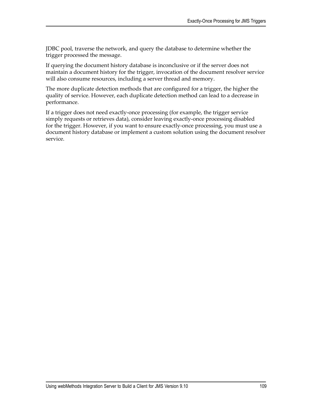JDBC pool, traverse the network, and query the database to determine whether the trigger processed the message.

If querying the document history database is inconclusive or if the server does not maintain a document history for the trigger, invocation of the document resolver service will also consume resources, including a server thread and memory.

The more duplicate detection methods that are configured for a trigger, the higher the quality of service. However, each duplicate detection method can lead to a decrease in performance.

If a trigger does not need exactly-once processing (for example, the trigger service simply requests or retrieves data), consider leaving exactly-once processing disabled for the trigger. However, if you want to ensure exactly-once processing, you must use a document history database or implement a custom solution using the document resolver service.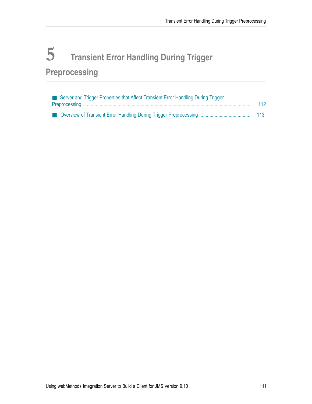# **5 Transient Error Handling During Trigger Preprocessing**

| Server and Trigger Properties that Affect Transient Error Handling During Trigger |     |
|-----------------------------------------------------------------------------------|-----|
|                                                                                   | 112 |
|                                                                                   | 113 |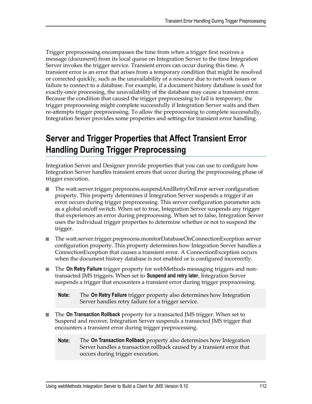Trigger preprocessing encompasses the time from when a trigger first receives a message (document) from its local queue on Integration Server to the time Integration Server invokes the trigger service. Transient errors can occur during this time. A transient error is an error that arises from a temporary condition that might be resolved or corrected quickly, such as the unavailability of a resource due to network issues or failure to connect to a database. For example, if a document history database is used for exactly-once processing, the unavailability of the database may cause a transient error. Because the condition that caused the trigger preprocessing to fail is temporary, the trigger preprocessing might complete successfully if Integration Server waits and then re-attempts trigger preprocessing. To allow the preprocessing to complete successfully, Integration Server provides some properties and settings for transient error handling.

# <span id="page-111-0"></span>**Server and Trigger Properties that Affect Transient Error Handling During Trigger Preprocessing**

Integration Server and Designer provide properties that you can use to configure how Integration Server handles transient errors that occur during the preprocessing phase of trigger execution.

- The watt.server.trigger.preprocess.suspendAndRetryOnError server configuration n. property. This property determines if Integration Server suspends a trigger if an error occurs during trigger preprocessing. This server configuration parameter acts as a global on/off switch. When set to true, Integration Server suspends any trigger that experiences an error during preprocessing. When set to false, Integration Server uses the individual trigger properties to determine whether or not to suspend the trigger.
- The watt.server.trigger.preprocess.monitorDatabaseOnConnectionException server configuration property. This property determines how Integration Server handles a ConnectionException that causes a transient error. A ConnectionException occurs when the document history database is not enabled or is configured incorrectly.
- The **On Retry Failure** trigger property for webMethods messaging triggers and nontransacted JMS triggers. When set to **Suspend and retry later**, Integration Server suspends a trigger that encounters a transient error during trigger preprocessing.

- The **On Transaction Rollback** property for a transacted JMS trigger. When set to m. Suspend and recover, Integration Server suspends a transected JMS trigger that encounters a transient error during trigger preprocessing.
	- **Note:** The **On Transaction Rollback** property also determines how Integration Server handles a transaction rollback caused by a transient error that occurs during trigger execution.

**Note:** The **On Retry Failure** trigger property also determines how Integration Server handles retry failure for a trigger service.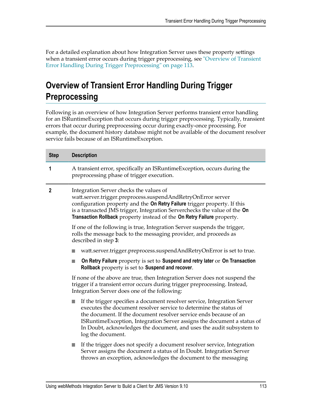For a detailed explanation about how Integration Server uses these property settings when a transient error occurs during trigger preprocessing, see ["Overview](#page-112-0) of Transient [Error Handling During Trigger Preprocessing" on page 113.](#page-112-0)

# <span id="page-112-0"></span>**Overview of Transient Error Handling During Trigger Preprocessing**

Following is an overview of how Integration Server performs transient error handling for an ISRuntimeException that occurs during trigger preprocessing. Typically, transient errors that occur during preprocessing occur during exactly-once processing. For example, the document history database might not be available of the document resolver service fails because of an ISRuntimeException.

| <b>Step</b>                                                                                                                                                                                                                                                                                                                                                      | <b>Description</b>                                                                                                                                                                                                                                                                                                                                                                         |
|------------------------------------------------------------------------------------------------------------------------------------------------------------------------------------------------------------------------------------------------------------------------------------------------------------------------------------------------------------------|--------------------------------------------------------------------------------------------------------------------------------------------------------------------------------------------------------------------------------------------------------------------------------------------------------------------------------------------------------------------------------------------|
| 1                                                                                                                                                                                                                                                                                                                                                                | A transient error, specifically an ISRuntimeException, occurs during the<br>preprocessing phase of trigger execution.                                                                                                                                                                                                                                                                      |
| Integration Server checks the values of<br>$\boldsymbol{2}$<br>watt.server.trigger.preprocess.suspendAndRetryOnError server<br>configuration property and the On Retry Failure trigger property. If this<br>is a transacted JMS trigger, Integration Serverchecks the value of the On<br>Transaction Rollback property instead of the On Retry Failure property. |                                                                                                                                                                                                                                                                                                                                                                                            |
|                                                                                                                                                                                                                                                                                                                                                                  | If one of the following is true, Integration Server suspends the trigger,<br>rolls the message back to the messaging provider, and proceeds as<br>described in step 3:                                                                                                                                                                                                                     |
|                                                                                                                                                                                                                                                                                                                                                                  | watt.server.trigger.preprocess.suspendAndRetryOnError is set to true.                                                                                                                                                                                                                                                                                                                      |
|                                                                                                                                                                                                                                                                                                                                                                  | On Retry Failure property is set to Suspend and retry later or On Transaction<br>Rollback property is set to Suspend and recover.                                                                                                                                                                                                                                                          |
|                                                                                                                                                                                                                                                                                                                                                                  | If none of the above are true, then Integration Server does not suspend the<br>trigger if a transient error occurs during trigger preprocessing. Instead,<br>Integration Server does one of the following:                                                                                                                                                                                 |
|                                                                                                                                                                                                                                                                                                                                                                  | If the trigger specifies a document resolver service, Integration Server<br>executes the document resolver service to determine the status of<br>the document. If the document resolver service ends because of an<br>ISRuntimeException, Integration Server assigns the document a status of<br>In Doubt, acknowledges the document, and uses the audit subsystem to<br>log the document. |
|                                                                                                                                                                                                                                                                                                                                                                  | If the trigger does not specify a document resolver service, Integration<br>H.<br>Server assigns the document a status of In Doubt. Integration Server<br>throws an exception, acknowledges the document to the messaging                                                                                                                                                                  |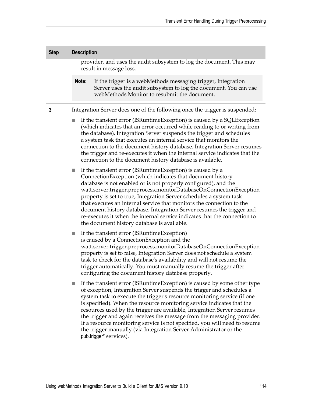| <b>Step</b> | <b>Description</b>                                                                              |                                                                                                                                                                                                                                                                                                                                                                                                                                                                                                                                                                                                                                             |
|-------------|-------------------------------------------------------------------------------------------------|---------------------------------------------------------------------------------------------------------------------------------------------------------------------------------------------------------------------------------------------------------------------------------------------------------------------------------------------------------------------------------------------------------------------------------------------------------------------------------------------------------------------------------------------------------------------------------------------------------------------------------------------|
|             | provider, and uses the audit subsystem to log the document. This may<br>result in message loss. |                                                                                                                                                                                                                                                                                                                                                                                                                                                                                                                                                                                                                                             |
|             | Note:                                                                                           | If the trigger is a webMethods messaging trigger, Integration<br>Server uses the audit subsystem to log the document. You can use<br>webMethods Monitor to resubmit the document.                                                                                                                                                                                                                                                                                                                                                                                                                                                           |
| 3           |                                                                                                 | Integration Server does one of the following once the trigger is suspended:                                                                                                                                                                                                                                                                                                                                                                                                                                                                                                                                                                 |
|             |                                                                                                 | If the transient error (ISRuntimeException) is caused by a SQLException<br>(which indicates that an error occurred while reading to or writing from<br>the database), Integration Server suspends the trigger and schedules<br>a system task that executes an internal service that monitors the<br>connection to the document history database. Integration Server resumes<br>the trigger and re-executes it when the internal service indicates that the<br>connection to the document history database is available.                                                                                                                     |
|             |                                                                                                 | If the transient error (ISRuntimeException) is caused by a<br>ConnectionException (which indicates that document history<br>database is not enabled or is not properly configured), and the<br>watt.server.trigger.preprocess.monitorDatabaseOnConnectionException<br>property is set to true, Integration Server schedules a system task<br>that executes an internal service that monitors the connection to the<br>document history database. Integration Server resumes the trigger and<br>re-executes it when the internal service indicates that the connection to<br>the document history database is available.                     |
|             |                                                                                                 | If the transient error (ISRuntimeException)<br>is caused by a ConnectionException and the<br>watt.server.trigger.preprocess.monitorDatabaseOnConnectionException<br>property is set to false, Integration Server does not schedule a system<br>task to check for the database's availability and will not resume the<br>trigger automatically. You must manually resume the trigger after<br>configuring the document history database properly.                                                                                                                                                                                            |
|             |                                                                                                 | If the transient error (ISRuntimeException) is caused by some other type<br>of exception, Integration Server suspends the trigger and schedules a<br>system task to execute the trigger's resource monitoring service (if one<br>is specified). When the resource monitoring service indicates that the<br>resources used by the trigger are available, Integration Server resumes<br>the trigger and again receives the message from the messaging provider.<br>If a resource monitoring service is not specified, you will need to resume<br>the trigger manually (via Integration Server Administrator or the<br>pub.trigger* services). |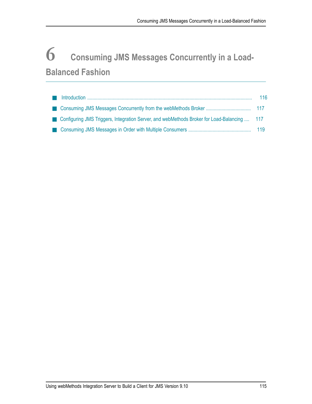# **6 Consuming JMS Messages Concurrently in a Load-Balanced Fashion**

|                                                                                               | 116 |
|-----------------------------------------------------------------------------------------------|-----|
|                                                                                               |     |
| ■ Configuring JMS Triggers, Integration Server, and webMethods Broker for Load-Balancing  117 |     |
|                                                                                               |     |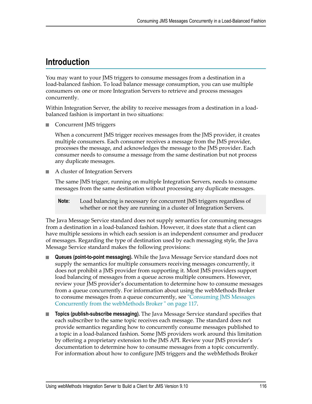## <span id="page-115-0"></span>**Introduction**

You may want to your JMS triggers to consume messages from a destination in a load-balanced fashion. To load balance message consumption, you can use multiple consumers on one or more Integration Servers to retrieve and process messages concurrently.

Within Integration Server, the ability to receive messages from a destination in a loadbalanced fashion is important in two situations:

■ Concurrent JMS triggers

When a concurrent JMS trigger receives messages from the JMS provider, it creates multiple consumers. Each consumer receives a message from the JMS provider, processes the message, and acknowledges the message to the JMS provider. Each consumer needs to consume a message from the same destination but not process any duplicate messages.

A cluster of Integration Servers  $\overline{\phantom{a}}$ 

> The same JMS trigger, running on multiple Integration Servers, needs to consume messages from the same destination without processing any duplicate messages.

**Note:** Load balancing is necessary for concurrent JMS triggers regardless of whether or not they are running in a cluster of Integration Servers.

The Java Message Service standard does not supply semantics for consuming messages from a destination in a load-balanced fashion. However, it does state that a client can have multiple sessions in which each session is an independent consumer and producer of messages. Regarding the type of destination used by each messaging style, the Java Message Service standard makes the following provisions:

- **Queues (point-to-point messaging).** While the Java Message Service standard does not supply the semantics for multiple consumers receiving messages concurrently, it does not prohibit a JMS provider from supporting it. Most JMS providers support load balancing of messages from a queue across multiple consumers. However, review your JMS provider's documentation to determine how to consume messages from a queue concurrently. For information about using the webMethods Broker to consume messages from a queue concurrently, see ["Consuming JMS Messages](#page-116-0) [Concurrently](#page-116-0) from the webMethods Broker " on page 117.
- **Topics (publish-subscribe messaging).** The Java Message Service standard specifies that  $\overline{\phantom{a}}$ each subscriber to the same topic receives each message. The standard does not provide semantics regarding how to concurrently consume messages published to a topic in a load-balanced fashion. Some JMS providers work around this limitation by offering a proprietary extension to the JMS API. Review your JMS provider's documentation to determine how to consume messages from a topic concurrently. For information about how to configure JMS triggers and the webMethods Broker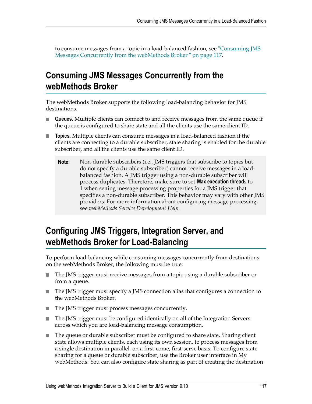to consume messages from a topic in a load-balanced fashion, see ["Consuming JMS](#page-116-0) Messages [Concurrently](#page-116-0) from the webMethods Broker " on page 117.

## <span id="page-116-0"></span>**Consuming JMS Messages Concurrently from the webMethods Broker**

The webMethods Broker supports the following load-balancing behavior for JMS destinations.

- **Queues.** Multiple clients can connect to and receive messages from the same queue if m. the queue is configured to share state and all the clients use the same client ID.
- **Topics.** Multiple clients can consume messages in a load-balanced fashion if the clients are connecting to a durable subscriber, state sharing is enabled for the durable subscriber, and all the clients use the same client ID.
	- **Note:** Non-durable subscribers (i.e., JMS triggers that subscribe to topics but do not specify a durable subscriber) cannot receive messages in a loadbalanced fashion. A JMS trigger using a non-durable subscriber will process duplicates. Therefore, make sure to set **Max execution thread**s to 1 when setting message processing properties for a JMS trigger that specifies a non-durable subscriber. This behavior may vary with other JMS providers. For more information about configuring message processing, see *webMethods Service Development Help*.

## <span id="page-116-1"></span>**Configuring JMS Triggers, Integration Server, and webMethods Broker for Load-Balancing**

To perform load-balancing while consuming messages concurrently from destinations on the webMethods Broker, the following must be true:

- The JMS trigger must receive messages from a topic using a durable subscriber or m. from a queue.
- m. The JMS trigger must specify a JMS connection alias that configures a connection to the webMethods Broker.
- m. The JMS trigger must process messages concurrently.
- n. The JMS trigger must be configured identically on all of the Integration Servers across which you are load-balancing message consumption.
- The queue or durable subscriber must be configured to share state. Sharing client  $\Box$ state allows multiple clients, each using its own session, to process messages from a single destination in parallel, on a first-come, first-serve basis. To configure state sharing for a queue or durable subscriber, use the Broker user interface in My webMethods. You can also configure state sharing as part of creating the destination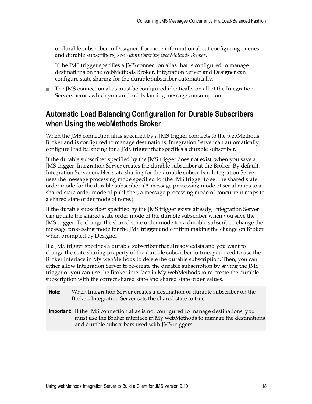or durable subscriber in Designer. For more information about configuring queues and durable subscribers, see *Administering webMethods Broker*.

If the JMS trigger specifies a JMS connection alias that is configured to manage destinations on the webMethods Broker, Integration Server and Designer can configure state sharing for the durable subscriber automatically.

 $\Box$ The JMS connection alias must be configured identically on all of the Integration Servers across which you are load-balancing message consumption.

### **Automatic Load Balancing Configuration for Durable Subscribers when Using the webMethods Broker**

When the JMS connection alias specified by a JMS trigger connects to the webMethods Broker and is configured to manage destinations, Integration Server can automatically configure load balancing for a JMS trigger that specifies a durable subscriber.

If the durable subscriber specified by the JMS trigger does not exist, when you save a JMS trigger, Integration Server creates the durable subscriber at the Broker. By default, Integration Server enables state sharing for the durable subscriber. Integration Server uses the message processing mode specified for the JMS trigger to set the shared state order mode for the durable subscriber. (A message processing mode of serial maps to a shared state order mode of publisher; a message processing mode of concurrent maps to a shared state order mode of none.)

If the durable subscriber specified by the JMS trigger exists already, Integration Server can update the shared state order mode of the durable subscriber when you save the JMS trigger. To change the shared state order mode for a durable subscriber, change the message processing mode for the JMS trigger and confirm making the change on Broker when prompted by Designer.

If a JMS trigger specifies a durable subscriber that already exists and you want to change the state sharing property of the durable subscriber to true, you need to use the Broker interface in My webMethods to delete the durable subscription. Then, you can either allow Integration Server to re-create the durable subscription by saving the JMS trigger or you can use the Broker interface in My webMethods to re-create the durable subscription with the correct shared state and shared state order values.

- **Note:** When Integration Server creates a destination or durable subscriber on the Broker, Integration Server sets the shared state to true.
- **Important:** If the JMS connection alias is not configured to manage destinations, you must use the Broker interface in My webMethods to manage the destinations and durable subscribers used with JMS triggers.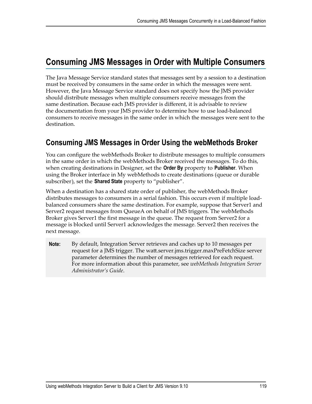### <span id="page-118-0"></span>**Consuming JMS Messages in Order with Multiple Consumers**

The Java Message Service standard states that messages sent by a session to a destination must be received by consumers in the same order in which the messages were sent. However, the Java Message Service standard does not specify how the JMS provider should distribute messages when multiple consumers receive messages from the same destination. Because each JMS provider is different, it is advisable to review the documentation from your JMS provider to determine how to use load-balanced consumers to receive messages in the same order in which the messages were sent to the destination.

### **Consuming JMS Messages in Order Using the webMethods Broker**

You can configure the webMethods Broker to distribute messages to multiple consumers in the same order in which the webMethods Broker received the messages. To do this, when creating destinations in Designer, set the **Order By** property to **Publisher**. When using the Broker interface in My webMethods to create destinations (queue or durable subscriber), set the **Shared State** property to "publisher".

When a destination has a shared state order of publisher, the webMethods Broker distributes messages to consumers in a serial fashion. This occurs even if multiple loadbalanced consumers share the same destination. For example, suppose that Server1 and Server2 request messages from QueueA on behalf of JMS triggers. The webMethods Broker gives Server1 the first message in the queue. The request from Server2 for a message is blocked until Server1 acknowledges the message. Server2 then receives the next message.

**Note:** By default, Integration Server retrieves and caches up to 10 messages per request for a JMS trigger. The watt.server.jms.trigger.maxPreFetchSize server parameter determines the number of messages retrieved for each request. For more information about this parameter, see *webMethods Integration Server Administrator's Guide*.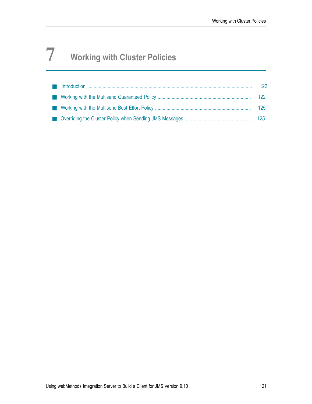# **7 Working with Cluster Policies**

|  | 122 |
|--|-----|
|  |     |
|  |     |
|  |     |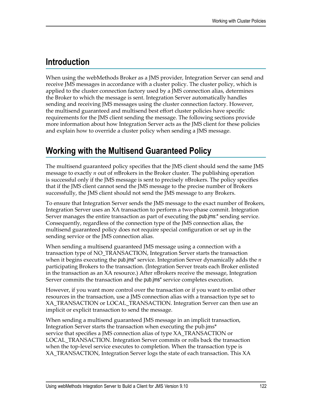## <span id="page-121-0"></span>**Introduction**

When using the webMethods Broker as a JMS provider, Integration Server can send and receive JMS messages in accordance with a cluster policy. The cluster policy, which is applied to the cluster connection factory used by a JMS connection alias, determines the Broker to which the message is sent. Integration Server automatically handles sending and receiving JMS messages using the cluster connection factory. However, the multisend guaranteed and multisend best effort cluster policies have specific requirements for the JMS client sending the message. The following sections provide more information about how Integration Server acts as the JMS client for these policies and explain how to override a cluster policy when sending a JMS message.

## <span id="page-121-1"></span>**Working with the Multisend Guaranteed Policy**

The multisend guaranteed policy specifies that the JMS client should send the same JMS message to exactly *n* out of *m*Brokers in the Broker cluster. The publishing operation is successful only if the JMS message is sent to precisely *n*Brokers. The policy specifies that if the JMS client cannot send the JMS message to the precise number of Brokers successfully, the JMS client should not send the JMS message to any Brokers.

To ensure that Integration Server sends the JMS message to the exact number of Brokers, Integration Server uses an XA transaction to perform a two-phase commit. Integration Server manages the entire transaction as part of executing the pub.jms:\* sending service. Consequently, regardless of the connection type of the JMS connection alias, the multisend guaranteed policy does not require special configuration or set up in the sending service or the JMS connection alias.

When sending a multisend guaranteed JMS message using a connection with a transaction type of NO\_TRANSACTION, Integration Server starts the transaction when it begins executing the pub.jms\* service. Integration Server dynamically adds the *n* participating Brokers to the transaction. (Integration Server treats each Broker enlisted in the transaction as an XA resource.) After *n*Brokers receive the message, Integration Server commits the transaction and the pub.jms\* service completes execution.

However, if you want more control over the transaction or if you want to enlist other resources in the transaction, use a JMS connection alias with a transaction type set to XA\_TRANSACTION or LOCAL\_TRANSACTION. Integration Server can then use an implicit or explicit transaction to send the message.

When sending a multisend guaranteed JMS message in an implicit transaction, Integration Server starts the transaction when executing the pub.jms\* service that specifies a JMS connection alias of type XA\_TRANSACTION or LOCAL\_TRANSACTION. Integration Server commits or rolls back the transaction when the top-level service executes to completion. When the transaction type is XA\_TRANSACTION, Integration Server logs the state of each transaction. This XA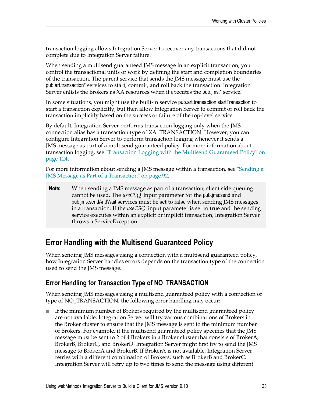transaction logging allows Integration Server to recover any transactions that did not complete due to Integration Server failure.

When sending a multisend guaranteed JMS message in an explicit transaction, you control the transactional units of work by defining the start and completion boundaries of the transaction. The parent service that sends the JMS message must use the pub.art.transaction\* services to start, commit, and roll back the transaction. Integration Server enlists the Brokers as XA resources when it executes the pub.jms:\* service.

In some situations, you might use the built-in service pub.art.transaction:startTransaction to start a transaction explicitly, but then allow Integration Server to commit or roll back the transaction implicitly based on the success or failure of the top-level service.

By default, Integration Server performs transaction logging only when the JMS connection alias has a transaction type of XA\_TRANSACTION. However, you can configure Integration Server to perform transaction logging whenever it sends a JMS message as part of a multisend guaranteed policy. For more information about transaction logging, see ["Transaction Logging with the Multisend Guaranteed Policy" on](#page-123-0) [page 124.](#page-123-0)

For more information about sending a JMS message within a transaction, see ["Sending a](#page-91-0) JMS Message as Part of a [Transaction"](#page-91-0) on page 92.

**Note:** When sending a JMS message as part of a transaction, client side queuing cannot be used. The *useCSQ* input parameter for the pub.jms:send and pub.jms:sendAndWait services must be set to false when sending JMS messages in a transaction. If the *useCSQ* input parameter is set to true and the sending service executes within an explicit or implicit transaction, Integration Server throws a ServiceException.

### **Error Handling with the Multisend Guaranteed Policy**

When sending JMS messages using a connection with a multisend guaranteed policy, how Integration Server handles errors depends on the transaction type of the connection used to send the JMS message.

### **Error Handling for Transaction Type of NO\_TRANSACTION**

When sending JMS messages using a multisend guaranteed policy with a connection of type of NO\_TRANSACTION, the following error handling may occur:

If the minimum number of Brokers required by the multisend guaranteed policy are not available, Integration Server will try various combinations of Brokers in the Broker cluster to ensure that the JMS message is sent to the minimum number of Brokers. For example, if the multisend guaranteed policy specifies that the JMS message must be sent to 2 of 4 Brokers in a Broker cluster that consists of BrokerA, BrokerB, BrokerC, and BrokerD. Integration Server might first try to send the JMS message to BrokerA and BrokerB. If BrokerA is not available, Integration Server retries with a different combination of Brokers, such as BrokerB and BrokerC. Integration Server will retry up to two times to send the message using different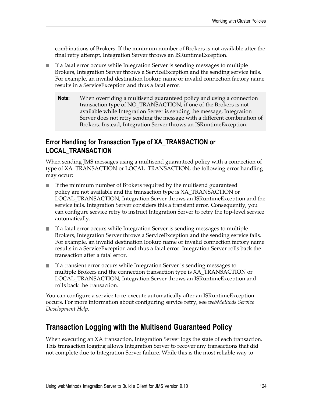combinations of Brokers. If the minimum number of Brokers is not available after the final retry attempt, Integration Server throws an ISRuntimeException.

- If a fatal error occurs while Integration Server is sending messages to multiple П Brokers, Integration Server throws a ServiceException and the sending service fails. For example, an invalid destination lookup name or invalid connection factory name results in a ServiceException and thus a fatal error.
	- **Note:** When overriding a multisend guaranteed policy and using a connection transaction type of NO\_TRANSACTION, if one of the Brokers is not available while Integration Server is sending the message, Integration Server does not retry sending the message with a different combination of Brokers. Instead, Integration Server throws an ISRuntimeException.

### **Error Handling for Transaction Type of XA\_TRANSACTION or LOCAL\_TRANSACTION**

When sending JMS messages using a multisend guaranteed policy with a connection of type of XA\_TRANSACTION or LOCAL\_TRANSACTION, the following error handling may occur:

- If the minimum number of Brokers required by the multisend guaranteed policy are not available and the transaction type is XA\_TRANSACTION or LOCAL\_TRANSACTION, Integration Server throws an ISRuntimeException and the service fails. Integration Server considers this a transient error. Consequently, you can configure service retry to instruct Integration Server to retry the top-level service automatically.
- If a fatal error occurs while Integration Server is sending messages to multiple Brokers, Integration Server throws a ServiceException and the sending service fails. For example, an invalid destination lookup name or invalid connection factory name results in a ServiceException and thus a fatal error. Integration Server rolls back the transaction after a fatal error.
- If a transient error occurs while Integration Server is sending messages to multiple Brokers and the connection transaction type is XA\_TRANSACTION or LOCAL\_TRANSACTION, Integration Server throws an ISRuntimeException and rolls back the transaction.

You can configure a service to re-execute automatically after an ISRuntimeException occurs. For more information about configuring service retry, see *webMethods Service Development Help*.

### <span id="page-123-0"></span>**Transaction Logging with the Multisend Guaranteed Policy**

When executing an XA transaction, Integration Server logs the state of each transaction. This transaction logging allows Integration Server to recover any transactions that did not complete due to Integration Server failure. While this is the most reliable way to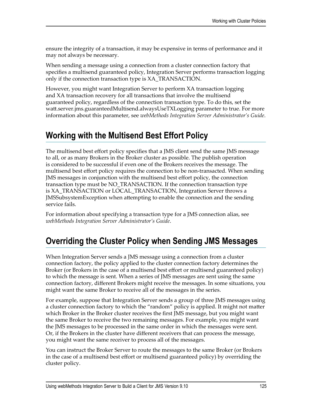ensure the integrity of a transaction, it may be expensive in terms of performance and it may not always be necessary.

When sending a message using a connection from a cluster connection factory that specifies a multisend guaranteed policy, Integration Server performs transaction logging only if the connection transaction type is XA\_TRANSACTION.

However, you might want Integration Server to perform XA transaction logging and XA transaction recovery for all transactions that involve the multisend guaranteed policy, regardless of the connection transaction type. To do this, set the watt.server.jms.guaranteedMultisend.alwaysUseTXLogging parameter to true. For more information about this parameter, see *webMethods Integration Server Administrator's Guide*.

## <span id="page-124-0"></span>**Working with the Multisend Best Effort Policy**

The multisend best effort policy specifies that a JMS client send the same JMS message to all, or as many Brokers in the Broker cluster as possible. The publish operation is considered to be successful if even one of the Brokers receives the message. The multisend best effort policy requires the connection to be non-transacted. When sending JMS messages in conjunction with the multisend best effort policy, the connection transaction type must be NO\_TRANSACTION. If the connection transaction type is XA\_TRANSACTION or LOCAL\_TRANSACTION, Integration Server throws a JMSSubsystemException when attempting to enable the connection and the sending service fails.

For information about specifying a transaction type for a JMS connection alias, see *webMethods Integration Server Administrator's Guide*.

# <span id="page-124-1"></span>**Overriding the Cluster Policy when Sending JMS Messages**

When Integration Server sends a JMS message using a connection from a cluster connection factory, the policy applied to the cluster connection factory determines the Broker (or Brokers in the case of a multisend best effort or multisend guaranteed policy) to which the message is sent. When a series of JMS messages are sent using the same connection factory, different Brokers might receive the messages. In some situations, you might want the same Broker to receive all of the messages in the series.

For example, suppose that Integration Server sends a group of three JMS messages using a cluster connection factory to which the "random" policy is applied. It might not matter which Broker in the Broker cluster receives the first JMS message, but you might want the same Broker to receive the two remaining messages. For example, you might want the JMS messages to be processed in the same order in which the messages were sent. Or, if the Brokers in the cluster have different receivers that can process the message, you might want the same receiver to process all of the messages.

You can instruct the Broker Server to route the messages to the same Broker (or Brokers in the case of a multisend best effort or multisend guaranteed policy) by overriding the cluster policy.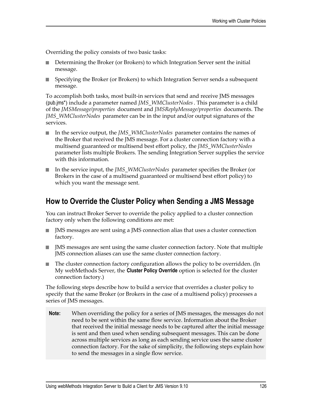Overriding the policy consists of two basic tasks:

- Determining the Broker (or Brokers) to which Integration Server sent the initial message.
- Specifying the Broker (or Brokers) to which Integration Server sends a subsequent message.

To accomplish both tasks, most built-in services that send and receive JMS messages (pub.jms\*) include a parameter named *JMS\_WMClusterNodes*. This parameter is a child of the *JMSMessage/properties* document and *JMSReplyMessage/properties* documents. The *JMS\_WMClusterNodes* parameter can be in the input and/or output signatures of the services.

- П In the service output, the *JMS\_WMClusterNodes* parameter contains the names of the Broker that received the JMS message. For a cluster connection factory with a multisend guaranteed or multisend best effort policy, the *JMS\_WMClusterNodes* parameter lists multiple Brokers. The sending Integration Server supplies the service with this information.
- In the service input, the *JMS\_WMClusterNodes* parameter specifies the Broker (or Brokers in the case of a multisend guaranteed or multisend best effort policy) to which you want the message sent.

### **How to Override the Cluster Policy when Sending a JMS Message**

You can instruct Broker Server to override the policy applied to a cluster connection factory only when the following conditions are met:

- JMS messages are sent using a JMS connection alias that uses a cluster connection  $\overline{\phantom{a}}$ factory.
- JMS messages are sent using the same cluster connection factory. Note that multiple n. JMS connection aliases can use the same cluster connection factory.
- The cluster connection factory configuration allows the policy to be overridden. (In n. My webMethods Server, the **Cluster Policy Override** option is selected for the cluster connection factory.)

The following steps describe how to build a service that overrides a cluster policy to specify that the same Broker (or Brokers in the case of a multisend policy) processes a series of JMS messages.

**Note:** When overriding the policy for a series of JMS messages, the messages do not need to be sent within the same flow service. Information about the Broker that received the initial message needs to be captured after the initial message is sent and then used when sending subsequent messages. This can be done across multiple services as long as each sending service uses the same cluster connection factory. For the sake of simplicity, the following steps explain how to send the messages in a single flow service.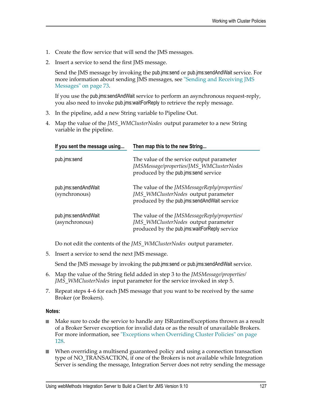- 1. Create the flow service that will send the JMS messages.
- 2. Insert a service to send the first JMS message.

Send the JMS message by invoking the pub.jms:send or pub.jms:sendAndWait service. For more information about sending JMS messages, see ["Sending and Receiving JMS](#page-72-0) [Messages" on page 73.](#page-72-0)

If you use the pub.jms:sendAndWait service to perform an asynchronous request-reply, you also need to invoke pub.jms:waitForReply to retrieve the reply message.

- 3. In the pipeline, add a new String variable to Pipeline Out.
- 4. Map the value of the *JMS\_WMClusterNodes* output parameter to a new String variable in the pipeline.

| If you sent the message using         | Then map this to the new String                                                                                                            |  |
|---------------------------------------|--------------------------------------------------------------------------------------------------------------------------------------------|--|
| pub.jms:send                          | The value of the service output parameter<br>JMSMessage/properties/JMS_WMClusterNodes<br>produced by the pub.jms:send service              |  |
| pub.jms:sendAndWait<br>(synchronous)  | The value of the <i>JMSMessageReply/properties/</i><br>JMS_WMClusterNodes output parameter<br>produced by the pub.jms:sendAndWait service  |  |
| pub.jms:sendAndWait<br>(asynchronous) | The value of the <i>JMSMessageReply/properties/</i><br>JMS_WMClusterNodes output parameter<br>produced by the pub.jms:waitForReply service |  |

Do not edit the contents of the *JMS\_WMClusterNodes* output parameter.

5. Insert a service to send the next JMS message.

Send the JMS message by invoking the pub.jms:send or pub.jms:sendAndWait service.

- 6. Map the value of the String field added in step 3 to the *JMSMessage/properties/ JMS\_WMClusterNodes* input parameter for the service invoked in step 5.
- 7. Repeat steps 4–6 for each JMS message that you want to be received by the same Broker (or Brokers).

#### **Notes:**

- $\mathcal{L}_{\mathrm{max}}$ Make sure to code the service to handle any ISRuntimeExceptions thrown as a result of a Broker Server exception for invalid data or as the result of unavailable Brokers. For more information, see ["Exceptions](#page-127-0) when Overriding Cluster Policies" on page [128](#page-127-0).
- When overriding a multisend guaranteed policy and using a connection transaction type of NO\_TRANSACTION, if one of the Brokers is not available while Integration Server is sending the message, Integration Server does not retry sending the message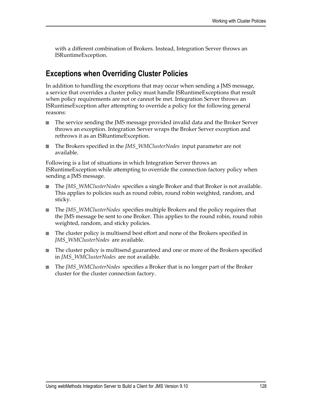with a different combination of Brokers. Instead, Integration Server throws an ISRuntimeException.

### <span id="page-127-0"></span>**Exceptions when Overriding Cluster Policies**

In addition to handling the exceptions that may occur when sending a JMS message, a service that overrides a cluster policy must handle ISRuntimeExceptions that result when policy requirements are not or cannot be met. Integration Server throws an ISRuntimeException after attempting to override a policy for the following general reasons:

- The service sending the JMS message provided invalid data and the Broker Server P. throws an exception. Integration Server wraps the Broker Server exception and rethrows it as an ISRuntimeException.
- m. The Brokers specified in the *JMS\_WMClusterNodes* input parameter are not available.

Following is a list of situations in which Integration Server throws an ISRuntimeException while attempting to override the connection factory policy when sending a JMS message.

- The *JMS\_WMClusterNodes* specifies a single Broker and that Broker is not available. This applies to policies such as round robin, round robin weighted, random, and sticky.
- The *JMS\_WMClusterNodes* specifies multiple Brokers and the policy requires that n. the JMS message be sent to one Broker. This applies to the round robin, round robin weighted, random, and sticky policies.
- The cluster policy is multisend best effort and none of the Brokers specified in *JMS\_WMClusterNodes* are available.
- The cluster policy is multisend guaranteed and one or more of the Brokers specified in *JMS\_WMClusterNodes* are not available.
- The *JMS\_WMClusterNodes* specifies a Broker that is no longer part of the Broker T. cluster for the cluster connection factory.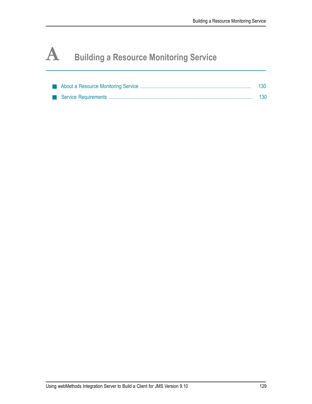# **A Building a Resource Monitoring Service**

|  | 130 |
|--|-----|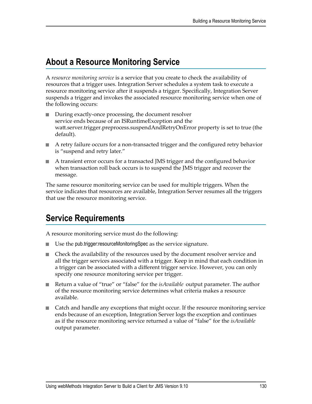## <span id="page-129-0"></span>**About a Resource Monitoring Service**

A *resource monitoring service* is a service that you create to check the availability of resources that a trigger uses. Integration Server schedules a system task to execute a resource monitoring service after it suspends a trigger. Specifically, Integration Server suspends a trigger and invokes the associated resource monitoring service when one of the following occurs:

- During exactly-once processing, the document resolver **The State** service ends because of an ISRuntimeException and the watt.server.trigger.preprocess.suspendAndRetryOnError property is set to true (the default).
- A retry failure occurs for a non-transacted trigger and the configured retry behavior is "suspend and retry later."
- A transient error occurs for a transacted JMS trigger and the configured behavior when transaction roll back occurs is to suspend the JMS trigger and recover the message.

The same resource monitoring service can be used for multiple triggers. When the service indicates that resources are available, Integration Server resumes all the triggers that use the resource monitoring service.

# <span id="page-129-1"></span>**Service Requirements**

A resource monitoring service must do the following:

- Use the pub.trigger:resourceMonitoringSpec as the service signature. T.
- Check the availability of the resources used by the document resolver service and all the trigger services associated with a trigger. Keep in mind that each condition in a trigger can be associated with a different trigger service. However, you can only specify one resource monitoring service per trigger.
- Return a value of "true" or "false" for the *isAvailable* output parameter. The author  $\Box$ of the resource monitoring service determines what criteria makes a resource available.
- **EX** Catch and handle any exceptions that might occur. If the resource monitoring service ends because of an exception, Integration Server logs the exception and continues as if the resource monitoring service returned a value of "false" for the *isAvailable* output parameter.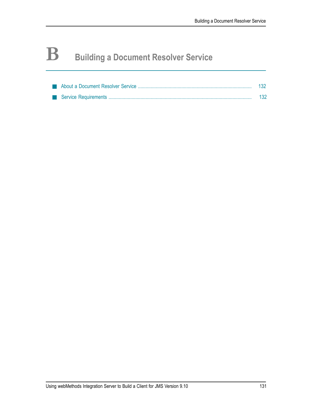# **B Building a Document Resolver Service**

|  | 132 |
|--|-----|
|  | 132 |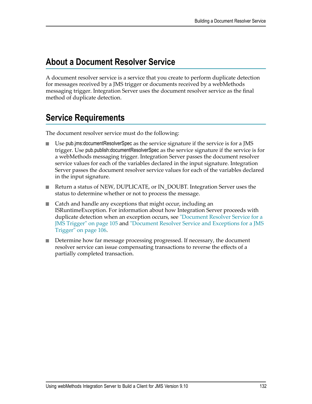### <span id="page-131-0"></span>**About a Document Resolver Service**

A document resolver service is a service that you create to perform duplicate detection for messages received by a JMS trigger or documents received by a webMethods messaging trigger. Integration Server uses the document resolver service as the final method of duplicate detection.

# <span id="page-131-1"></span>**Service Requirements**

The document resolver service must do the following:

- Use pub.jms:documentResolverSpec as the service signature if the service is for a JMS trigger. Use pub.publish:documentResolverSpec as the service signature if the service is for a webMethods messaging trigger. Integration Server passes the document resolver service values for each of the variables declared in the input signature. Integration Server passes the document resolver service values for each of the variables declared in the input signature.
- Return a status of NEW, DUPLICATE, or IN\_DOUBT. Integration Server uses the status to determine whether or not to process the message.
- Catch and handle any exceptions that might occur, including an П ISRuntimeException. For information about how Integration Server proceeds with duplicate detection when an exception occurs, see ["Document](#page-104-0) Resolver Service for a [JMS Trigger" on page 105](#page-104-0) and ["Document](#page-105-0) Resolver Service and Exceptions for a JMS [Trigger" on page 106.](#page-105-0)
- Determine how far message processing progressed. If necessary, the document resolver service can issue compensating transactions to reverse the effects of a partially completed transaction.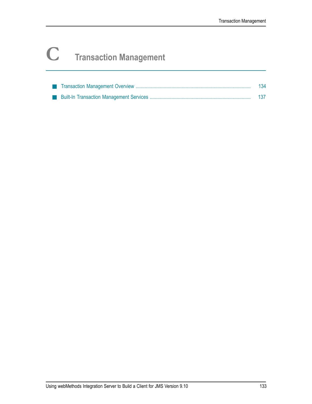# **C Transaction Management**

|  | 134 |
|--|-----|
|  |     |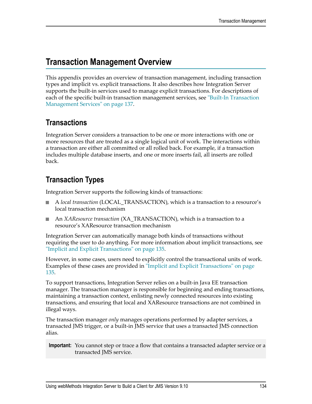## <span id="page-133-0"></span>**Transaction Management Overview**

This appendix provides an overview of transaction management, including transaction types and implicit vs. explicit transactions. It also describes how Integration Server supports the built-in services used to manage explicit transactions. For descriptions of each of the specific built-in transaction management services, see ["Built-In Transaction](#page-136-0) [Management Services" on page 137](#page-136-0).

### **Transactions**

Integration Server considers a transaction to be one or more interactions with one or more resources that are treated as a single logical unit of work. The interactions within a transaction are either all committed or all rolled back. For example, if a transaction includes multiple database inserts, and one or more inserts fail, all inserts are rolled back.

### **Transaction Types**

Integration Server supports the following kinds of transactions:

- A *local transaction* (LOCAL\_TRANSACTION), which is a transaction to a resource's local transaction mechanism
- An *XAResource transaction* (XA\_TRANSACTION), which is a transaction to a resource's XAResource transaction mechanism

Integration Server can automatically manage both kinds of transactions without requiring the user to do anything. For more information about implicit transactions, see ["Implicit and Explicit Transactions" on page 135.](#page-134-0)

However, in some cases, users need to explicitly control the transactional units of work. Examples of these cases are provided in ["Implicit and Explicit Transactions" on page](#page-134-0) [135](#page-134-0).

To support transactions, Integration Server relies on a built-in Java EE transaction manager. The transaction manager is responsible for beginning and ending transactions, maintaining a transaction context, enlisting newly connected resources into existing transactions, and ensuring that local and XAResource transactions are not combined in illegal ways.

The transaction manager *only* manages operations performed by adapter services, a transacted JMS trigger, or a built-in JMS service that uses a transacted JMS connection alias.

**Important:** You cannot step or trace a flow that contains a transacted adapter service or a transacted JMS service.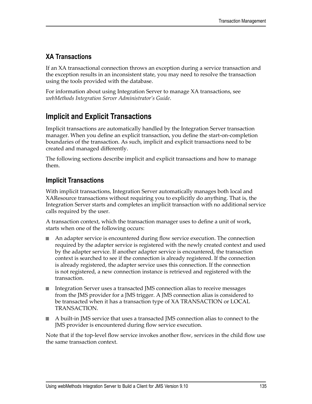### **XA Transactions**

If an XA transactional connection throws an exception during a service transaction and the exception results in an inconsistent state, you may need to resolve the transaction using the tools provided with the database.

For information about using Integration Server to manage XA transactions, see *webMethods Integration Server Administrator's Guide*.

### <span id="page-134-0"></span>**Implicit and Explicit Transactions**

Implicit transactions are automatically handled by the Integration Server transaction manager. When you define an explicit transaction, you define the start-on-completion boundaries of the transaction. As such, implicit and explicit transactions need to be created and managed differently.

The following sections describe implicit and explicit transactions and how to manage them.

### **Implicit Transactions**

With implicit transactions, Integration Server automatically manages both local and XAResource transactions without requiring you to explicitly do anything. That is, the Integration Server starts and completes an implicit transaction with no additional service calls required by the user.

A transaction context, which the transaction manager uses to define a unit of work, starts when one of the following occurs:

- An adapter service is encountered during flow service execution. The connection required by the adapter service is registered with the newly created context and used by the adapter service. If another adapter service is encountered, the transaction context is searched to see if the connection is already registered. If the connection is already registered, the adapter service uses this connection. If the connection is not registered, a new connection instance is retrieved and registered with the transaction.
- n. Integration Server uses a transacted JMS connection alias to receive messages from the JMS provider for a JMS trigger. A JMS connection alias is considered to be transacted when it has a transaction type of XA TRANSACTION or LOCAL TRANSACTION.
- A built-in JMS service that uses a transacted JMS connection alias to connect to the JMS provider is encountered during flow service execution.

Note that if the top-level flow service invokes another flow, services in the child flow use the same transaction context.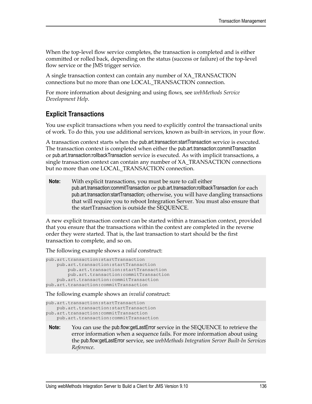When the top-level flow service completes, the transaction is completed and is either committed or rolled back, depending on the status (success or failure) of the top-level flow service or the JMS trigger service.

A single transaction context can contain any number of XA\_TRANSACTION connections but no more than one LOCAL\_TRANSACTION connection.

For more information about designing and using flows, see *webMethods Service Development Help*.

#### **Explicit Transactions**

You use explicit transactions when you need to explicitly control the transactional units of work. To do this, you use additional services, known as built-in services, in your flow.

A transaction context starts when the pub.art.transaction:startTransaction service is executed. The transaction context is completed when either the pub.art.transaction:commitTransaction or pub.art.transaction:rollbackTransaction service is executed. As with implicit transactions, a single transaction context can contain any number of XA\_TRANSACTION connections but no more than one LOCAL\_TRANSACTION connection.

**Note:** With explicit transactions, you must be sure to call either pub.art.transaction:commitTransaction or pub.art.transaction:rollbackTransaction for each pub.art.transaction:startTransaction; otherwise, you will have dangling transactions that will require you to reboot Integration Server. You must also ensure that the startTransaction is outside the SEQUENCE.

A new explicit transaction context can be started within a transaction context, provided that you ensure that the transactions within the context are completed in the reverse order they were started. That is, the last transaction to start should be the first transaction to complete, and so on.

The following example shows a *valid* construct:

```
pub.art.transaction:startTransaction 
    pub.art.transaction:startTransaction 
        pub.art.transaction:startTransaction 
         pub.art.transaction:commitTransaction 
     pub.art.transaction:commitTransaction 
pub.art.transaction:commitTransaction
```
The following example shows an *invalid* construct:

```
pub.art.transaction:startTransaction 
    pub.art.transaction:startTransaction 
pub.art.transaction:commitTransaction 
   pub.art.transaction:commitTransaction
```
**Note:** You can use the pub.flow:getLastError service in the SEQUENCE to retrieve the error information when a sequence fails. For more information about using the pub.flow:getLastError service, see *webMethods Integration Server Built-In Services Reference*.